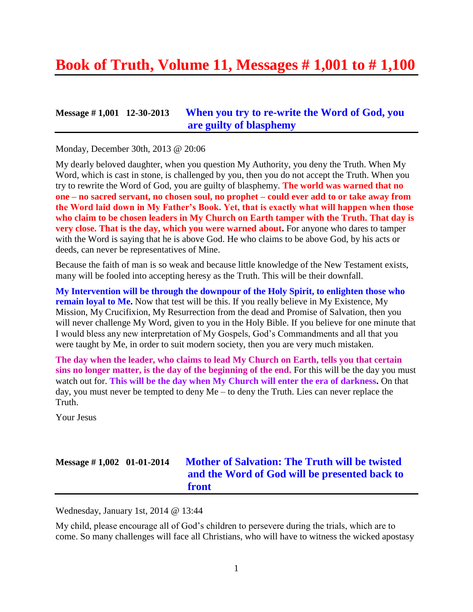# **Book of Truth, Volume 11, Messages # 1,001 to # 1,100**

### **Message # 1,001 12-30-2013 [When you try to re-write the Word of God,](http://www.thewarningsecondcoming.com/when-you-try-to-re-write-the-word-of-god-you-are-guilty-of-blasphemy/) you [are guilty of blasphemy](http://www.thewarningsecondcoming.com/when-you-try-to-re-write-the-word-of-god-you-are-guilty-of-blasphemy/)**

Monday, December 30th, 2013 @ 20:06

My dearly beloved daughter, when you question My Authority, you deny the Truth. When My Word, which is cast in stone, is challenged by you, then you do not accept the Truth. When you try to rewrite the Word of God, you are guilty of blasphemy. **The world was warned that no one – no sacred servant, no chosen soul, no prophet – could ever add to or take away from the Word laid down in My Father's Book. Yet, that is exactly what will happen when those who claim to be chosen leaders in My Church on Earth tamper with the Truth. That day is very close. That is the day, which you were warned about.** For anyone who dares to tamper with the Word is saying that he is above God. He who claims to be above God, by his acts or deeds, can never be representatives of Mine.

Because the faith of man is so weak and because little knowledge of the New Testament exists, many will be fooled into accepting heresy as the Truth. This will be their downfall.

**My Intervention will be through the downpour of the Holy Spirit, to enlighten those who remain loyal to Me.** Now that test will be this. If you really believe in My Existence, My Mission, My Crucifixion, My Resurrection from the dead and Promise of Salvation, then you will never challenge My Word, given to you in the Holy Bible. If you believe for one minute that I would bless any new interpretation of My Gospels, God's Commandments and all that you were taught by Me, in order to suit modern society, then you are very much mistaken.

**The day when the leader, who claims to lead My Church on Earth, tells you that certain sins no longer matter, is the day of the beginning of the end.** For this will be the day you must watch out for. **This will be the day when My Church will enter the era of darkness.** On that day, you must never be tempted to deny Me – to deny the Truth. Lies can never replace the Truth.

Your Jesus

# **Message # 1,002 01-01-2014 [Mother of Salvation: The Truth will be twisted](http://www.thewarningsecondcoming.com/mother-of-salvation-the-truth-will-be-twisted-and-the-word-of-god-will-be-presented-back-to-front/)  [and the Word of God will be presented back to](http://www.thewarningsecondcoming.com/mother-of-salvation-the-truth-will-be-twisted-and-the-word-of-god-will-be-presented-back-to-front/)  [front](http://www.thewarningsecondcoming.com/mother-of-salvation-the-truth-will-be-twisted-and-the-word-of-god-will-be-presented-back-to-front/)**

Wednesday, January 1st, 2014 @ 13:44

My child, please encourage all of God's children to persevere during the trials, which are to come. So many challenges will face all Christians, who will have to witness the wicked apostasy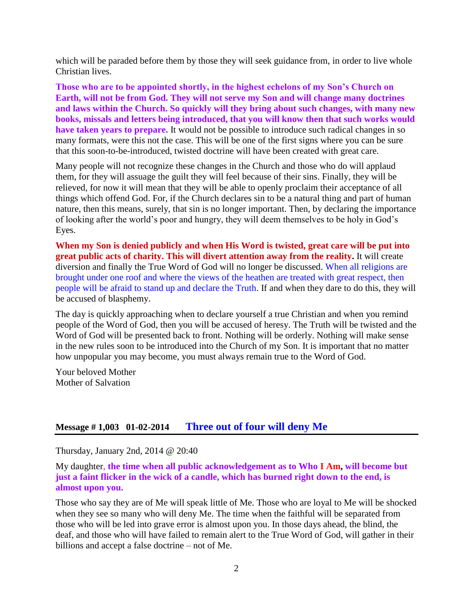which will be paraded before them by those they will seek guidance from, in order to live whole Christian lives.

**Those who are to be appointed shortly, in the highest echelons of my Son's Church on Earth, will not be from God. They will not serve my Son and will change many doctrines and laws within the Church. So quickly will they bring about such changes, with many new books, missals and letters being introduced, that you will know then that such works would have taken years to prepare.** It would not be possible to introduce such radical changes in so many formats, were this not the case. This will be one of the first signs where you can be sure that this soon-to-be-introduced, twisted doctrine will have been created with great care.

Many people will not recognize these changes in the Church and those who do will applaud them, for they will assuage the guilt they will feel because of their sins. Finally, they will be relieved, for now it will mean that they will be able to openly proclaim their acceptance of all things which offend God. For, if the Church declares sin to be a natural thing and part of human nature, then this means, surely, that sin is no longer important. Then, by declaring the importance of looking after the world's poor and hungry, they will deem themselves to be holy in God's Eyes.

**When my Son is denied publicly and when His Word is twisted, great care will be put into great public acts of charity. This will divert attention away from the reality.** It will create diversion and finally the True Word of God will no longer be discussed. When all religions are brought under one roof and where the views of the heathen are treated with great respect, then people will be afraid to stand up and declare the Truth. If and when they dare to do this, they will be accused of blasphemy.

The day is quickly approaching when to declare yourself a true Christian and when you remind people of the Word of God, then you will be accused of heresy. The Truth will be twisted and the Word of God will be presented back to front. Nothing will be orderly. Nothing will make sense in the new rules soon to be introduced into the Church of my Son. It is important that no matter how unpopular you may become, you must always remain true to the Word of God.

Your beloved Mother Mother of Salvation

### **Message # 1,003 01-02-2014 [Three out of four will deny Me](http://www.thewarningsecondcoming.com/three-of-out-of-four-will-deny-me/)**

Thursday, January 2nd, 2014 @ 20:40

My daughter, **the time when all public acknowledgement as to Who I Am, will become but just a faint flicker in the wick of a candle, which has burned right down to the end, is almost upon you.**

Those who say they are of Me will speak little of Me. Those who are loyal to Me will be shocked when they see so many who will deny Me. The time when the faithful will be separated from those who will be led into grave error is almost upon you. In those days ahead, the blind, the deaf, and those who will have failed to remain alert to the True Word of God, will gather in their billions and accept a false doctrine – not of Me.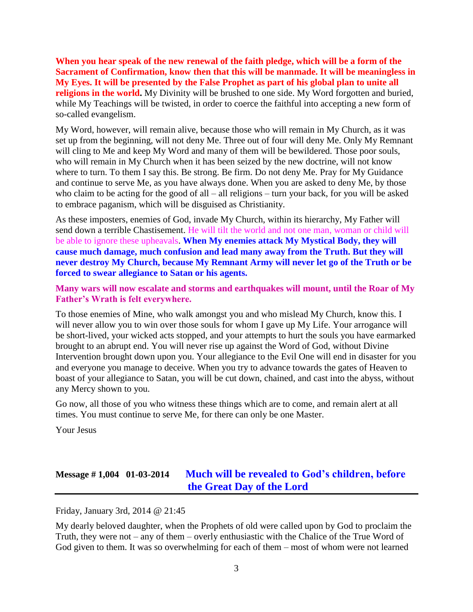**When you hear speak of the new renewal of the faith pledge, which will be a form of the Sacrament of Confirmation, know then that this will be manmade. It will be meaningless in My Eyes. It will be presented by the False Prophet as part of his global plan to unite all religions in the world.** My Divinity will be brushed to one side. My Word forgotten and buried, while My Teachings will be twisted, in order to coerce the faithful into accepting a new form of so-called evangelism.

My Word, however, will remain alive, because those who will remain in My Church, as it was set up from the beginning, will not deny Me. Three out of four will deny Me. Only My Remnant will cling to Me and keep My Word and many of them will be bewildered. Those poor souls, who will remain in My Church when it has been seized by the new doctrine, will not know where to turn. To them I say this. Be strong. Be firm. Do not deny Me. Pray for My Guidance and continue to serve Me, as you have always done. When you are asked to deny Me, by those who claim to be acting for the good of all – all religions – turn your back, for you will be asked to embrace paganism, which will be disguised as Christianity.

As these imposters, enemies of God, invade My Church, within its hierarchy, My Father will send down a terrible Chastisement. He will tilt the world and not one man, woman or child will be able to ignore these upheavals. **When My enemies attack My Mystical Body, they will cause much damage, much confusion and lead many away from the Truth. But they will never destroy My Church, because My Remnant Army will never let go of the Truth or be forced to swear allegiance to Satan or his agents.**

**Many wars will now escalate and storms and earthquakes will mount, until the Roar of My Father's Wrath is felt everywhere.**

To those enemies of Mine, who walk amongst you and who mislead My Church, know this. I will never allow you to win over those souls for whom I gave up My Life. Your arrogance will be short-lived, your wicked acts stopped, and your attempts to hurt the souls you have earmarked brought to an abrupt end. You will never rise up against the Word of God, without Divine Intervention brought down upon you. Your allegiance to the Evil One will end in disaster for you and everyone you manage to deceive. When you try to advance towards the gates of Heaven to boast of your allegiance to Satan, you will be cut down, chained, and cast into the abyss, without any Mercy shown to you.

Go now, all those of you who witness these things which are to come, and remain alert at all times. You must continue to serve Me, for there can only be one Master.

Your Jesus

# **Message # 1,004 01-03-2014 [Much will be revealed to God's children, before](http://www.thewarningsecondcoming.com/much-will-be-revealed-to-gods-children-before-the-great-day-of-the-lord/)  [the Great Day of the Lord](http://www.thewarningsecondcoming.com/much-will-be-revealed-to-gods-children-before-the-great-day-of-the-lord/)**

Friday, January 3rd, 2014 @ 21:45

My dearly beloved daughter, when the Prophets of old were called upon by God to proclaim the Truth, they were not – any of them – overly enthusiastic with the Chalice of the True Word of God given to them. It was so overwhelming for each of them – most of whom were not learned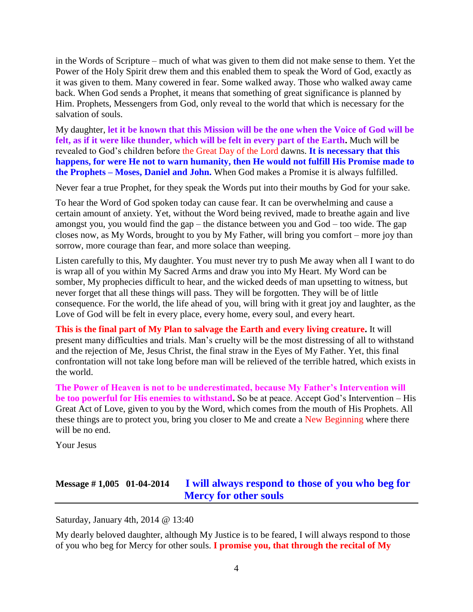in the Words of Scripture – much of what was given to them did not make sense to them. Yet the Power of the Holy Spirit drew them and this enabled them to speak the Word of God, exactly as it was given to them. Many cowered in fear. Some walked away. Those who walked away came back. When God sends a Prophet, it means that something of great significance is planned by Him. Prophets, Messengers from God, only reveal to the world that which is necessary for the salvation of souls.

My daughter, **let it be known that this Mission will be the one when the Voice of God will be felt, as if it were like thunder, which will be felt in every part of the Earth.** Much will be revealed to God's children before the Great Day of the Lord dawns. **It is necessary that this happens, for were He not to warn humanity, then He would not fulfill His Promise made to the Prophets – Moses, Daniel and John.** When God makes a Promise it is always fulfilled.

Never fear a true Prophet, for they speak the Words put into their mouths by God for your sake.

To hear the Word of God spoken today can cause fear. It can be overwhelming and cause a certain amount of anxiety. Yet, without the Word being revived, made to breathe again and live amongst you, you would find the gap – the distance between you and God – too wide. The gap closes now, as My Words, brought to you by My Father, will bring you comfort – more joy than sorrow, more courage than fear, and more solace than weeping.

Listen carefully to this, My daughter. You must never try to push Me away when all I want to do is wrap all of you within My Sacred Arms and draw you into My Heart. My Word can be somber, My prophecies difficult to hear, and the wicked deeds of man upsetting to witness, but never forget that all these things will pass. They will be forgotten. They will be of little consequence. For the world, the life ahead of you, will bring with it great joy and laughter, as the Love of God will be felt in every place, every home, every soul, and every heart.

**This is the final part of My Plan to salvage the Earth and every living creature.** It will present many difficulties and trials. Man's cruelty will be the most distressing of all to withstand and the rejection of Me, Jesus Christ, the final straw in the Eyes of My Father. Yet, this final confrontation will not take long before man will be relieved of the terrible hatred, which exists in the world.

**The Power of Heaven is not to be underestimated, because My Father's Intervention will be too powerful for His enemies to withstand.** So be at peace. Accept God's Intervention – His Great Act of Love, given to you by the Word, which comes from the mouth of His Prophets. All these things are to protect you, bring you closer to Me and create a New Beginning where there will be no end.

Your Jesus

### **Message # 1,005 01-04-2014 [I will always respond to those of you who beg for](http://www.thewarningsecondcoming.com/i-will-always-respond-to-those-of-you-who-beg-for-mercy-for-other-souls/)  [Mercy for other souls](http://www.thewarningsecondcoming.com/i-will-always-respond-to-those-of-you-who-beg-for-mercy-for-other-souls/)**

Saturday, January 4th, 2014 @ 13:40

My dearly beloved daughter, although My Justice is to be feared, I will always respond to those of you who beg for Mercy for other souls. **I promise you, that through the recital of My**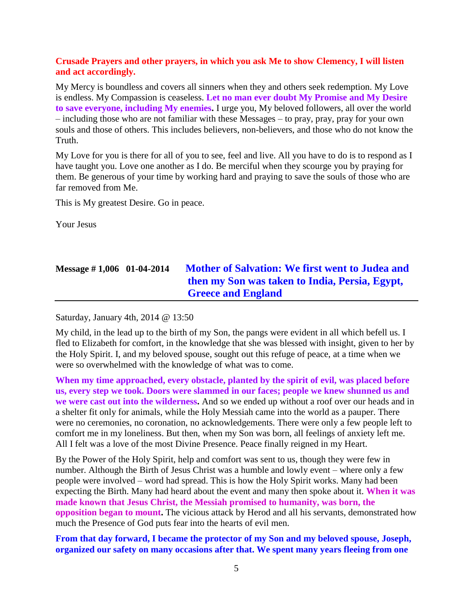#### **Crusade Prayers and other prayers, in which you ask Me to show Clemency, I will listen and act accordingly.**

My Mercy is boundless and covers all sinners when they and others seek redemption. My Love is endless. My Compassion is ceaseless. **Let no man ever doubt My Promise and My Desire to save everyone, including My enemies.** I urge you, My beloved followers, all over the world – including those who are not familiar with these Messages – to pray, pray, pray for your own souls and those of others. This includes believers, non-believers, and those who do not know the Truth.

My Love for you is there for all of you to see, feel and live. All you have to do is to respond as I have taught you. Love one another as I do. Be merciful when they scourge you by praying for them. Be generous of your time by working hard and praying to save the souls of those who are far removed from Me.

This is My greatest Desire. Go in peace.

Your Jesus

# **Message # 1,006 01-04-2014 [Mother of Salvation: We first went to Judea and](http://www.thewarningsecondcoming.com/mother-of-salvation-we-first-went-to-judea-and-then-my-son-was-taken-to-india-persia-egypt-greece-and-england/)  [then my Son was taken to India, Persia,](http://www.thewarningsecondcoming.com/mother-of-salvation-we-first-went-to-judea-and-then-my-son-was-taken-to-india-persia-egypt-greece-and-england/) Egypt, [Greece and England](http://www.thewarningsecondcoming.com/mother-of-salvation-we-first-went-to-judea-and-then-my-son-was-taken-to-india-persia-egypt-greece-and-england/)**

Saturday, January 4th, 2014 @ 13:50

My child, in the lead up to the birth of my Son, the pangs were evident in all which befell us. I fled to Elizabeth for comfort, in the knowledge that she was blessed with insight, given to her by the Holy Spirit. I, and my beloved spouse, sought out this refuge of peace, at a time when we were so overwhelmed with the knowledge of what was to come.

**When my time approached, every obstacle, planted by the spirit of evil, was placed before us, every step we took. Doors were slammed in our faces; people we knew shunned us and we were cast out into the wilderness.** And so we ended up without a roof over our heads and in a shelter fit only for animals, while the Holy Messiah came into the world as a pauper. There were no ceremonies, no coronation, no acknowledgements. There were only a few people left to comfort me in my loneliness. But then, when my Son was born, all feelings of anxiety left me. All I felt was a love of the most Divine Presence. Peace finally reigned in my Heart.

By the Power of the Holy Spirit, help and comfort was sent to us, though they were few in number. Although the Birth of Jesus Christ was a humble and lowly event – where only a few people were involved – word had spread. This is how the Holy Spirit works. Many had been expecting the Birth. Many had heard about the event and many then spoke about it. **When it was made known that Jesus Christ, the Messiah promised to humanity, was born, the opposition began to mount.** The vicious attack by Herod and all his servants, demonstrated how much the Presence of God puts fear into the hearts of evil men.

**From that day forward, I became the protector of my Son and my beloved spouse, Joseph, organized our safety on many occasions after that. We spent many years fleeing from one**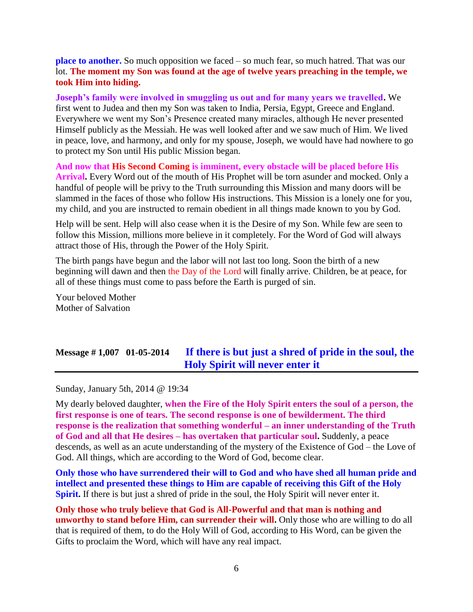**place to another.** So much opposition we faced – so much fear, so much hatred. That was our lot. **The moment my Son was found at the age of twelve years preaching in the temple, we took Him into hiding.**

**Joseph's family were involved in smuggling us out and for many years we travelled.** We first went to Judea and then my Son was taken to India, Persia, Egypt, Greece and England. Everywhere we went my Son's Presence created many miracles, although He never presented Himself publicly as the Messiah. He was well looked after and we saw much of Him. We lived in peace, love, and harmony, and only for my spouse, Joseph, we would have had nowhere to go to protect my Son until His public Mission began.

**And now that His Second Coming is imminent, every obstacle will be placed before His Arrival.** Every Word out of the mouth of His Prophet will be torn asunder and mocked. Only a handful of people will be privy to the Truth surrounding this Mission and many doors will be slammed in the faces of those who follow His instructions. This Mission is a lonely one for you, my child, and you are instructed to remain obedient in all things made known to you by God.

Help will be sent. Help will also cease when it is the Desire of my Son. While few are seen to follow this Mission, millions more believe in it completely. For the Word of God will always attract those of His, through the Power of the Holy Spirit.

The birth pangs have begun and the labor will not last too long. Soon the birth of a new beginning will dawn and then the Day of the Lord will finally arrive. Children, be at peace, for all of these things must come to pass before the Earth is purged of sin.

Your beloved Mother Mother of Salvation

# **Message # 1,007 01-05-2014 [If there is but just a shred of pride in the soul, the](http://www.thewarningsecondcoming.com/if-there-is-but-just-a-shred-of-pride-in-the-soul-the-holy-spirit-will-never-enter-it/)  [Holy Spirit will never enter it](http://www.thewarningsecondcoming.com/if-there-is-but-just-a-shred-of-pride-in-the-soul-the-holy-spirit-will-never-enter-it/)**

Sunday, January 5th, 2014 @ 19:34

My dearly beloved daughter, **when the Fire of the Holy Spirit enters the soul of a person, the first response is one of tears. The second response is one of bewilderment. The third response is the realization that something wonderful – an inner understanding of the Truth of God and all that He desires – has overtaken that particular soul.** Suddenly, a peace descends, as well as an acute understanding of the mystery of the Existence of God – the Love of God. All things, which are according to the Word of God, become clear.

**Only those who have surrendered their will to God and who have shed all human pride and intellect and presented these things to Him are capable of receiving this Gift of the Holy Spirit.** If there is but just a shred of pride in the soul, the Holy Spirit will never enter it.

**Only those who truly believe that God is All-Powerful and that man is nothing and unworthy to stand before Him, can surrender their will.** Only those who are willing to do all that is required of them, to do the Holy Will of God, according to His Word, can be given the Gifts to proclaim the Word, which will have any real impact.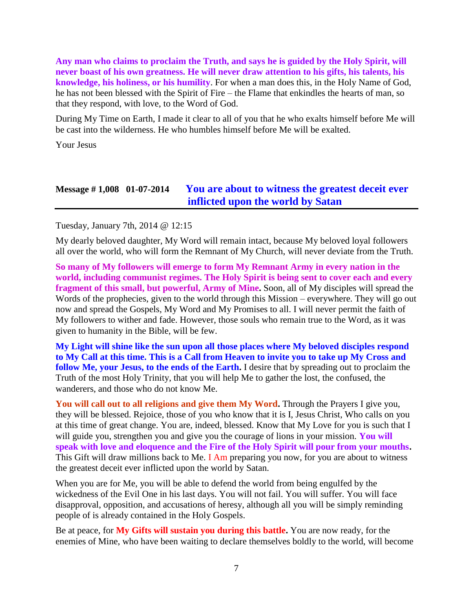**Any man who claims to proclaim the Truth, and says he is guided by the Holy Spirit, will never boast of his own greatness. He will never draw attention to his gifts, his talents, his knowledge, his holiness, or his humility**. For when a man does this, in the Holy Name of God, he has not been blessed with the Spirit of Fire – the Flame that enkindles the hearts of man, so that they respond, with love, to the Word of God.

During My Time on Earth, I made it clear to all of you that he who exalts himself before Me will be cast into the wilderness. He who humbles himself before Me will be exalted.

Your Jesus

### **Message # 1,008 01-07-2014 [You are about to witness the greatest deceit ever](http://www.thewarningsecondcoming.com/you-are-about-to-witness-the-greatest-deceit-ever-inflicted-upon-the-world-by-satan/)  [inflicted upon the world by Satan](http://www.thewarningsecondcoming.com/you-are-about-to-witness-the-greatest-deceit-ever-inflicted-upon-the-world-by-satan/)**

Tuesday, January 7th, 2014 @ 12:15

My dearly beloved daughter, My Word will remain intact, because My beloved loyal followers all over the world, who will form the Remnant of My Church, will never deviate from the Truth.

**So many of My followers will emerge to form My Remnant Army in every nation in the world, including communist regimes. The Holy Spirit is being sent to cover each and every fragment of this small, but powerful, Army of Mine.** Soon, all of My disciples will spread the Words of the prophecies, given to the world through this Mission – everywhere. They will go out now and spread the Gospels, My Word and My Promises to all. I will never permit the faith of My followers to wither and fade. However, those souls who remain true to the Word, as it was given to humanity in the Bible, will be few.

**My Light will shine like the sun upon all those places where My beloved disciples respond to My Call at this time. This is a Call from Heaven to invite you to take up My Cross and follow Me, your Jesus, to the ends of the Earth.** I desire that by spreading out to proclaim the Truth of the most Holy Trinity, that you will help Me to gather the lost, the confused, the wanderers, and those who do not know Me.

**You will call out to all religions and give them My Word.** Through the Prayers I give you, they will be blessed. Rejoice, those of you who know that it is I, Jesus Christ, Who calls on you at this time of great change. You are, indeed, blessed. Know that My Love for you is such that I will guide you, strengthen you and give you the courage of lions in your mission. You will **speak with love and eloquence and the Fire of the Holy Spirit will pour from your mouths.** This Gift will draw millions back to Me. I Am preparing you now, for you are about to witness the greatest deceit ever inflicted upon the world by Satan.

When you are for Me, you will be able to defend the world from being engulfed by the wickedness of the Evil One in his last days. You will not fail. You will suffer. You will face disapproval, opposition, and accusations of heresy, although all you will be simply reminding people of is already contained in the Holy Gospels.

Be at peace, for **My Gifts will sustain you during this battle.** You are now ready, for the enemies of Mine, who have been waiting to declare themselves boldly to the world, will become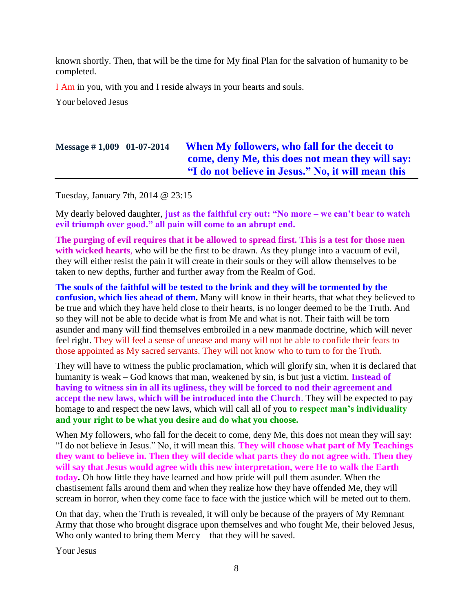known shortly. Then, that will be the time for My final Plan for the salvation of humanity to be completed.

I Am in you, with you and I reside always in your hearts and souls.

Your beloved Jesus

# **Message # 1,009 01-07-2014 [When My followers, who fall for the deceit to](http://www.thewarningsecondcoming.com/when-my-followers-who-fall-for-the-deceit-to-come-deny-me-this-does-not-mean-they-will-say-i-do-not-believe-in-jesus-no-it-will-mean-this/)  [come, deny Me, this does not mean they will say:](http://www.thewarningsecondcoming.com/when-my-followers-who-fall-for-the-deceit-to-come-deny-me-this-does-not-mean-they-will-say-i-do-not-believe-in-jesus-no-it-will-mean-this/)  ["I do not believe in Jesus." No, it will mean this](http://www.thewarningsecondcoming.com/when-my-followers-who-fall-for-the-deceit-to-come-deny-me-this-does-not-mean-they-will-say-i-do-not-believe-in-jesus-no-it-will-mean-this/)**

Tuesday, January 7th, 2014 @ 23:15

My dearly beloved daughter, **just as the faithful cry out: "No more – we can't bear to watch evil triumph over good." all pain will come to an abrupt end.**

**The purging of evil requires that it be allowed to spread first. This is a test for those men with wicked hearts**, who will be the first to be drawn. As they plunge into a vacuum of evil, they will either resist the pain it will create in their souls or they will allow themselves to be taken to new depths, further and further away from the Realm of God.

**The souls of the faithful will be tested to the brink and they will be tormented by the confusion, which lies ahead of them.** Many will know in their hearts, that what they believed to be true and which they have held close to their hearts, is no longer deemed to be the Truth. And so they will not be able to decide what is from Me and what is not. Their faith will be torn asunder and many will find themselves embroiled in a new manmade doctrine, which will never feel right. They will feel a sense of unease and many will not be able to confide their fears to those appointed as My sacred servants. They will not know who to turn to for the Truth.

They will have to witness the public proclamation, which will glorify sin, when it is declared that humanity is weak – God knows that man, weakened by sin, is but just a victim. **Instead of having to witness sin in all its ugliness, they will be forced to nod their agreement and accept the new laws, which will be introduced into the Church**. They will be expected to pay homage to and respect the new laws, which will call all of you **to respect man's individuality and your right to be what you desire and do what you choose.**

When My followers, who fall for the deceit to come, deny Me, this does not mean they will say: "I do not believe in Jesus." No, it will mean this. **They will choose what part of My Teachings they want to believe in. Then they will decide what parts they do not agree with. Then they will say that Jesus would agree with this new interpretation, were He to walk the Earth today.** Oh how little they have learned and how pride will pull them asunder. When the chastisement falls around them and when they realize how they have offended Me, they will scream in horror, when they come face to face with the justice which will be meted out to them.

On that day, when the Truth is revealed, it will only be because of the prayers of My Remnant Army that those who brought disgrace upon themselves and who fought Me, their beloved Jesus, Who only wanted to bring them Mercy – that they will be saved.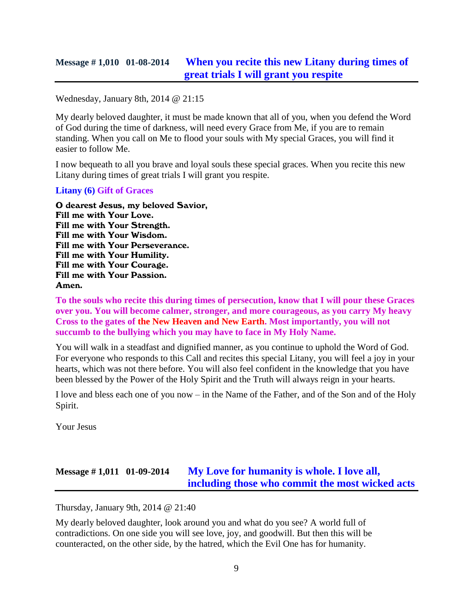### **Message # 1,010 01-08-2014 [When you recite this new Litany during times of](http://www.thewarningsecondcoming.com/when-you-recite-this-new-litany-during-times-of-great-trials-i-will-grant-you-respite/)  [great trials I will grant you respite](http://www.thewarningsecondcoming.com/when-you-recite-this-new-litany-during-times-of-great-trials-i-will-grant-you-respite/)**

Wednesday, January 8th, 2014 @ 21:15

My dearly beloved daughter, it must be made known that all of you, when you defend the Word of God during the time of darkness, will need every Grace from Me, if you are to remain standing. When you call on Me to flood your souls with My special Graces, you will find it easier to follow Me.

I now bequeath to all you brave and loyal souls these special graces. When you recite this new Litany during times of great trials I will grant you respite.

#### **Litany (6) Gift of Graces**

O dearest Jesus, my beloved Savior, Fill me with Your Love. Fill me with Your Strength. Fill me with Your Wisdom. Fill me with Your Perseverance. Fill me with Your Humility. Fill me with Your Courage. Fill me with Your Passion. Amen.

**To the souls who recite this during times of persecution, know that I will pour these Graces over you. You will become calmer, stronger, and more courageous, as you carry My heavy Cross to the gates of the New Heaven and New Earth. Most importantly, you will not succumb to the bullying which you may have to face in My Holy Name.**

You will walk in a steadfast and dignified manner, as you continue to uphold the Word of God. For everyone who responds to this Call and recites this special Litany, you will feel a joy in your hearts, which was not there before. You will also feel confident in the knowledge that you have been blessed by the Power of the Holy Spirit and the Truth will always reign in your hearts.

I love and bless each one of you now – in the Name of the Father, and of the Son and of the Holy Spirit.

Your Jesus

# **Message # 1,011 01-09-2014 [My Love for humanity is whole. I love all,](http://www.thewarningsecondcoming.com/my-love-for-humanity-is-whole-i-love-all-including-those-who-commit-the-most-wicked-acts/)  [including those who commit the most wicked acts](http://www.thewarningsecondcoming.com/my-love-for-humanity-is-whole-i-love-all-including-those-who-commit-the-most-wicked-acts/)**

Thursday, January 9th, 2014 @ 21:40

My dearly beloved daughter, look around you and what do you see? A world full of contradictions. On one side you will see love, joy, and goodwill. But then this will be counteracted, on the other side, by the hatred, which the Evil One has for humanity.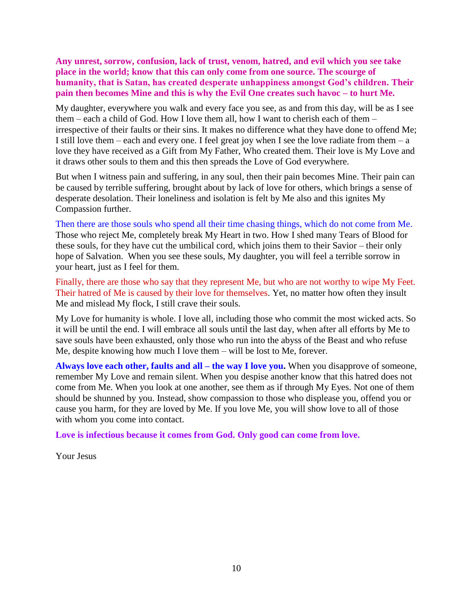**Any unrest, sorrow, confusion, lack of trust, venom, hatred, and evil which you see take place in the world; know that this can only come from one source. The scourge of humanity, that is Satan, has created desperate unhappiness amongst God's children. Their pain then becomes Mine and this is why the Evil One creates such havoc – to hurt Me.**

My daughter, everywhere you walk and every face you see, as and from this day, will be as I see them – each a child of God. How I love them all, how I want to cherish each of them – irrespective of their faults or their sins. It makes no difference what they have done to offend Me; I still love them – each and every one. I feel great joy when I see the love radiate from them – a love they have received as a Gift from My Father, Who created them. Their love is My Love and it draws other souls to them and this then spreads the Love of God everywhere.

But when I witness pain and suffering, in any soul, then their pain becomes Mine. Their pain can be caused by terrible suffering, brought about by lack of love for others, which brings a sense of desperate desolation. Their loneliness and isolation is felt by Me also and this ignites My Compassion further.

Then there are those souls who spend all their time chasing things, which do not come from Me. Those who reject Me, completely break My Heart in two. How I shed many Tears of Blood for these souls, for they have cut the umbilical cord, which joins them to their Savior – their only hope of Salvation. When you see these souls, My daughter, you will feel a terrible sorrow in your heart, just as I feel for them.

Finally, there are those who say that they represent Me, but who are not worthy to wipe My Feet. Their hatred of Me is caused by their love for themselves. Yet, no matter how often they insult Me and mislead My flock, I still crave their souls.

My Love for humanity is whole. I love all, including those who commit the most wicked acts. So it will be until the end. I will embrace all souls until the last day, when after all efforts by Me to save souls have been exhausted, only those who run into the abyss of the Beast and who refuse Me, despite knowing how much I love them – will be lost to Me, forever.

**Always love each other, faults and all – the way I love you.** When you disapprove of someone, remember My Love and remain silent. When you despise another know that this hatred does not come from Me. When you look at one another, see them as if through My Eyes. Not one of them should be shunned by you. Instead, show compassion to those who displease you, offend you or cause you harm, for they are loved by Me. If you love Me, you will show love to all of those with whom you come into contact.

**Love is infectious because it comes from God. Only good can come from love.**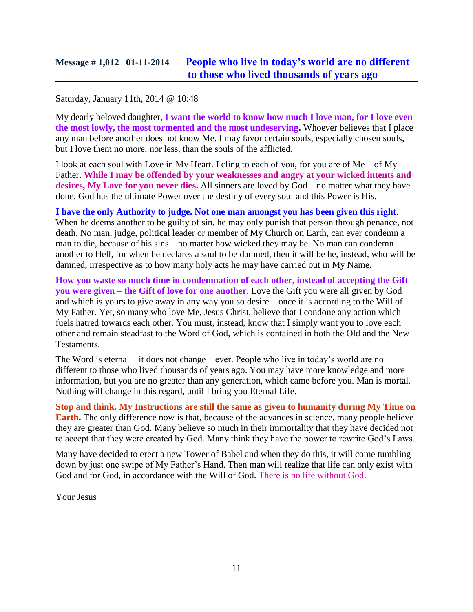#### Saturday, January 11th, 2014 @ 10:48

My dearly beloved daughter, **I want the world to know how much I love man, for I love even the most lowly, the most tormented and the most undeserving.** Whoever believes that I place any man before another does not know Me. I may favor certain souls, especially chosen souls, but I love them no more, nor less, than the souls of the afflicted.

I look at each soul with Love in My Heart. I cling to each of you, for you are of  $Me - of My$ Father. **While I may be offended by your weaknesses and angry at your wicked intents and**  desires, My Love for you never dies. All sinners are loved by God – no matter what they have done. God has the ultimate Power over the destiny of every soul and this Power is His.

**I have the only Authority to judge. Not one man amongst you has been given this right**. When he deems another to be guilty of sin, he may only punish that person through penance, not death. No man, judge, political leader or member of My Church on Earth, can ever condemn a man to die, because of his sins – no matter how wicked they may be. No man can condemn another to Hell, for when he declares a soul to be damned, then it will be he, instead, who will be damned, irrespective as to how many holy acts he may have carried out in My Name.

**How you waste so much time in condemnation of each other, instead of accepting the Gift you were given – the Gift of love for one another.** Love the Gift you were all given by God and which is yours to give away in any way you so desire – once it is according to the Will of My Father. Yet, so many who love Me, Jesus Christ, believe that I condone any action which fuels hatred towards each other. You must, instead, know that I simply want you to love each other and remain steadfast to the Word of God, which is contained in both the Old and the New Testaments.

The Word is eternal – it does not change – ever. People who live in today's world are no different to those who lived thousands of years ago. You may have more knowledge and more information, but you are no greater than any generation, which came before you. Man is mortal. Nothing will change in this regard, until I bring you Eternal Life.

**Stop and think. My Instructions are still the same as given to humanity during My Time on Earth.** The only difference now is that, because of the advances in science, many people believe they are greater than God. Many believe so much in their immortality that they have decided not to accept that they were created by God. Many think they have the power to rewrite God's Laws.

Many have decided to erect a new Tower of Babel and when they do this, it will come tumbling down by just one swipe of My Father's Hand. Then man will realize that life can only exist with God and for God, in accordance with the Will of God. There is no life without God.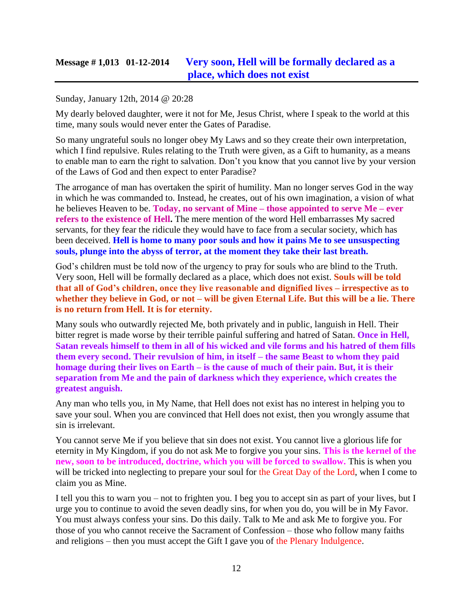### **Message # 1,013 01-12-2014 [Very soon, Hell will be formally](http://www.thewarningsecondcoming.com/very-soon-hell-will-be-formally-declared-as-a-place-which-does-not-exist/) declared as a [place, which does not exist](http://www.thewarningsecondcoming.com/very-soon-hell-will-be-formally-declared-as-a-place-which-does-not-exist/)**

#### Sunday, January 12th, 2014 @ 20:28

My dearly beloved daughter, were it not for Me, Jesus Christ, where I speak to the world at this time, many souls would never enter the Gates of Paradise.

So many ungrateful souls no longer obey My Laws and so they create their own interpretation, which I find repulsive. Rules relating to the Truth were given, as a Gift to humanity, as a means to enable man to earn the right to salvation. Don't you know that you cannot live by your version of the Laws of God and then expect to enter Paradise?

The arrogance of man has overtaken the spirit of humility. Man no longer serves God in the way in which he was commanded to. Instead, he creates, out of his own imagination, a vision of what he believes Heaven to be. **Today, no servant of Mine – those appointed to serve Me – ever refers to the existence of Hell.** The mere mention of the word Hell embarrasses My sacred servants, for they fear the ridicule they would have to face from a secular society, which has been deceived. **Hell is home to many poor souls and how it pains Me to see unsuspecting souls, plunge into the abyss of terror, at the moment they take their last breath.**

God's children must be told now of the urgency to pray for souls who are blind to the Truth. Very soon, Hell will be formally declared as a place, which does not exist. **Souls will be told that all of God's children, once they live reasonable and dignified lives – irrespective as to whether they believe in God, or not – will be given Eternal Life. But this will be a lie. There is no return from Hell. It is for eternity.**

Many souls who outwardly rejected Me, both privately and in public, languish in Hell. Their bitter regret is made worse by their terrible painful suffering and hatred of Satan. **Once in Hell, Satan reveals himself to them in all of his wicked and vile forms and his hatred of them fills them every second. Their revulsion of him, in itself – the same Beast to whom they paid homage during their lives on Earth – is the cause of much of their pain. But, it is their separation from Me and the pain of darkness which they experience, which creates the greatest anguish.**

Any man who tells you, in My Name, that Hell does not exist has no interest in helping you to save your soul. When you are convinced that Hell does not exist, then you wrongly assume that sin is irrelevant.

You cannot serve Me if you believe that sin does not exist. You cannot live a glorious life for eternity in My Kingdom, if you do not ask Me to forgive you your sins. **This is the kernel of the new, soon to be introduced, doctrine, which you will be forced to swallow.** This is when you will be tricked into neglecting to prepare your soul for the Great Day of the Lord, when I come to claim you as Mine.

I tell you this to warn you – not to frighten you. I beg you to accept sin as part of your lives, but I urge you to continue to avoid the seven deadly sins, for when you do, you will be in My Favor. You must always confess your sins. Do this daily. Talk to Me and ask Me to forgive you. For those of you who cannot receive the Sacrament of Confession – those who follow many faiths and religions – then you must accept the Gift I gave you of the Plenary Indulgence.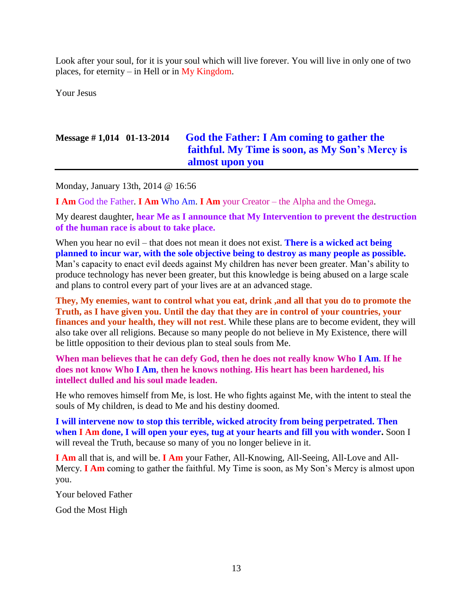Look after your soul, for it is your soul which will live forever. You will live in only one of two places, for eternity – in Hell or in My Kingdom.

Your Jesus

# **Message # 1,014 01-13-2014 [God the Father: I Am coming to gather the](http://www.thewarningsecondcoming.com/god-the-father-i-am-coming-to-gather-the-faithful-my-time-is-soon-as-my-sons-mercy-is-almost-upon-you-2/)  [faithful. My Time is soon, as My Son's Mercy is](http://www.thewarningsecondcoming.com/god-the-father-i-am-coming-to-gather-the-faithful-my-time-is-soon-as-my-sons-mercy-is-almost-upon-you-2/)  [almost upon you](http://www.thewarningsecondcoming.com/god-the-father-i-am-coming-to-gather-the-faithful-my-time-is-soon-as-my-sons-mercy-is-almost-upon-you-2/)**

Monday, January 13th, 2014 @ 16:56

**I Am** God the Father. **I Am** Who Am. **I Am** your Creator – the Alpha and the Omega.

My dearest daughter, **hear Me as I announce that My Intervention to prevent the destruction of the human race is about to take place.**

When you hear no evil – that does not mean it does not exist. **There is a wicked act being planned to incur war, with the sole objective being to destroy as many people as possible.** Man's capacity to enact evil deeds against My children has never been greater. Man's ability to produce technology has never been greater, but this knowledge is being abused on a large scale and plans to control every part of your lives are at an advanced stage.

**They, My enemies, want to control what you eat, drink ,and all that you do to promote the Truth, as I have given you. Until the day that they are in control of your countries, your finances and your health, they will not rest**. While these plans are to become evident, they will also take over all religions. Because so many people do not believe in My Existence, there will be little opposition to their devious plan to steal souls from Me.

**When man believes that he can defy God, then he does not really know Who I Am. If he does not know Who I Am, then he knows nothing. His heart has been hardened, his intellect dulled and his soul made leaden.**

He who removes himself from Me, is lost. He who fights against Me, with the intent to steal the souls of My children, is dead to Me and his destiny doomed.

**I will intervene now to stop this terrible, wicked atrocity from being perpetrated. Then when I Am done, I will open your eyes, tug at your hearts and fill you with wonder.** Soon I will reveal the Truth, because so many of you no longer believe in it.

**I Am** all that is, and will be. **I Am** your Father, All-Knowing, All-Seeing, All-Love and All-Mercy. **I Am** coming to gather the faithful. My Time is soon, as My Son's Mercy is almost upon you.

Your beloved Father

God the Most High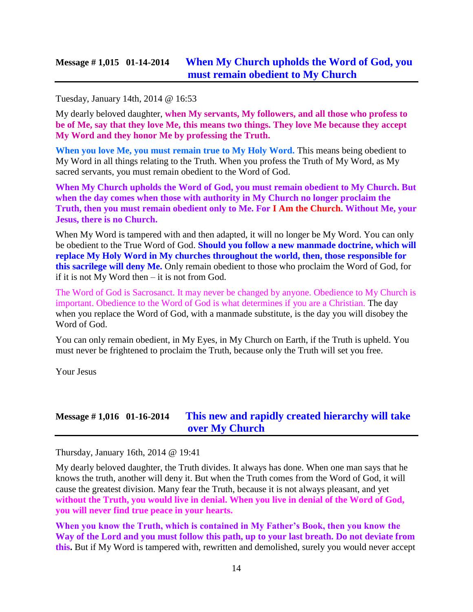#### Tuesday, January 14th, 2014 @ 16:53

My dearly beloved daughter, **when My servants, My followers, and all those who profess to be of Me, say that they love Me, this means two things. They love Me because they accept My Word and they honor Me by professing the Truth.**

**When you love Me, you must remain true to My Holy Word.** This means being obedient to My Word in all things relating to the Truth. When you profess the Truth of My Word, as My sacred servants, you must remain obedient to the Word of God.

**When My Church upholds the Word of God, you must remain obedient to My Church. But when the day comes when those with authority in My Church no longer proclaim the Truth, then you must remain obedient only to Me. For I Am the Church. Without Me, your Jesus, there is no Church.**

When My Word is tampered with and then adapted, it will no longer be My Word. You can only be obedient to the True Word of God. **Should you follow a new manmade doctrine, which will replace My Holy Word in My churches throughout the world, then, those responsible for this sacrilege will deny Me.** Only remain obedient to those who proclaim the Word of God, for if it is not My Word then – it is not from God.

The Word of God is Sacrosanct. It may never be changed by anyone. Obedience to My Church is important. Obedience to the Word of God is what determines if you are a Christian. The day when you replace the Word of God, with a manmade substitute, is the day you will disobey the Word of God.

You can only remain obedient, in My Eyes, in My Church on Earth, if the Truth is upheld. You must never be frightened to proclaim the Truth, because only the Truth will set you free.

Your Jesus

### **Message # 1,016 01-16-2014 [This new and rapidly created hierarchy will take](http://www.thewarningsecondcoming.com/this-new-and-rapidly-created-hierarchy-will-take-over-my-church/)  [over My Church](http://www.thewarningsecondcoming.com/this-new-and-rapidly-created-hierarchy-will-take-over-my-church/)**

Thursday, January 16th, 2014 @ 19:41

My dearly beloved daughter, the Truth divides. It always has done. When one man says that he knows the truth, another will deny it. But when the Truth comes from the Word of God, it will cause the greatest division. Many fear the Truth, because it is not always pleasant, and yet **without the Truth, you would live in denial. When you live in denial of the Word of God, you will never find true peace in your hearts.**

**When you know the Truth, which is contained in My Father's Book, then you know the Way of the Lord and you must follow this path, up to your last breath. Do not deviate from this.** But if My Word is tampered with, rewritten and demolished, surely you would never accept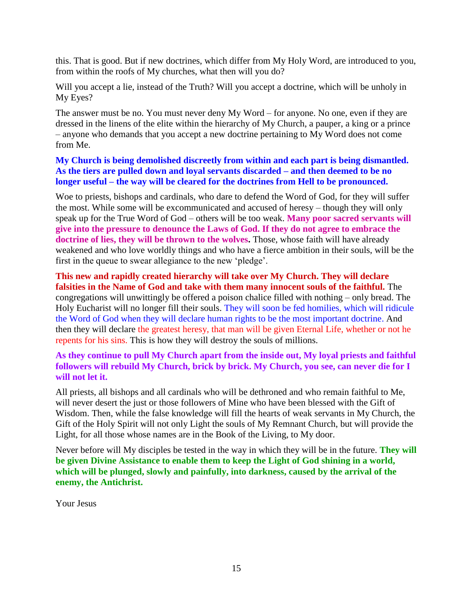this. That is good. But if new doctrines, which differ from My Holy Word, are introduced to you, from within the roofs of My churches, what then will you do?

Will you accept a lie, instead of the Truth? Will you accept a doctrine, which will be unholy in My Eyes?

The answer must be no. You must never deny My Word – for anyone. No one, even if they are dressed in the linens of the elite within the hierarchy of My Church, a pauper, a king or a prince – anyone who demands that you accept a new doctrine pertaining to My Word does not come from Me.

**My Church is being demolished discreetly from within and each part is being dismantled. As the tiers are pulled down and loyal servants discarded – and then deemed to be no longer useful – the way will be cleared for the doctrines from Hell to be pronounced.**

Woe to priests, bishops and cardinals, who dare to defend the Word of God, for they will suffer the most. While some will be excommunicated and accused of heresy – though they will only speak up for the True Word of God – others will be too weak. **Many poor sacred servants will give into the pressure to denounce the Laws of God. If they do not agree to embrace the doctrine of lies, they will be thrown to the wolves.** Those, whose faith will have already weakened and who love worldly things and who have a fierce ambition in their souls, will be the first in the queue to swear allegiance to the new 'pledge'.

**This new and rapidly created hierarchy will take over My Church. They will declare falsities in the Name of God and take with them many innocent souls of the faithful.** The congregations will unwittingly be offered a poison chalice filled with nothing – only bread. The Holy Eucharist will no longer fill their souls. They will soon be fed homilies, which will ridicule the Word of God when they will declare human rights to be the most important doctrine. And then they will declare the greatest heresy, that man will be given Eternal Life, whether or not he repents for his sins. This is how they will destroy the souls of millions.

**As they continue to pull My Church apart from the inside out, My loyal priests and faithful followers will rebuild My Church, brick by brick. My Church, you see, can never die for I will not let it.**

All priests, all bishops and all cardinals who will be dethroned and who remain faithful to Me, will never desert the just or those followers of Mine who have been blessed with the Gift of Wisdom. Then, while the false knowledge will fill the hearts of weak servants in My Church, the Gift of the Holy Spirit will not only Light the souls of My Remnant Church, but will provide the Light, for all those whose names are in the Book of the Living, to My door.

Never before will My disciples be tested in the way in which they will be in the future. **They will be given Divine Assistance to enable them to keep the Light of God shining in a world, which will be plunged, slowly and painfully, into darkness, caused by the arrival of the enemy, the Antichrist.**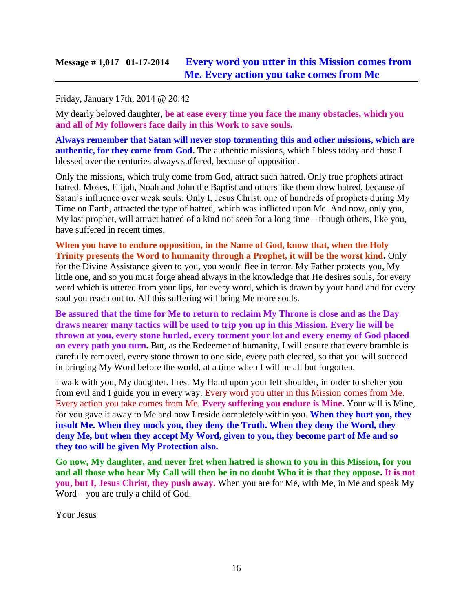### **Message # 1,017 01-17-2014 [Every word you utter in this Mission comes from](http://www.thewarningsecondcoming.com/every-word-you-utter-in-this-mission-comes-from-me-every-action-you-take-comes-from-me/)  [Me. Every action you take comes from Me](http://www.thewarningsecondcoming.com/every-word-you-utter-in-this-mission-comes-from-me-every-action-you-take-comes-from-me/)**

#### Friday, January 17th, 2014 @ 20:42

My dearly beloved daughter, **be at ease every time you face the many obstacles, which you and all of My followers face daily in this Work to save souls.**

**Always remember that Satan will never stop tormenting this and other missions, which are authentic, for they come from God.** The authentic missions, which I bless today and those I blessed over the centuries always suffered, because of opposition.

Only the missions, which truly come from God, attract such hatred. Only true prophets attract hatred. Moses, Elijah, Noah and John the Baptist and others like them drew hatred, because of Satan's influence over weak souls. Only I, Jesus Christ, one of hundreds of prophets during My Time on Earth, attracted the type of hatred, which was inflicted upon Me. And now, only you, My last prophet, will attract hatred of a kind not seen for a long time – though others, like you, have suffered in recent times.

**When you have to endure opposition, in the Name of God, know that, when the Holy Trinity presents the Word to humanity through a Prophet, it will be the worst kind.** Only for the Divine Assistance given to you, you would flee in terror. My Father protects you, My little one, and so you must forge ahead always in the knowledge that He desires souls, for every word which is uttered from your lips, for every word, which is drawn by your hand and for every soul you reach out to. All this suffering will bring Me more souls.

**Be assured that the time for Me to return to reclaim My Throne is close and as the Day draws nearer many tactics will be used to trip you up in this Mission. Every lie will be thrown at you, every stone hurled, every torment your lot and every enemy of God placed on every path you turn.** But, as the Redeemer of humanity, I will ensure that every bramble is carefully removed, every stone thrown to one side, every path cleared, so that you will succeed in bringing My Word before the world, at a time when I will be all but forgotten.

I walk with you, My daughter. I rest My Hand upon your left shoulder, in order to shelter you from evil and I guide you in every way. Every word you utter in this Mission comes from Me. Every action you take comes from Me. **Every suffering you endure is Mine.** Your will is Mine, for you gave it away to Me and now I reside completely within you. **When they hurt you, they insult Me. When they mock you, they deny the Truth. When they deny the Word, they deny Me, but when they accept My Word, given to you, they become part of Me and so they too will be given My Protection also.**

**Go now, My daughter, and never fret when hatred is shown to you in this Mission, for you and all those who hear My Call will then be in no doubt Who it is that they oppose. It is not you, but I, Jesus Christ, they push away.** When you are for Me, with Me, in Me and speak My Word – you are truly a child of God.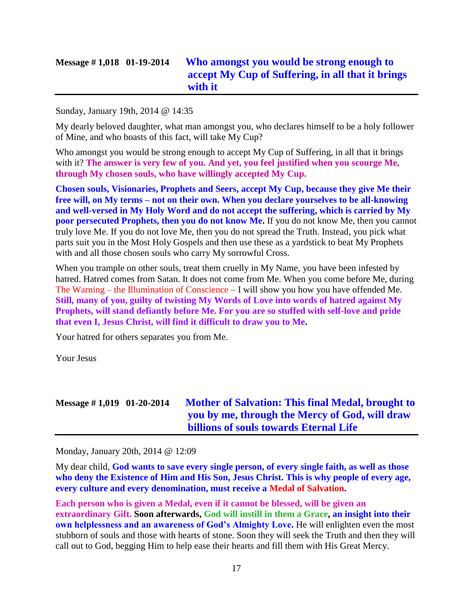# **Message # 1,018 01-19-2014 [Who amongst you would be strong enough to](http://www.thewarningsecondcoming.com/who-amongst-you-would-be-strong-enough-to-accept-my-cup-of-suffering-in-all-that-it-brings-with-it/)  [accept My Cup of Suffering, in all that it brings](http://www.thewarningsecondcoming.com/who-amongst-you-would-be-strong-enough-to-accept-my-cup-of-suffering-in-all-that-it-brings-with-it/)  [with it](http://www.thewarningsecondcoming.com/who-amongst-you-would-be-strong-enough-to-accept-my-cup-of-suffering-in-all-that-it-brings-with-it/)**

#### Sunday, January 19th, 2014 @ 14:35

My dearly beloved daughter, what man amongst you, who declares himself to be a holy follower of Mine, and who boasts of this fact, will take My Cup?

Who amongst you would be strong enough to accept My Cup of Suffering, in all that it brings with it? **The answer is very few of you. And yet, you feel justified when you scourge Me, through My chosen souls, who have willingly accepted My Cup.**

**Chosen souls, Visionaries, Prophets and Seers, accept My Cup, because they give Me their free will, on My terms – not on their own. When you declare yourselves to be all-knowing and well-versed in My Holy Word and do not accept the suffering, which is carried by My poor persecuted Prophets, then you do not know Me.** If you do not know Me, then you cannot truly love Me. If you do not love Me, then you do not spread the Truth. Instead, you pick what parts suit you in the Most Holy Gospels and then use these as a yardstick to beat My Prophets with and all those chosen souls who carry My sorrowful Cross.

When you trample on other souls, treat them cruelly in My Name, you have been infested by hatred. Hatred comes from Satan. It does not come from Me. When you come before Me, during The Warning – the Illumination of Conscience – I will show you how you have offended Me. **Still, many of you, guilty of twisting My Words of Love into words of hatred against My Prophets, will stand defiantly before Me. For you are so stuffed with self-love and pride that even I, Jesus Christ, will find it difficult to draw you to Me.**

Your hatred for others separates you from Me.

Your Jesus

# **Message # 1,019 01-20-2014 [Mother of Salvation: This final Medal, brought to](http://www.thewarningsecondcoming.com/mother-of-salvation-this-final-medal-brought-to-you-by-me-through-the-mercy-of-god-will-draw-billions-of-souls-towards-eternal-life/)  [you by me, through the Mercy of God, will draw](http://www.thewarningsecondcoming.com/mother-of-salvation-this-final-medal-brought-to-you-by-me-through-the-mercy-of-god-will-draw-billions-of-souls-towards-eternal-life/)  [billions of souls towards Eternal Life](http://www.thewarningsecondcoming.com/mother-of-salvation-this-final-medal-brought-to-you-by-me-through-the-mercy-of-god-will-draw-billions-of-souls-towards-eternal-life/)**

Monday, January 20th, 2014 @ 12:09

My dear child, **God wants to save every single person, of every single faith, as well as those who deny the Existence of Him and His Son, Jesus Christ. This is why people of every age, every culture and every denomination, must receive a Medal of Salvation.**

**Each person who is given a Medal, even if it cannot be blessed, will be given an extraordinary Gift. Soon afterwards, God will instill in them a Grace, an insight into their own helplessness and an awareness of God's Almighty Love.** He will enlighten even the most stubborn of souls and those with hearts of stone. Soon they will seek the Truth and then they will call out to God, begging Him to help ease their hearts and fill them with His Great Mercy.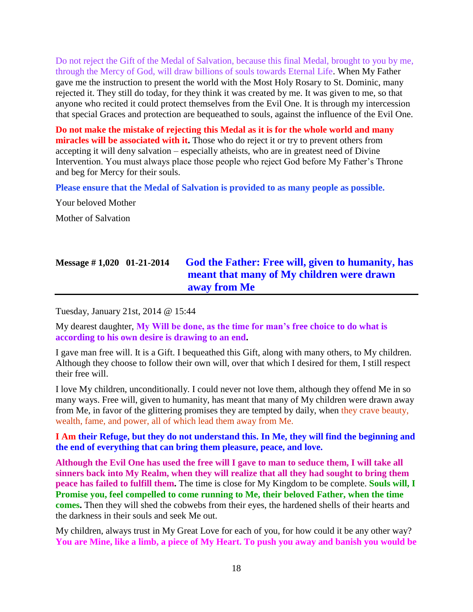Do not reject the Gift of the Medal of Salvation, because this final Medal, brought to you by me, through the Mercy of God, will draw billions of souls towards Eternal Life. When My Father gave me the instruction to present the world with the Most Holy Rosary to St. Dominic, many rejected it. They still do today, for they think it was created by me. It was given to me, so that anyone who recited it could protect themselves from the Evil One. It is through my intercession that special Graces and protection are bequeathed to souls, against the influence of the Evil One.

**Do not make the mistake of rejecting this Medal as it is for the whole world and many miracles will be associated with it.** Those who do reject it or try to prevent others from accepting it will deny salvation – especially atheists, who are in greatest need of Divine Intervention. You must always place those people who reject God before My Father's Throne and beg for Mercy for their souls.

**Please ensure that the Medal of Salvation is provided to as many people as possible.**

Your beloved Mother

Mother of Salvation

# **Message # 1,020 01-21-2014 [God the Father: Free will, given to humanity, has](http://www.thewarningsecondcoming.com/god-the-father-free-will-given-to-humanity-has-meant-that-many-of-my-children-were-drawn-away-from-me/)  [meant that many of My children were drawn](http://www.thewarningsecondcoming.com/god-the-father-free-will-given-to-humanity-has-meant-that-many-of-my-children-were-drawn-away-from-me/)  [away from Me](http://www.thewarningsecondcoming.com/god-the-father-free-will-given-to-humanity-has-meant-that-many-of-my-children-were-drawn-away-from-me/)**

Tuesday, January 21st, 2014 @ 15:44

My dearest daughter, **My Will be done, as the time for man's free choice to do what is according to his own desire is drawing to an end.**

I gave man free will. It is a Gift. I bequeathed this Gift, along with many others, to My children. Although they choose to follow their own will, over that which I desired for them, I still respect their free will.

I love My children, unconditionally. I could never not love them, although they offend Me in so many ways. Free will, given to humanity, has meant that many of My children were drawn away from Me, in favor of the glittering promises they are tempted by daily, when they crave beauty, wealth, fame, and power, all of which lead them away from Me.

**I Am their Refuge, but they do not understand this. In Me, they will find the beginning and the end of everything that can bring them pleasure, peace, and love.**

**Although the Evil One has used the free will I gave to man to seduce them, I will take all sinners back into My Realm, when they will realize that all they had sought to bring them peace has failed to fulfill them.** The time is close for My Kingdom to be complete. **Souls will, I Promise you, feel compelled to come running to Me, their beloved Father, when the time comes.** Then they will shed the cobwebs from their eyes, the hardened shells of their hearts and the darkness in their souls and seek Me out.

My children, always trust in My Great Love for each of you, for how could it be any other way? **You are Mine, like a limb, a piece of My Heart. To push you away and banish you would be**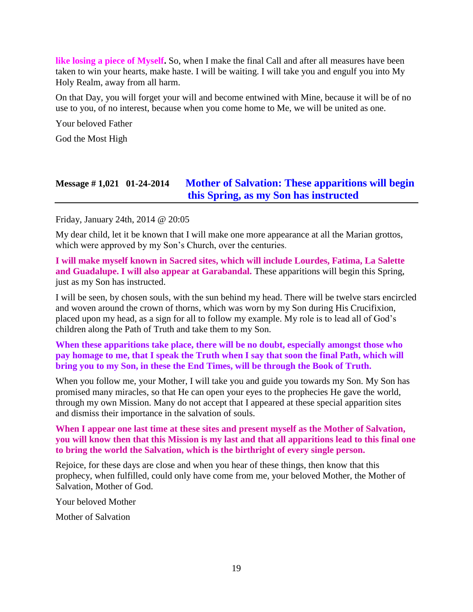**like losing a piece of Myself.** So, when I make the final Call and after all measures have been taken to win your hearts, make haste. I will be waiting. I will take you and engulf you into My Holy Realm, away from all harm.

On that Day, you will forget your will and become entwined with Mine, because it will be of no use to you, of no interest, because when you come home to Me, we will be united as one.

Your beloved Father

God the Most High

### **Message # 1,021 01-24-2014 [Mother of Salvation: These apparitions will begin](http://www.thewarningsecondcoming.com/mother-of-salvation-these-apparitions-will-begin-this-spring-as-my-son-has-instructed-2/)  [this Spring, as my Son has instructed](http://www.thewarningsecondcoming.com/mother-of-salvation-these-apparitions-will-begin-this-spring-as-my-son-has-instructed-2/)**

Friday, January 24th, 2014 @ 20:05

My dear child, let it be known that I will make one more appearance at all the Marian grottos, which were approved by my Son's Church, over the centuries.

**I will make myself known in Sacred sites, which will include Lourdes, Fatima, La Salette and Guadalupe. I will also appear at Garabandal.** These apparitions will begin this Spring, just as my Son has instructed.

I will be seen, by chosen souls, with the sun behind my head. There will be twelve stars encircled and woven around the crown of thorns, which was worn by my Son during His Crucifixion, placed upon my head, as a sign for all to follow my example. My role is to lead all of God's children along the Path of Truth and take them to my Son.

#### **When these apparitions take place, there will be no doubt, especially amongst those who pay homage to me, that I speak the Truth when I say that soon the final Path, which will bring you to my Son, in these the End Times, will be through the Book of Truth.**

When you follow me, your Mother, I will take you and guide you towards my Son. My Son has promised many miracles, so that He can open your eyes to the prophecies He gave the world, through my own Mission. Many do not accept that I appeared at these special apparition sites and dismiss their importance in the salvation of souls.

### **When I appear one last time at these sites and present myself as the Mother of Salvation, you will know then that this Mission is my last and that all apparitions lead to this final one to bring the world the Salvation, which is the birthright of every single person.**

Rejoice, for these days are close and when you hear of these things, then know that this prophecy, when fulfilled, could only have come from me, your beloved Mother, the Mother of Salvation, Mother of God.

Your beloved Mother

Mother of Salvation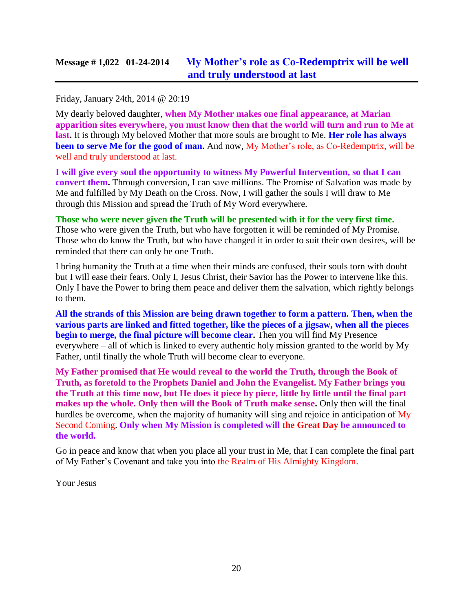Friday, January 24th, 2014 @ 20:19

My dearly beloved daughter, **when My Mother makes one final appearance, at Marian apparition sites everywhere, you must know then that the world will turn and run to Me at last.** It is through My beloved Mother that more souls are brought to Me. **Her role has always been to serve Me for the good of man.** And now, My Mother's role, as Co-Redemptrix, will be well and truly understood at last.

**I will give every soul the opportunity to witness My Powerful Intervention, so that I can convert them.** Through conversion, I can save millions. The Promise of Salvation was made by Me and fulfilled by My Death on the Cross. Now, I will gather the souls I will draw to Me through this Mission and spread the Truth of My Word everywhere.

**Those who were never given the Truth will be presented with it for the very first time.** Those who were given the Truth, but who have forgotten it will be reminded of My Promise. Those who do know the Truth, but who have changed it in order to suit their own desires, will be reminded that there can only be one Truth.

I bring humanity the Truth at a time when their minds are confused, their souls torn with doubt – but I will ease their fears. Only I, Jesus Christ, their Savior has the Power to intervene like this. Only I have the Power to bring them peace and deliver them the salvation, which rightly belongs to them.

**All the strands of this Mission are being drawn together to form a pattern. Then, when the various parts are linked and fitted together, like the pieces of a jigsaw, when all the pieces begin to merge, the final picture will become clear.** Then you will find My Presence everywhere – all of which is linked to every authentic holy mission granted to the world by My Father, until finally the whole Truth will become clear to everyone.

**My Father promised that He would reveal to the world the Truth, through the Book of Truth, as foretold to the Prophets Daniel and John the Evangelist. My Father brings you the Truth at this time now, but He does it piece by piece, little by little until the final part makes up the whole. Only then will the Book of Truth make sense.** Only then will the final hurdles be overcome, when the majority of humanity will sing and rejoice in anticipation of My Second Coming. **Only when My Mission is completed will the Great Day be announced to the world.**

Go in peace and know that when you place all your trust in Me, that I can complete the final part of My Father's Covenant and take you into the Realm of His Almighty Kingdom.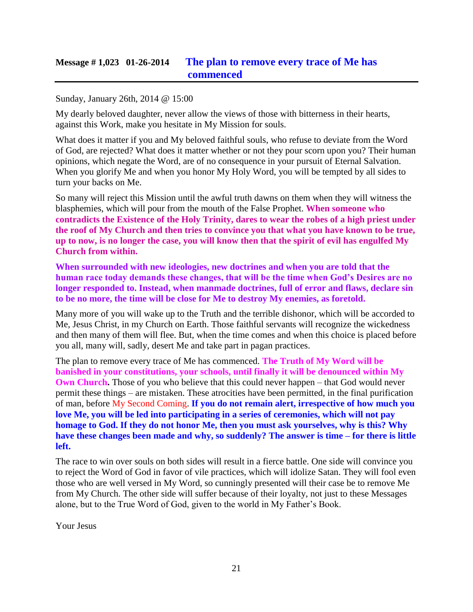### **Message # 1,023 01-26-2014 [The plan to remove every trace of Me has](http://www.thewarningsecondcoming.com/the-plan-to-remove-every-trace-of-me-has-commenced/)  [commenced](http://www.thewarningsecondcoming.com/the-plan-to-remove-every-trace-of-me-has-commenced/)**

#### Sunday, January 26th, 2014 @ 15:00

My dearly beloved daughter, never allow the views of those with bitterness in their hearts, against this Work, make you hesitate in My Mission for souls.

What does it matter if you and My beloved faithful souls, who refuse to deviate from the Word of God, are rejected? What does it matter whether or not they pour scorn upon you? Their human opinions, which negate the Word, are of no consequence in your pursuit of Eternal Salvation. When you glorify Me and when you honor My Holy Word, you will be tempted by all sides to turn your backs on Me.

So many will reject this Mission until the awful truth dawns on them when they will witness the blasphemies, which will pour from the mouth of the False Prophet. **When someone who contradicts the Existence of the Holy Trinity, dares to wear the robes of a high priest under the roof of My Church and then tries to convince you that what you have known to be true, up to now, is no longer the case, you will know then that the spirit of evil has engulfed My Church from within.**

**When surrounded with new ideologies, new doctrines and when you are told that the human race today demands these changes, that will be the time when God's Desires are no longer responded to. Instead, when manmade doctrines, full of error and flaws, declare sin to be no more, the time will be close for Me to destroy My enemies, as foretold.**

Many more of you will wake up to the Truth and the terrible dishonor, which will be accorded to Me, Jesus Christ, in my Church on Earth. Those faithful servants will recognize the wickedness and then many of them will flee. But, when the time comes and when this choice is placed before you all, many will, sadly, desert Me and take part in pagan practices.

The plan to remove every trace of Me has commenced. **The Truth of My Word will be banished in your constitutions, your schools, until finally it will be denounced within My Own Church.** Those of you who believe that this could never happen – that God would never permit these things – are mistaken. These atrocities have been permitted, in the final purification of man, before My Second Coming. **If you do not remain alert, irrespective of how much you love Me, you will be led into participating in a series of ceremonies, which will not pay homage to God. If they do not honor Me, then you must ask yourselves, why is this? Why have these changes been made and why, so suddenly? The answer is time – for there is little left.**

The race to win over souls on both sides will result in a fierce battle. One side will convince you to reject the Word of God in favor of vile practices, which will idolize Satan. They will fool even those who are well versed in My Word, so cunningly presented will their case be to remove Me from My Church. The other side will suffer because of their loyalty, not just to these Messages alone, but to the True Word of God, given to the world in My Father's Book.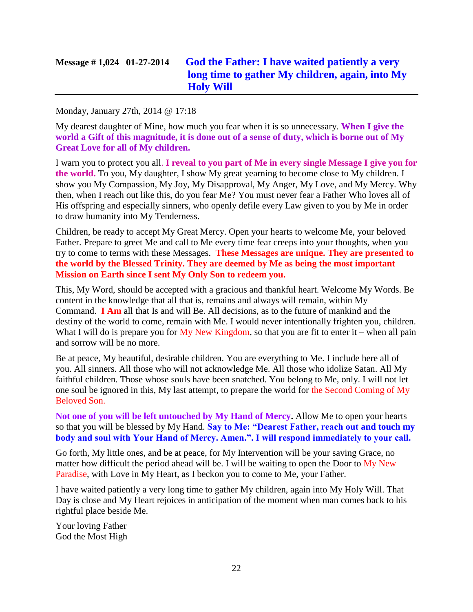# **Message # 1,024 01-27-2014 [God the Father: I have waited](http://www.thewarningsecondcoming.com/god-the-father-i-have-waited-patiently-a-very-long-time-to-gather-my-children-again-into-my-holy-will/) patiently a very [long time to gather My children, again, into My](http://www.thewarningsecondcoming.com/god-the-father-i-have-waited-patiently-a-very-long-time-to-gather-my-children-again-into-my-holy-will/)  [Holy Will](http://www.thewarningsecondcoming.com/god-the-father-i-have-waited-patiently-a-very-long-time-to-gather-my-children-again-into-my-holy-will/)**

#### Monday, January 27th, 2014 @ 17:18

My dearest daughter of Mine, how much you fear when it is so unnecessary. **When I give the world a Gift of this magnitude, it is done out of a sense of duty, which is borne out of My Great Love for all of My children.**

I warn you to protect you all. **I reveal to you part of Me in every single Message I give you for the world.** To you, My daughter, I show My great yearning to become close to My children. I show you My Compassion, My Joy, My Disapproval, My Anger, My Love, and My Mercy. Why then, when I reach out like this, do you fear Me? You must never fear a Father Who loves all of His offspring and especially sinners, who openly defile every Law given to you by Me in order to draw humanity into My Tenderness.

Children, be ready to accept My Great Mercy. Open your hearts to welcome Me, your beloved Father. Prepare to greet Me and call to Me every time fear creeps into your thoughts, when you try to come to terms with these Messages. **These Messages are unique. They are presented to the world by the Blessed Trinity. They are deemed by Me as being the most important Mission on Earth since I sent My Only Son to redeem you.**

This, My Word, should be accepted with a gracious and thankful heart. Welcome My Words. Be content in the knowledge that all that is, remains and always will remain, within My Command. **I Am** all that Is and will Be. All decisions, as to the future of mankind and the destiny of the world to come, remain with Me. I would never intentionally frighten you, children. What I will do is prepare you for  $My$  New Kingdom, so that you are fit to enter it – when all pain and sorrow will be no more.

Be at peace, My beautiful, desirable children. You are everything to Me. I include here all of you. All sinners. All those who will not acknowledge Me. All those who idolize Satan. All My faithful children. Those whose souls have been snatched. You belong to Me, only. I will not let one soul be ignored in this, My last attempt, to prepare the world for the Second Coming of My Beloved Son.

**Not one of you will be left untouched by My Hand of Mercy.** Allow Me to open your hearts so that you will be blessed by My Hand. **Say to Me: "Dearest Father, reach out and touch my body and soul with Your Hand of Mercy. Amen.". I will respond immediately to your call.**

Go forth, My little ones, and be at peace, for My Intervention will be your saving Grace, no matter how difficult the period ahead will be. I will be waiting to open the Door to My New Paradise, with Love in My Heart, as I beckon you to come to Me, your Father.

I have waited patiently a very long time to gather My children, again into My Holy Will. That Day is close and My Heart rejoices in anticipation of the moment when man comes back to his rightful place beside Me.

Your loving Father God the Most High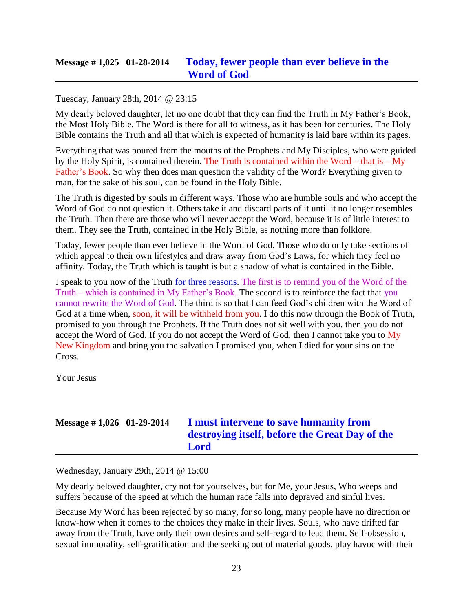### **Message # 1,025 01-28-2014 [Today, fewer people than ever believe in the](http://www.thewarningsecondcoming.com/today-fewer-people-than-ever-believe-in-the-word-of-god/)  [Word of God](http://www.thewarningsecondcoming.com/today-fewer-people-than-ever-believe-in-the-word-of-god/)**

#### Tuesday, January 28th, 2014 @ 23:15

My dearly beloved daughter, let no one doubt that they can find the Truth in My Father's Book, the Most Holy Bible. The Word is there for all to witness, as it has been for centuries. The Holy Bible contains the Truth and all that which is expected of humanity is laid bare within its pages.

Everything that was poured from the mouths of the Prophets and My Disciples, who were guided by the Holy Spirit, is contained therein. The Truth is contained within the Word – that is – My Father's Book. So why then does man question the validity of the Word? Everything given to man, for the sake of his soul, can be found in the Holy Bible.

The Truth is digested by souls in different ways. Those who are humble souls and who accept the Word of God do not question it. Others take it and discard parts of it until it no longer resembles the Truth. Then there are those who will never accept the Word, because it is of little interest to them. They see the Truth, contained in the Holy Bible, as nothing more than folklore.

Today, fewer people than ever believe in the Word of God. Those who do only take sections of which appeal to their own lifestyles and draw away from God's Laws, for which they feel no affinity. Today, the Truth which is taught is but a shadow of what is contained in the Bible.

I speak to you now of the Truth for three reasons. The first is to remind you of the Word of the Truth – which is contained in My Father's Book. The second is to reinforce the fact that you cannot rewrite the Word of God. The third is so that I can feed God's children with the Word of God at a time when, soon, it will be withheld from you. I do this now through the Book of Truth, promised to you through the Prophets. If the Truth does not sit well with you, then you do not accept the Word of God. If you do not accept the Word of God, then I cannot take you to  $\overline{My}$ New Kingdom and bring you the salvation I promised you, when I died for your sins on the Cross.

Your Jesus

# **Message # 1,026 01-29-2014 [I must intervene to save humanity from](http://www.thewarningsecondcoming.com/i-must-intervene-to-save-humanity-from-destroying-itself-before-the-great-day-of-the-lord/)  [destroying itself, before the Great Day of the](http://www.thewarningsecondcoming.com/i-must-intervene-to-save-humanity-from-destroying-itself-before-the-great-day-of-the-lord/)  [Lord](http://www.thewarningsecondcoming.com/i-must-intervene-to-save-humanity-from-destroying-itself-before-the-great-day-of-the-lord/)**

Wednesday, January 29th, 2014 @ 15:00

My dearly beloved daughter, cry not for yourselves, but for Me, your Jesus, Who weeps and suffers because of the speed at which the human race falls into depraved and sinful lives.

Because My Word has been rejected by so many, for so long, many people have no direction or know-how when it comes to the choices they make in their lives. Souls, who have drifted far away from the Truth, have only their own desires and self-regard to lead them. Self-obsession, sexual immorality, self-gratification and the seeking out of material goods, play havoc with their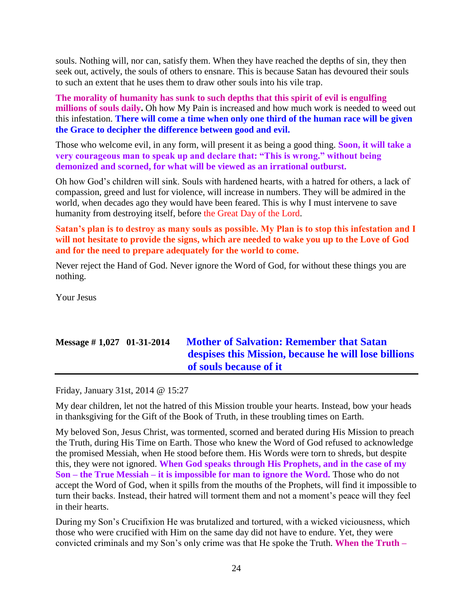souls. Nothing will, nor can, satisfy them. When they have reached the depths of sin, they then seek out, actively, the souls of others to ensnare. This is because Satan has devoured their souls to such an extent that he uses them to draw other souls into his vile trap.

**The morality of humanity has sunk to such depths that this spirit of evil is engulfing millions of souls daily.** Oh how My Pain is increased and how much work is needed to weed out this infestation. **There will come a time when only one third of the human race will be given the Grace to decipher the difference between good and evil.**

Those who welcome evil, in any form, will present it as being a good thing. **Soon, it will take a very courageous man to speak up and declare that: "This is wrong." without being demonized and scorned, for what will be viewed as an irrational outburst.**

Oh how God's children will sink. Souls with hardened hearts, with a hatred for others, a lack of compassion, greed and lust for violence, will increase in numbers. They will be admired in the world, when decades ago they would have been feared. This is why I must intervene to save humanity from destroying itself, before the Great Day of the Lord.

**Satan's plan is to destroy as many souls as possible. My Plan is to stop this infestation and I will not hesitate to provide the signs, which are needed to wake you up to the Love of God and for the need to prepare adequately for the world to come.**

Never reject the Hand of God. Never ignore the Word of God, for without these things you are nothing.

Your Jesus

# **Message # 1,027 01-31-2014 [Mother of Salvation: Remember that Satan](http://www.thewarningsecondcoming.com/mother-of-salvation-remember-that-satan-despises-this-mission-because-he-will-lose-billions-of-souls-because-of-it/)  [despises this Mission, because he will lose billions](http://www.thewarningsecondcoming.com/mother-of-salvation-remember-that-satan-despises-this-mission-because-he-will-lose-billions-of-souls-because-of-it/)  [of souls because of it](http://www.thewarningsecondcoming.com/mother-of-salvation-remember-that-satan-despises-this-mission-because-he-will-lose-billions-of-souls-because-of-it/)**

Friday, January 31st, 2014 @ 15:27

My dear children, let not the hatred of this Mission trouble your hearts. Instead, bow your heads in thanksgiving for the Gift of the Book of Truth, in these troubling times on Earth.

My beloved Son, Jesus Christ, was tormented, scorned and berated during His Mission to preach the Truth, during His Time on Earth. Those who knew the Word of God refused to acknowledge the promised Messiah, when He stood before them. His Words were torn to shreds, but despite this, they were not ignored. **When God speaks through His Prophets, and in the case of my Son – the True Messiah – it is impossible for man to ignore the Word.** Those who do not accept the Word of God, when it spills from the mouths of the Prophets, will find it impossible to turn their backs. Instead, their hatred will torment them and not a moment's peace will they feel in their hearts.

During my Son's Crucifixion He was brutalized and tortured, with a wicked viciousness, which those who were crucified with Him on the same day did not have to endure. Yet, they were convicted criminals and my Son's only crime was that He spoke the Truth. **When the Truth –**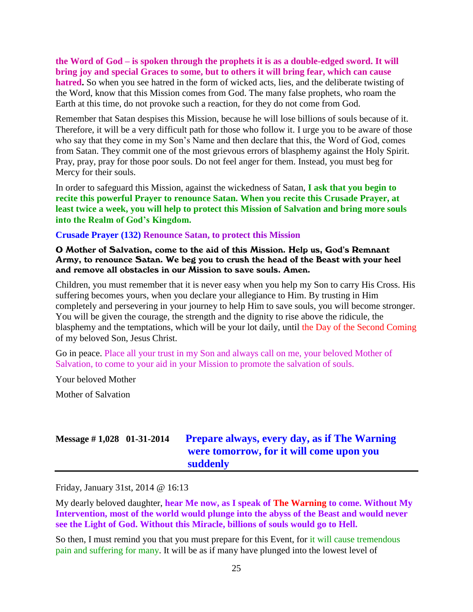#### **the Word of God – is spoken through the prophets it is as a double-edged sword. It will bring joy and special Graces to some, but to others it will bring fear, which can cause hatred.** So when you see hatred in the form of wicked acts, lies, and the deliberate twisting of the Word, know that this Mission comes from God. The many false prophets, who roam the Earth at this time, do not provoke such a reaction, for they do not come from God.

Remember that Satan despises this Mission, because he will lose billions of souls because of it. Therefore, it will be a very difficult path for those who follow it. I urge you to be aware of those who say that they come in my Son's Name and then declare that this, the Word of God, comes from Satan. They commit one of the most grievous errors of blasphemy against the Holy Spirit. Pray, pray, pray for those poor souls. Do not feel anger for them. Instead, you must beg for Mercy for their souls.

In order to safeguard this Mission, against the wickedness of Satan, **I ask that you begin to recite this powerful Prayer to renounce Satan. When you recite this Crusade Prayer, at least twice a week, you will help to protect this Mission of Salvation and bring more souls into the Realm of God's Kingdom.**

#### **Crusade Prayer (132) Renounce Satan, to protect this Mission**

O Mother of Salvation, come to the aid of this Mission. Help us, God's Remnant Army, to renounce Satan. We beg you to crush the head of the Beast with your heel and remove all obstacles in our Mission to save souls. Amen.

Children, you must remember that it is never easy when you help my Son to carry His Cross. His suffering becomes yours, when you declare your allegiance to Him. By trusting in Him completely and persevering in your journey to help Him to save souls, you will become stronger. You will be given the courage, the strength and the dignity to rise above the ridicule, the blasphemy and the temptations, which will be your lot daily, until the Day of the Second Coming of my beloved Son, Jesus Christ.

Go in peace. Place all your trust in my Son and always call on me, your beloved Mother of Salvation, to come to your aid in your Mission to promote the salvation of souls.

Your beloved Mother

Mother of Salvation

### **Message # 1,028 01-31-2014 [Prepare always, every day, as if The Warning](http://www.thewarningsecondcoming.com/prepare-always-every-day-as-if-the-warning-were-tomorrow-for-it-will-come-upon-you-suddenly/)  [were tomorrow, for it will come upon you](http://www.thewarningsecondcoming.com/prepare-always-every-day-as-if-the-warning-were-tomorrow-for-it-will-come-upon-you-suddenly/)  [suddenly](http://www.thewarningsecondcoming.com/prepare-always-every-day-as-if-the-warning-were-tomorrow-for-it-will-come-upon-you-suddenly/)**

Friday, January 31st, 2014 @ 16:13

My dearly beloved daughter, **hear Me now, as I speak of The Warning to come. Without My Intervention, most of the world would plunge into the abyss of the Beast and would never see the Light of God. Without this Miracle, billions of souls would go to Hell.**

So then, I must remind you that you must prepare for this Event, for it will cause tremendous pain and suffering for many. It will be as if many have plunged into the lowest level of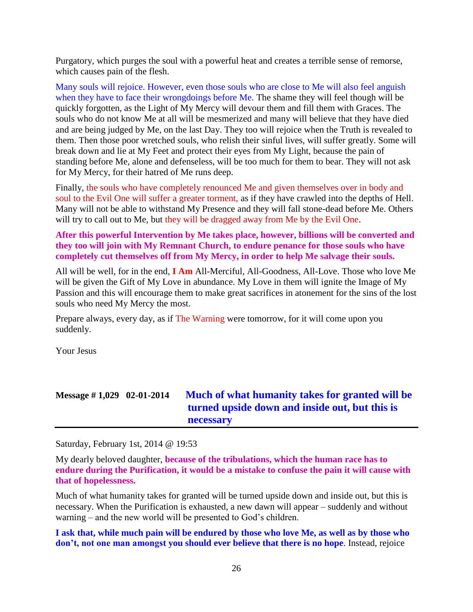Purgatory, which purges the soul with a powerful heat and creates a terrible sense of remorse, which causes pain of the flesh.

Many souls will rejoice. However, even those souls who are close to Me will also feel anguish when they have to face their wrongdoings before Me. The shame they will feel though will be quickly forgotten, as the Light of My Mercy will devour them and fill them with Graces. The souls who do not know Me at all will be mesmerized and many will believe that they have died and are being judged by Me, on the last Day. They too will rejoice when the Truth is revealed to them. Then those poor wretched souls, who relish their sinful lives, will suffer greatly. Some will break down and lie at My Feet and protect their eyes from My Light, because the pain of standing before Me, alone and defenseless, will be too much for them to bear. They will not ask for My Mercy, for their hatred of Me runs deep.

Finally, the souls who have completely renounced Me and given themselves over in body and soul to the Evil One will suffer a greater torment, as if they have crawled into the depths of Hell. Many will not be able to withstand My Presence and they will fall stone-dead before Me. Others will try to call out to Me, but they will be dragged away from Me by the Evil One.

#### **After this powerful Intervention by Me takes place, however, billions will be converted and they too will join with My Remnant Church, to endure penance for those souls who have completely cut themselves off from My Mercy, in order to help Me salvage their souls.**

All will be well, for in the end, **I Am** All-Merciful, All-Goodness, All-Love. Those who love Me will be given the Gift of My Love in abundance. My Love in them will ignite the Image of My Passion and this will encourage them to make great sacrifices in atonement for the sins of the lost souls who need My Mercy the most.

Prepare always, every day, as if The Warning were tomorrow, for it will come upon you suddenly.

Your Jesus

# **Message # 1,029 02-01-2014 [Much of what humanity takes for granted will be](http://www.thewarningsecondcoming.com/much-of-what-humanity-takes-for-granted-will-be-turned-upside-down-and-inside-out-but-this-is-necessary/)  [turned upside down and inside out, but this is](http://www.thewarningsecondcoming.com/much-of-what-humanity-takes-for-granted-will-be-turned-upside-down-and-inside-out-but-this-is-necessary/)  [necessary](http://www.thewarningsecondcoming.com/much-of-what-humanity-takes-for-granted-will-be-turned-upside-down-and-inside-out-but-this-is-necessary/)**

Saturday, February 1st, 2014 @ 19:53

My dearly beloved daughter, **because of the tribulations, which the human race has to endure during the Purification, it would be a mistake to confuse the pain it will cause with that of hopelessness.**

Much of what humanity takes for granted will be turned upside down and inside out, but this is necessary. When the Purification is exhausted, a new dawn will appear – suddenly and without warning – and the new world will be presented to God's children.

**I ask that, while much pain will be endured by those who love Me, as well as by those who don't, not one man amongst you should ever believe that there is no hope**. Instead, rejoice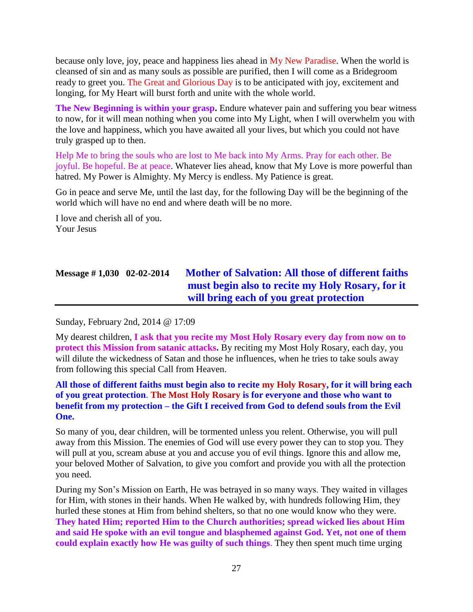because only love, joy, peace and happiness lies ahead in My New Paradise. When the world is cleansed of sin and as many souls as possible are purified, then I will come as a Bridegroom ready to greet you. The Great and Glorious Day is to be anticipated with joy, excitement and longing, for My Heart will burst forth and unite with the whole world.

**The New Beginning is within your grasp.** Endure whatever pain and suffering you bear witness to now, for it will mean nothing when you come into My Light, when I will overwhelm you with the love and happiness, which you have awaited all your lives, but which you could not have truly grasped up to then.

Help Me to bring the souls who are lost to Me back into My Arms. Pray for each other. Be joyful. Be hopeful. Be at peace. Whatever lies ahead, know that My Love is more powerful than hatred. My Power is Almighty. My Mercy is endless. My Patience is great.

Go in peace and serve Me, until the last day, for the following Day will be the beginning of the world which will have no end and where death will be no more.

I love and cherish all of you. Your Jesus

# **Message # 1,030 02-02-2014 [Mother of Salvation: All those of different faiths](http://www.thewarningsecondcoming.com/mother-of-salvation-all-those-of-different-faiths-must-begin-also-to-recite-my-holy-rosary-for-it-will-bring-each-of-you-great-protection/)  [must begin also to recite my Holy Rosary, for it](http://www.thewarningsecondcoming.com/mother-of-salvation-all-those-of-different-faiths-must-begin-also-to-recite-my-holy-rosary-for-it-will-bring-each-of-you-great-protection/)  [will bring each of you great protection](http://www.thewarningsecondcoming.com/mother-of-salvation-all-those-of-different-faiths-must-begin-also-to-recite-my-holy-rosary-for-it-will-bring-each-of-you-great-protection/)**

Sunday, February 2nd, 2014 @ 17:09

My dearest children, **I ask that you recite my Most Holy Rosary every day from now on to protect this Mission from satanic attacks.** By reciting my Most Holy Rosary, each day, you will dilute the wickedness of Satan and those he influences, when he tries to take souls away from following this special Call from Heaven.

### **All those of different faiths must begin also to recite my Holy Rosary, for it will bring each of you great protection**. **The Most Holy Rosary is for everyone and those who want to benefit from my protection – the Gift I received from God to defend souls from the Evil One.**

So many of you, dear children, will be tormented unless you relent. Otherwise, you will pull away from this Mission. The enemies of God will use every power they can to stop you. They will pull at you, scream abuse at you and accuse you of evil things. Ignore this and allow me, your beloved Mother of Salvation, to give you comfort and provide you with all the protection you need.

During my Son's Mission on Earth, He was betrayed in so many ways. They waited in villages for Him, with stones in their hands. When He walked by, with hundreds following Him, they hurled these stones at Him from behind shelters, so that no one would know who they were. **They hated Him; reported Him to the Church authorities; spread wicked lies about Him and said He spoke with an evil tongue and blasphemed against God. Yet, not one of them could explain exactly how He was guilty of such things**. They then spent much time urging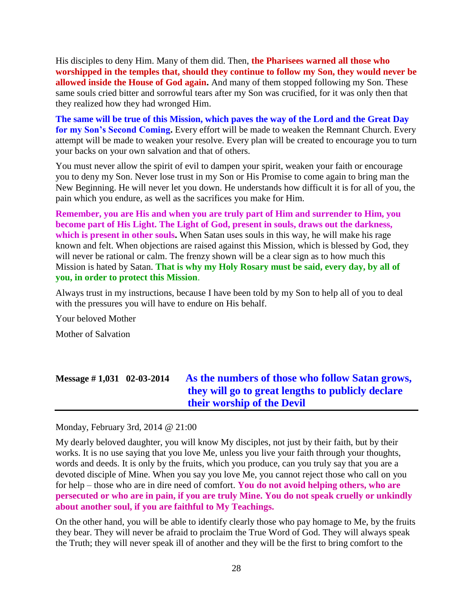His disciples to deny Him. Many of them did. Then, **the Pharisees warned all those who worshipped in the temples that, should they continue to follow my Son, they would never be allowed inside the House of God again.** And many of them stopped following my Son. These same souls cried bitter and sorrowful tears after my Son was crucified, for it was only then that they realized how they had wronged Him.

**The same will be true of this Mission, which paves the way of the Lord and the Great Day for my Son's Second Coming.** Every effort will be made to weaken the Remnant Church. Every attempt will be made to weaken your resolve. Every plan will be created to encourage you to turn your backs on your own salvation and that of others.

You must never allow the spirit of evil to dampen your spirit, weaken your faith or encourage you to deny my Son. Never lose trust in my Son or His Promise to come again to bring man the New Beginning. He will never let you down. He understands how difficult it is for all of you, the pain which you endure, as well as the sacrifices you make for Him.

**Remember, you are His and when you are truly part of Him and surrender to Him, you become part of His Light. The Light of God, present in souls, draws out the darkness,**  which is present in other souls. When Satan uses souls in this way, he will make his rage known and felt. When objections are raised against this Mission, which is blessed by God, they will never be rational or calm. The frenzy shown will be a clear sign as to how much this Mission is hated by Satan. **That is why my Holy Rosary must be said, every day, by all of you, in order to protect this Mission**.

Always trust in my instructions, because I have been told by my Son to help all of you to deal with the pressures you will have to endure on His behalf.

Your beloved Mother

Mother of Salvation

# **Message # 1,031 02-03-2014 [As the numbers of those who follow Satan grows,](http://www.thewarningsecondcoming.com/as-the-numbers-of-those-who-follow-satan-grows-they-will-go-to-great-lengths-to-publicly-declare-their-worship-of-the-devil/)  [they will go to great lengths to publicly declare](http://www.thewarningsecondcoming.com/as-the-numbers-of-those-who-follow-satan-grows-they-will-go-to-great-lengths-to-publicly-declare-their-worship-of-the-devil/)  [their worship of the Devil](http://www.thewarningsecondcoming.com/as-the-numbers-of-those-who-follow-satan-grows-they-will-go-to-great-lengths-to-publicly-declare-their-worship-of-the-devil/)**

Monday, February 3rd, 2014 @ 21:00

My dearly beloved daughter, you will know My disciples, not just by their faith, but by their works. It is no use saying that you love Me, unless you live your faith through your thoughts, words and deeds. It is only by the fruits, which you produce, can you truly say that you are a devoted disciple of Mine. When you say you love Me, you cannot reject those who call on you for help – those who are in dire need of comfort. **You do not avoid helping others, who are persecuted or who are in pain, if you are truly Mine. You do not speak cruelly or unkindly about another soul, if you are faithful to My Teachings.**

On the other hand, you will be able to identify clearly those who pay homage to Me, by the fruits they bear. They will never be afraid to proclaim the True Word of God. They will always speak the Truth; they will never speak ill of another and they will be the first to bring comfort to the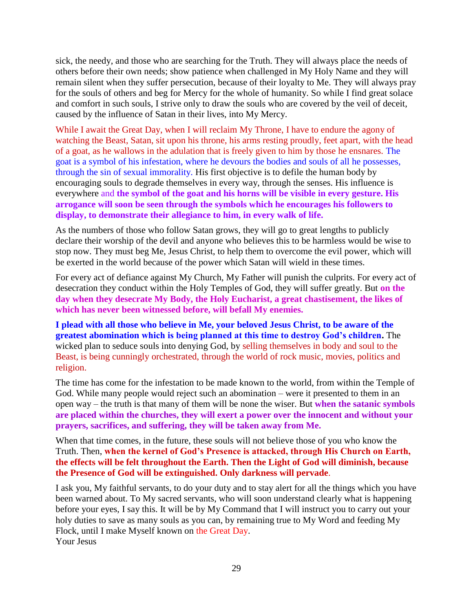sick, the needy, and those who are searching for the Truth. They will always place the needs of others before their own needs; show patience when challenged in My Holy Name and they will remain silent when they suffer persecution, because of their loyalty to Me. They will always pray for the souls of others and beg for Mercy for the whole of humanity. So while I find great solace and comfort in such souls, I strive only to draw the souls who are covered by the veil of deceit, caused by the influence of Satan in their lives, into My Mercy.

While I await the Great Day, when I will reclaim My Throne, I have to endure the agony of watching the Beast, Satan, sit upon his throne, his arms resting proudly, feet apart, with the head of a goat, as he wallows in the adulation that is freely given to him by those he ensnares. The goat is a symbol of his infestation, where he devours the bodies and souls of all he possesses, through the sin of sexual immorality. His first objective is to defile the human body by encouraging souls to degrade themselves in every way, through the senses. His influence is everywhere and **the symbol of the goat and his horns will be visible in every gesture. His arrogance will soon be seen through the symbols which he encourages his followers to display, to demonstrate their allegiance to him, in every walk of life.**

As the numbers of those who follow Satan grows, they will go to great lengths to publicly declare their worship of the devil and anyone who believes this to be harmless would be wise to stop now. They must beg Me, Jesus Christ, to help them to overcome the evil power, which will be exerted in the world because of the power which Satan will wield in these times.

For every act of defiance against My Church, My Father will punish the culprits. For every act of desecration they conduct within the Holy Temples of God, they will suffer greatly. But **on the day when they desecrate My Body, the Holy Eucharist, a great chastisement, the likes of which has never been witnessed before, will befall My enemies.**

**I plead with all those who believe in Me, your beloved Jesus Christ, to be aware of the greatest abomination which is being planned at this time to destroy God's children.** The wicked plan to seduce souls into denying God, by selling themselves in body and soul to the Beast, is being cunningly orchestrated, through the world of rock music, movies, politics and religion.

The time has come for the infestation to be made known to the world, from within the Temple of God. While many people would reject such an abomination – were it presented to them in an open way – the truth is that many of them will be none the wiser. But **when the satanic symbols are placed within the churches, they will exert a power over the innocent and without your prayers, sacrifices, and suffering, they will be taken away from Me.**

When that time comes, in the future, these souls will not believe those of you who know the Truth. Then, **when the kernel of God's Presence is attacked, through His Church on Earth, the effects will be felt throughout the Earth. Then the Light of God will diminish, because the Presence of God will be extinguished. Only darkness will pervade**.

I ask you, My faithful servants, to do your duty and to stay alert for all the things which you have been warned about. To My sacred servants, who will soon understand clearly what is happening before your eyes, I say this. It will be by My Command that I will instruct you to carry out your holy duties to save as many souls as you can, by remaining true to My Word and feeding My Flock, until I make Myself known on the Great Day. Your Jesus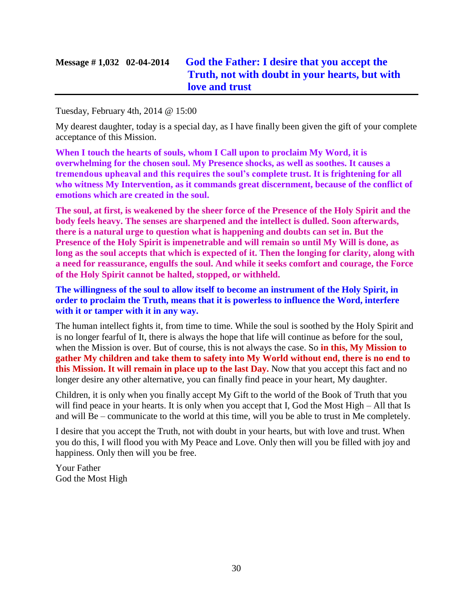# **Message # 1,032 02-04-2014 [God the Father: I desire that you accept the](http://www.thewarningsecondcoming.com/god-the-father-i-desire-that-you-accept-the-truth-not-with-doubt-in-your-hearts-but-with-love-and-trust/)  [Truth, not with doubt in your hearts, but with](http://www.thewarningsecondcoming.com/god-the-father-i-desire-that-you-accept-the-truth-not-with-doubt-in-your-hearts-but-with-love-and-trust/)  [love and trust](http://www.thewarningsecondcoming.com/god-the-father-i-desire-that-you-accept-the-truth-not-with-doubt-in-your-hearts-but-with-love-and-trust/)**

Tuesday, February 4th, 2014 @ 15:00

My dearest daughter, today is a special day, as I have finally been given the gift of your complete acceptance of this Mission.

**When I touch the hearts of souls, whom I Call upon to proclaim My Word, it is overwhelming for the chosen soul. My Presence shocks, as well as soothes. It causes a tremendous upheaval and this requires the soul's complete trust. It is frightening for all who witness My Intervention, as it commands great discernment, because of the conflict of emotions which are created in the soul.**

**The soul, at first, is weakened by the sheer force of the Presence of the Holy Spirit and the body feels heavy. The senses are sharpened and the intellect is dulled. Soon afterwards, there is a natural urge to question what is happening and doubts can set in. But the Presence of the Holy Spirit is impenetrable and will remain so until My Will is done, as long as the soul accepts that which is expected of it. Then the longing for clarity, along with a need for reassurance, engulfs the soul. And while it seeks comfort and courage, the Force of the Holy Spirit cannot be halted, stopped, or withheld.**

**The willingness of the soul to allow itself to become an instrument of the Holy Spirit, in order to proclaim the Truth, means that it is powerless to influence the Word, interfere with it or tamper with it in any way.**

The human intellect fights it, from time to time. While the soul is soothed by the Holy Spirit and is no longer fearful of It, there is always the hope that life will continue as before for the soul, when the Mission is over. But of course, this is not always the case. So **in this, My Mission to gather My children and take them to safety into My World without end, there is no end to this Mission. It will remain in place up to the last Day.** Now that you accept this fact and no longer desire any other alternative, you can finally find peace in your heart, My daughter.

Children, it is only when you finally accept My Gift to the world of the Book of Truth that you will find peace in your hearts. It is only when you accept that I, God the Most High – All that Is and will Be – communicate to the world at this time, will you be able to trust in Me completely.

I desire that you accept the Truth, not with doubt in your hearts, but with love and trust. When you do this, I will flood you with My Peace and Love. Only then will you be filled with joy and happiness. Only then will you be free.

Your Father God the Most High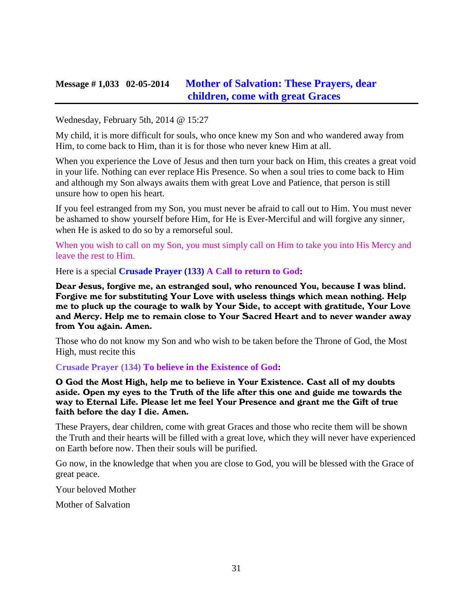### **Message # 1,033 02-05-2014 [Mother of Salvation: These Prayers, dear](http://www.thewarningsecondcoming.com/mother-of-salvation-these-prayers-dear-children-come-with-great-graces/)  [children, come with great Graces](http://www.thewarningsecondcoming.com/mother-of-salvation-these-prayers-dear-children-come-with-great-graces/)**

Wednesday, February 5th, 2014 @ 15:27

My child, it is more difficult for souls, who once knew my Son and who wandered away from Him, to come back to Him, than it is for those who never knew Him at all.

When you experience the Love of Jesus and then turn your back on Him, this creates a great void in your life. Nothing can ever replace His Presence. So when a soul tries to come back to Him and although my Son always awaits them with great Love and Patience, that person is still unsure how to open his heart.

If you feel estranged from my Son, you must never be afraid to call out to Him. You must never be ashamed to show yourself before Him, for He is Ever-Merciful and will forgive any sinner, when He is asked to do so by a remorseful soul.

When you wish to call on my Son, you must simply call on Him to take you into His Mercy and leave the rest to Him.

Here is a special **Crusade Prayer (133) A Call to return to God:**

Dear Jesus, forgive me, an estranged soul, who renounced You, because I was blind. Forgive me for substituting Your Love with useless things which mean nothing. Help me to pluck up the courage to walk by Your Side, to accept with gratitude, Your Love and Mercy. Help me to remain close to Your Sacred Heart and to never wander away from You again. Amen.

Those who do not know my Son and who wish to be taken before the Throne of God, the Most High, must recite this

**Crusade Prayer (134) To believe in the Existence of God:**

O God the Most High, help me to believe in Your Existence. Cast all of my doubts aside. Open my eyes to the Truth of the life after this one and guide me towards the way to Eternal Life. Please let me feel Your Presence and grant me the Gift of true faith before the day I die. Amen.

These Prayers, dear children, come with great Graces and those who recite them will be shown the Truth and their hearts will be filled with a great love, which they will never have experienced on Earth before now. Then their souls will be purified.

Go now, in the knowledge that when you are close to God, you will be blessed with the Grace of great peace.

Your beloved Mother

Mother of Salvation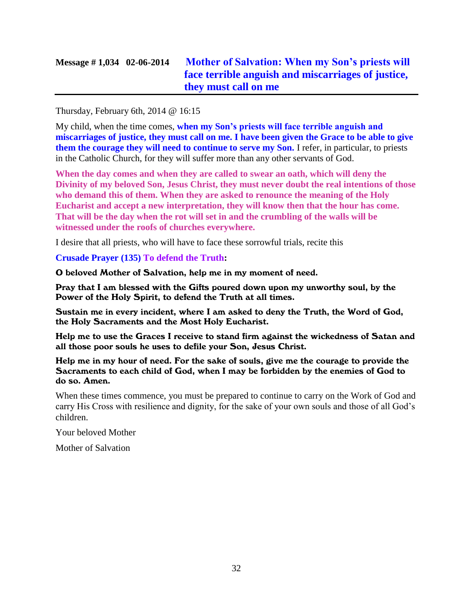# **Message # 1,034 02-06-2014 [Mother of Salvation: When my Son's priests will](http://www.thewarningsecondcoming.com/mother-of-salvation-when-my-sons-priests-will-face-terrible-anguish-and-miscarriages-of-justice-they-must-call-on-me/)  [face terrible anguish and miscarriages of justice,](http://www.thewarningsecondcoming.com/mother-of-salvation-when-my-sons-priests-will-face-terrible-anguish-and-miscarriages-of-justice-they-must-call-on-me/)  [they must call on me](http://www.thewarningsecondcoming.com/mother-of-salvation-when-my-sons-priests-will-face-terrible-anguish-and-miscarriages-of-justice-they-must-call-on-me/)**

#### Thursday, February 6th, 2014 @ 16:15

My child, when the time comes, **when my Son's priests will face terrible anguish and miscarriages of justice, they must call on me. I have been given the Grace to be able to give them the courage they will need to continue to serve my Son.** I refer, in particular, to priests in the Catholic Church, for they will suffer more than any other servants of God.

**When the day comes and when they are called to swear an oath, which will deny the Divinity of my beloved Son, Jesus Christ, they must never doubt the real intentions of those who demand this of them. When they are asked to renounce the meaning of the Holy Eucharist and accept a new interpretation, they will know then that the hour has come. That will be the day when the rot will set in and the crumbling of the walls will be witnessed under the roofs of churches everywhere.**

I desire that all priests, who will have to face these sorrowful trials, recite this

#### **Crusade Prayer (135) To defend the Truth:**

O beloved Mother of Salvation, help me in my moment of need.

Pray that I am blessed with the Gifts poured down upon my unworthy soul, by the Power of the Holy Spirit, to defend the Truth at all times.

Sustain me in every incident, where I am asked to deny the Truth, the Word of God, the Holy Sacraments and the Most Holy Eucharist.

Help me to use the Graces I receive to stand firm against the wickedness of Satan and all those poor souls he uses to defile your Son, Jesus Christ.

Help me in my hour of need. For the sake of souls, give me the courage to provide the Sacraments to each child of God, when I may be forbidden by the enemies of God to do so. Amen.

When these times commence, you must be prepared to continue to carry on the Work of God and carry His Cross with resilience and dignity, for the sake of your own souls and those of all God's children.

Your beloved Mother

Mother of Salvation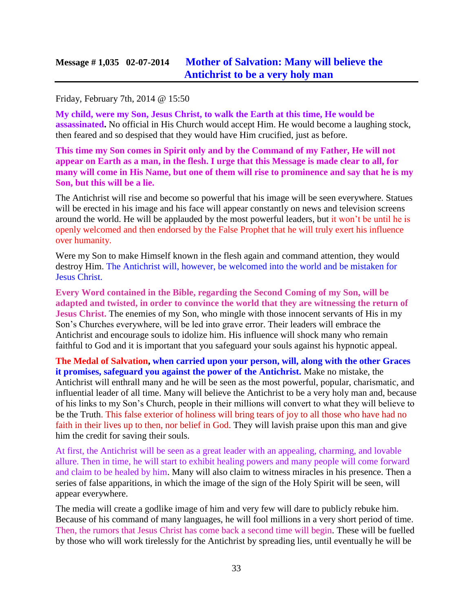#### Friday, February 7th, 2014 @ 15:50

**My child, were my Son, Jesus Christ, to walk the Earth at this time, He would be assassinated.** No official in His Church would accept Him. He would become a laughing stock, then feared and so despised that they would have Him crucified, just as before.

**This time my Son comes in Spirit only and by the Command of my Father, He will not appear on Earth as a man, in the flesh. I urge that this Message is made clear to all, for many will come in His Name, but one of them will rise to prominence and say that he is my Son, but this will be a lie.**

The Antichrist will rise and become so powerful that his image will be seen everywhere. Statues will be erected in his image and his face will appear constantly on news and television screens around the world. He will be applauded by the most powerful leaders, but it won't be until he is openly welcomed and then endorsed by the False Prophet that he will truly exert his influence over humanity.

Were my Son to make Himself known in the flesh again and command attention, they would destroy Him. The Antichrist will, however, be welcomed into the world and be mistaken for Jesus Christ.

**Every Word contained in the Bible, regarding the Second Coming of my Son, will be adapted and twisted, in order to convince the world that they are witnessing the return of Jesus Christ.** The enemies of my Son, who mingle with those innocent servants of His in my Son's Churches everywhere, will be led into grave error. Their leaders will embrace the Antichrist and encourage souls to idolize him. His influence will shock many who remain faithful to God and it is important that you safeguard your souls against his hypnotic appeal.

**The Medal of Salvation, when carried upon your person, will, along with the other Graces it promises, safeguard you against the power of the Antichrist.** Make no mistake, the Antichrist will enthrall many and he will be seen as the most powerful, popular, charismatic, and influential leader of all time. Many will believe the Antichrist to be a very holy man and, because of his links to my Son's Church, people in their millions will convert to what they will believe to be the Truth. This false exterior of holiness will bring tears of joy to all those who have had no faith in their lives up to then, nor belief in God. They will lavish praise upon this man and give him the credit for saving their souls.

At first, the Antichrist will be seen as a great leader with an appealing, charming, and lovable allure. Then in time, he will start to exhibit healing powers and many people will come forward and claim to be healed by him. Many will also claim to witness miracles in his presence. Then a series of false apparitions, in which the image of the sign of the Holy Spirit will be seen, will appear everywhere.

The media will create a godlike image of him and very few will dare to publicly rebuke him. Because of his command of many languages, he will fool millions in a very short period of time. Then, the rumors that Jesus Christ has come back a second time will begin. These will be fuelled by those who will work tirelessly for the Antichrist by spreading lies, until eventually he will be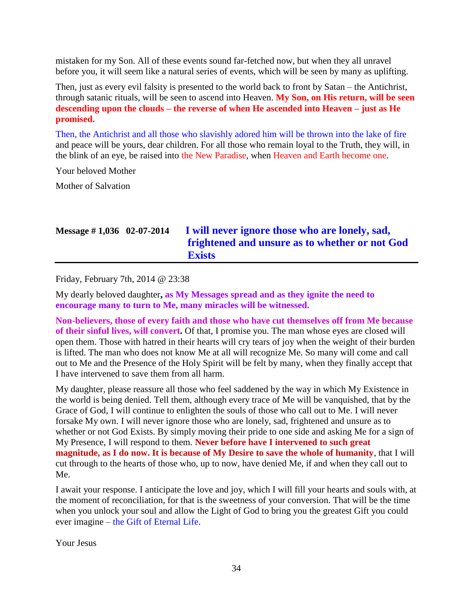mistaken for my Son. All of these events sound far-fetched now, but when they all unravel before you, it will seem like a natural series of events, which will be seen by many as uplifting.

Then, just as every evil falsity is presented to the world back to front by Satan – the Antichrist, through satanic rituals, will be seen to ascend into Heaven. **My Son, on His return, will be seen descending upon the clouds – the reverse of when He ascended into Heaven – just as He promised.**

Then, the Antichrist and all those who slavishly adored him will be thrown into the lake of fire and peace will be yours, dear children. For all those who remain loyal to the Truth, they will, in the blink of an eye, be raised into the New Paradise, when Heaven and Earth become one.

Your beloved Mother

Mother of Salvation

# **Message # 1,036 02-07-2014 [I will never ignore those who are lonely, sad,](http://www.thewarningsecondcoming.com/i-will-never-ignore-those-who-are-lonely-sad-frightened-and-unsure-as-to-whether-or-not-god-exists/)  [frightened and unsure as to whether or not God](http://www.thewarningsecondcoming.com/i-will-never-ignore-those-who-are-lonely-sad-frightened-and-unsure-as-to-whether-or-not-god-exists/)  [Exists](http://www.thewarningsecondcoming.com/i-will-never-ignore-those-who-are-lonely-sad-frightened-and-unsure-as-to-whether-or-not-god-exists/)**

Friday, February 7th, 2014 @ 23:38

My dearly beloved daughter**, as My Messages spread and as they ignite the need to encourage many to turn to Me, many miracles will be witnessed.**

**Non-believers, those of every faith and those who have cut themselves off from Me because of their sinful lives, will convert.** Of that, I promise you. The man whose eyes are closed will open them. Those with hatred in their hearts will cry tears of joy when the weight of their burden is lifted. The man who does not know Me at all will recognize Me. So many will come and call out to Me and the Presence of the Holy Spirit will be felt by many, when they finally accept that I have intervened to save them from all harm.

My daughter, please reassure all those who feel saddened by the way in which My Existence in the world is being denied. Tell them, although every trace of Me will be vanquished, that by the Grace of God, I will continue to enlighten the souls of those who call out to Me. I will never forsake My own. I will never ignore those who are lonely, sad, frightened and unsure as to whether or not God Exists. By simply moving their pride to one side and asking Me for a sign of My Presence, I will respond to them. **Never before have I intervened to such great magnitude, as I do now. It is because of My Desire to save the whole of humanity**, that I will cut through to the hearts of those who, up to now, have denied Me, if and when they call out to Me.

I await your response. I anticipate the love and joy, which I will fill your hearts and souls with, at the moment of reconciliation, for that is the sweetness of your conversion. That will be the time when you unlock your soul and allow the Light of God to bring you the greatest Gift you could ever imagine – the Gift of Eternal Life.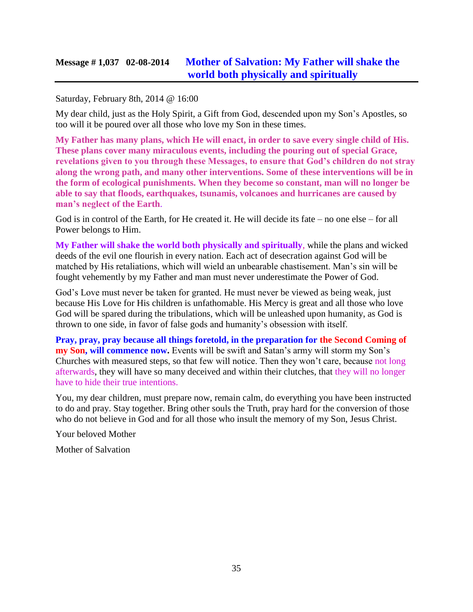### **Message # 1,037 02-08-2014 [Mother of Salvation: My Father will shake the](http://www.thewarningsecondcoming.com/mother-of-salvation-my-father-will-shake-the-world-both-physically-and-spiritually/)  [world both physically and spiritually](http://www.thewarningsecondcoming.com/mother-of-salvation-my-father-will-shake-the-world-both-physically-and-spiritually/)**

### Saturday, February 8th, 2014 @ 16:00

My dear child, just as the Holy Spirit, a Gift from God, descended upon my Son's Apostles, so too will it be poured over all those who love my Son in these times.

**My Father has many plans, which He will enact, in order to save every single child of His. These plans cover many miraculous events, including the pouring out of special Grace, revelations given to you through these Messages, to ensure that God's children do not stray along the wrong path, and many other interventions. Some of these interventions will be in the form of ecological punishments. When they become so constant, man will no longer be able to say that floods, earthquakes, tsunamis, volcanoes and hurricanes are caused by man's neglect of the Earth**.

God is in control of the Earth, for He created it. He will decide its fate – no one else – for all Power belongs to Him.

**My Father will shake the world both physically and spiritually**, while the plans and wicked deeds of the evil one flourish in every nation. Each act of desecration against God will be matched by His retaliations, which will wield an unbearable chastisement. Man's sin will be fought vehemently by my Father and man must never underestimate the Power of God.

God's Love must never be taken for granted. He must never be viewed as being weak, just because His Love for His children is unfathomable. His Mercy is great and all those who love God will be spared during the tribulations, which will be unleashed upon humanity, as God is thrown to one side, in favor of false gods and humanity's obsession with itself.

**Pray, pray, pray because all things foretold, in the preparation for the Second Coming of my Son, will commence now.** Events will be swift and Satan's army will storm my Son's Churches with measured steps, so that few will notice. Then they won't care, because not long afterwards, they will have so many deceived and within their clutches, that they will no longer have to hide their true intentions.

You, my dear children, must prepare now, remain calm, do everything you have been instructed to do and pray. Stay together. Bring other souls the Truth, pray hard for the conversion of those who do not believe in God and for all those who insult the memory of my Son, Jesus Christ.

Your beloved Mother

Mother of Salvation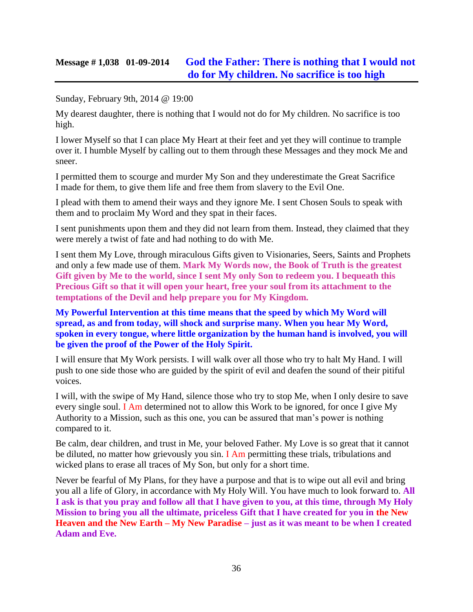### **Message # 1,038 01-09-2014 [God the Father: There is nothing that I would not](http://www.thewarningsecondcoming.com/god-the-father-there-is-nothing-that-i-would-not-do-for-my-children-no-sacrifice-is-too-high/)  [do for My children. No sacrifice is too high](http://www.thewarningsecondcoming.com/god-the-father-there-is-nothing-that-i-would-not-do-for-my-children-no-sacrifice-is-too-high/)**

#### Sunday, February 9th, 2014 @ 19:00

My dearest daughter, there is nothing that I would not do for My children. No sacrifice is too high.

I lower Myself so that I can place My Heart at their feet and yet they will continue to trample over it. I humble Myself by calling out to them through these Messages and they mock Me and sneer.

I permitted them to scourge and murder My Son and they underestimate the Great Sacrifice I made for them, to give them life and free them from slavery to the Evil One.

I plead with them to amend their ways and they ignore Me. I sent Chosen Souls to speak with them and to proclaim My Word and they spat in their faces.

I sent punishments upon them and they did not learn from them. Instead, they claimed that they were merely a twist of fate and had nothing to do with Me.

I sent them My Love, through miraculous Gifts given to Visionaries, Seers, Saints and Prophets and only a few made use of them. **Mark My Words now, the Book of Truth is the greatest Gift given by Me to the world, since I sent My only Son to redeem you. I bequeath this Precious Gift so that it will open your heart, free your soul from its attachment to the temptations of the Devil and help prepare you for My Kingdom.**

### **My Powerful Intervention at this time means that the speed by which My Word will spread, as and from today, will shock and surprise many. When you hear My Word, spoken in every tongue, where little organization by the human hand is involved, you will be given the proof of the Power of the Holy Spirit.**

I will ensure that My Work persists. I will walk over all those who try to halt My Hand. I will push to one side those who are guided by the spirit of evil and deafen the sound of their pitiful voices.

I will, with the swipe of My Hand, silence those who try to stop Me, when I only desire to save every single soul. I Am determined not to allow this Work to be ignored, for once I give My Authority to a Mission, such as this one, you can be assured that man's power is nothing compared to it.

Be calm, dear children, and trust in Me, your beloved Father. My Love is so great that it cannot be diluted, no matter how grievously you sin. I Am permitting these trials, tribulations and wicked plans to erase all traces of My Son, but only for a short time.

Never be fearful of My Plans, for they have a purpose and that is to wipe out all evil and bring you all a life of Glory, in accordance with My Holy Will. You have much to look forward to. **All I ask is that you pray and follow all that I have given to you, at this time, through My Holy Mission to bring you all the ultimate, priceless Gift that I have created for you in the New Heaven and the New Earth – My New Paradise – just as it was meant to be when I created Adam and Eve.**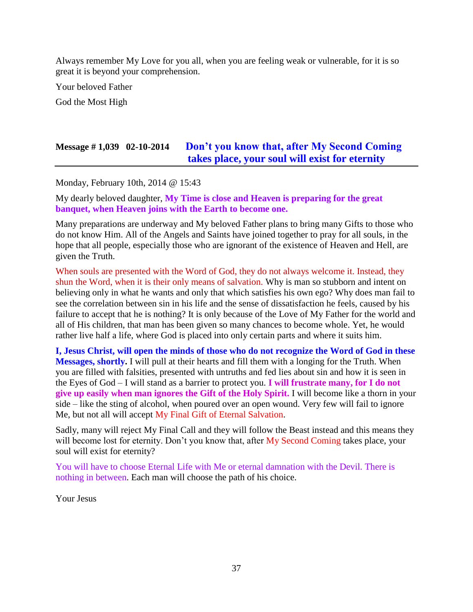Always remember My Love for you all, when you are feeling weak or vulnerable, for it is so great it is beyond your comprehension.

Your beloved Father

God the Most High

## **Message # 1,039 02-10-2014 [Don't you know that, after My Second Coming](http://www.thewarningsecondcoming.com/dont-you-know-that-after-my-second-coming-takes-place-your-soul-will-exist-for-eternity/)  [takes place, your soul will exist for eternity](http://www.thewarningsecondcoming.com/dont-you-know-that-after-my-second-coming-takes-place-your-soul-will-exist-for-eternity/)**

Monday, February 10th, 2014 @ 15:43

My dearly beloved daughter, **My Time is close and Heaven is preparing for the great banquet, when Heaven joins with the Earth to become one.**

Many preparations are underway and My beloved Father plans to bring many Gifts to those who do not know Him. All of the Angels and Saints have joined together to pray for all souls, in the hope that all people, especially those who are ignorant of the existence of Heaven and Hell, are given the Truth.

When souls are presented with the Word of God, they do not always welcome it. Instead, they shun the Word, when it is their only means of salvation. Why is man so stubborn and intent on believing only in what he wants and only that which satisfies his own ego? Why does man fail to see the correlation between sin in his life and the sense of dissatisfaction he feels, caused by his failure to accept that he is nothing? It is only because of the Love of My Father for the world and all of His children, that man has been given so many chances to become whole. Yet, he would rather live half a life, where God is placed into only certain parts and where it suits him.

**I, Jesus Christ, will open the minds of those who do not recognize the Word of God in these Messages, shortly.** I will pull at their hearts and fill them with a longing for the Truth. When you are filled with falsities, presented with untruths and fed lies about sin and how it is seen in the Eyes of God – I will stand as a barrier to protect you. **I will frustrate many, for I do not give up easily when man ignores the Gift of the Holy Spirit.** I will become like a thorn in your side – like the sting of alcohol, when poured over an open wound. Very few will fail to ignore Me, but not all will accept My Final Gift of Eternal Salvation.

Sadly, many will reject My Final Call and they will follow the Beast instead and this means they will become lost for eternity. Don't you know that, after My Second Coming takes place, your soul will exist for eternity?

You will have to choose Eternal Life with Me or eternal damnation with the Devil. There is nothing in between. Each man will choose the path of his choice.

Your Jesus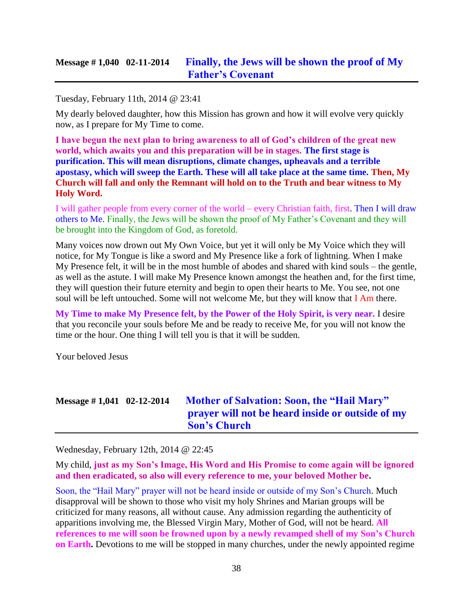### **Message # 1,040 02-11-2014 [Finally, the Jews will be shown the proof of My](http://www.thewarningsecondcoming.com/finally-the-jews-will-be-shown-the-proof-of-my-fathers-covenant/)  [Father's Covenant](http://www.thewarningsecondcoming.com/finally-the-jews-will-be-shown-the-proof-of-my-fathers-covenant/)**

Tuesday, February 11th, 2014 @ 23:41

My dearly beloved daughter, how this Mission has grown and how it will evolve very quickly now, as I prepare for My Time to come.

**I have begun the next plan to bring awareness to all of God's children of the great new world, which awaits you and this preparation will be in stages. The first stage is purification. This will mean disruptions, climate changes, upheavals and a terrible apostasy, which will sweep the Earth. These will all take place at the same time. Then, My Church will fall and only the Remnant will hold on to the Truth and bear witness to My Holy Word.**

I will gather people from every corner of the world – every Christian faith, first. Then I will draw others to Me. Finally, the Jews will be shown the proof of My Father's Covenant and they will be brought into the Kingdom of God, as foretold.

Many voices now drown out My Own Voice, but yet it will only be My Voice which they will notice, for My Tongue is like a sword and My Presence like a fork of lightning. When I make My Presence felt, it will be in the most humble of abodes and shared with kind souls – the gentle, as well as the astute. I will make My Presence known amongst the heathen and, for the first time, they will question their future eternity and begin to open their hearts to Me. You see, not one soul will be left untouched. Some will not welcome Me, but they will know that I Am there.

**My Time to make My Presence felt, by the Power of the Holy Spirit, is very near.** I desire that you reconcile your souls before Me and be ready to receive Me, for you will not know the time or the hour. One thing I will tell you is that it will be sudden.

Your beloved Jesus

# **Message # 1,041 02-12-2014 [Mother of Salvation: Soon, the "Hail Mary"](http://www.thewarningsecondcoming.com/mother-of-salvation-soon-the-hail-mary-prayer-will-not-be-heard-inside-or-outside-of-my-sons-church/)  [prayer will not be heard inside or outside of my](http://www.thewarningsecondcoming.com/mother-of-salvation-soon-the-hail-mary-prayer-will-not-be-heard-inside-or-outside-of-my-sons-church/)  [Son's Church](http://www.thewarningsecondcoming.com/mother-of-salvation-soon-the-hail-mary-prayer-will-not-be-heard-inside-or-outside-of-my-sons-church/)**

Wednesday, February 12th, 2014 @ 22:45

My child, **just as my Son's Image, His Word and His Promise to come again will be ignored and then eradicated, so also will every reference to me, your beloved Mother be.**

Soon, the "Hail Mary" prayer will not be heard inside or outside of my Son's Church. Much disapproval will be shown to those who visit my holy Shrines and Marian groups will be criticized for many reasons, all without cause. Any admission regarding the authenticity of apparitions involving me, the Blessed Virgin Mary, Mother of God, will not be heard. **All references to me will soon be frowned upon by a newly revamped shell of my Son's Church on Earth.** Devotions to me will be stopped in many churches, under the newly appointed regime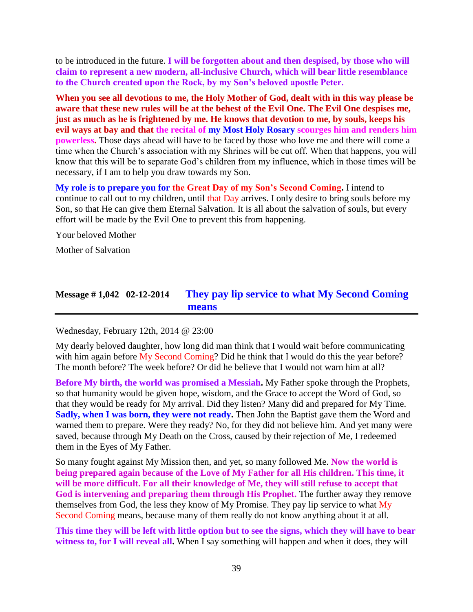to be introduced in the future. **I will be forgotten about and then despised, by those who will claim to represent a new modern, all-inclusive Church, which will bear little resemblance to the Church created upon the Rock, by my Son's beloved apostle Peter.**

**When you see all devotions to me, the Holy Mother of God, dealt with in this way please be aware that these new rules will be at the behest of the Evil One. The Evil One despises me, just as much as he is frightened by me. He knows that devotion to me, by souls, keeps his evil ways at bay and that the recital of my Most Holy Rosary scourges him and renders him powerless.** Those days ahead will have to be faced by those who love me and there will come a time when the Church's association with my Shrines will be cut off. When that happens, you will know that this will be to separate God's children from my influence, which in those times will be necessary, if I am to help you draw towards my Son.

**My role is to prepare you for the Great Day of my Son's Second Coming.** I intend to continue to call out to my children, until that Day arrives. I only desire to bring souls before my Son, so that He can give them Eternal Salvation. It is all about the salvation of souls, but every effort will be made by the Evil One to prevent this from happening.

Your beloved Mother

Mother of Salvation

### **Message # 1,042 02-12-2014 [They pay lip service to what My Second Coming](http://www.thewarningsecondcoming.com/they-pay-lip-service-to-what-my-second-coming-means/)  [means](http://www.thewarningsecondcoming.com/they-pay-lip-service-to-what-my-second-coming-means/)**

Wednesday, February 12th, 2014 @ 23:00

My dearly beloved daughter, how long did man think that I would wait before communicating with him again before My Second Coming? Did he think that I would do this the year before? The month before? The week before? Or did he believe that I would not warn him at all?

**Before My birth, the world was promised a Messiah.** My Father spoke through the Prophets, so that humanity would be given hope, wisdom, and the Grace to accept the Word of God, so that they would be ready for My arrival. Did they listen? Many did and prepared for My Time. **Sadly, when I was born, they were not ready.** Then John the Baptist gave them the Word and warned them to prepare. Were they ready? No, for they did not believe him. And yet many were saved, because through My Death on the Cross, caused by their rejection of Me, I redeemed them in the Eyes of My Father.

So many fought against My Mission then, and yet, so many followed Me. **Now the world is being prepared again because of the Love of My Father for all His children. This time, it will be more difficult. For all their knowledge of Me, they will still refuse to accept that God is intervening and preparing them through His Prophet.** The further away they remove themselves from God, the less they know of My Promise. They pay lip service to what My Second Coming means, because many of them really do not know anything about it at all.

**This time they will be left with little option but to see the signs, which they will have to bear**  witness to, for I will reveal all. When I say something will happen and when it does, they will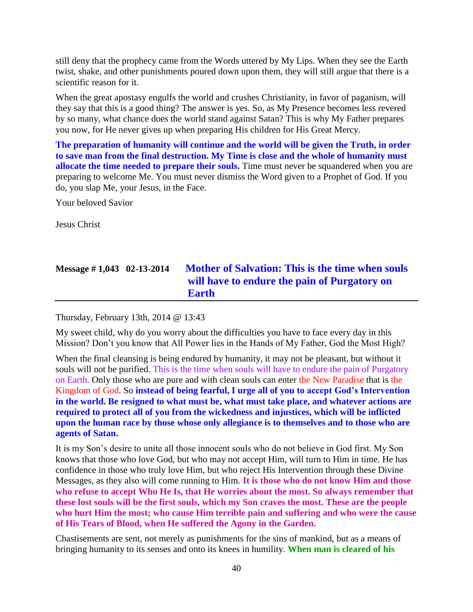still deny that the prophecy came from the Words uttered by My Lips. When they see the Earth twist, shake, and other punishments poured down upon them, they will still argue that there is a scientific reason for it.

When the great apostasy engulfs the world and crushes Christianity, in favor of paganism, will they say that this is a good thing? The answer is yes. So, as My Presence becomes less revered by so many, what chance does the world stand against Satan? This is why My Father prepares you now, for He never gives up when preparing His children for His Great Mercy.

**The preparation of humanity will continue and the world will be given the Truth, in order to save man from the final destruction. My Time is close and the whole of humanity must allocate the time needed to prepare their souls.** Time must never be squandered when you are preparing to welcome Me. You must never dismiss the Word given to a Prophet of God. If you do, you slap Me, your Jesus, in the Face.

Your beloved Savior

Jesus Christ

# **Message # 1,043 02-13-2014 [Mother of Salvation: This is the time when souls](http://www.thewarningsecondcoming.com/mother-of-salvation-this-is-the-time-when-souls-will-have-to-endure-the-pain-of-purgatory-on-earth/)  [will have to endure the pain of Purgatory on](http://www.thewarningsecondcoming.com/mother-of-salvation-this-is-the-time-when-souls-will-have-to-endure-the-pain-of-purgatory-on-earth/)  [Earth](http://www.thewarningsecondcoming.com/mother-of-salvation-this-is-the-time-when-souls-will-have-to-endure-the-pain-of-purgatory-on-earth/)**

Thursday, February 13th, 2014 @ 13:43

My sweet child, why do you worry about the difficulties you have to face every day in this Mission? Don't you know that All Power lies in the Hands of My Father, God the Most High?

When the final cleansing is being endured by humanity, it may not be pleasant, but without it souls will not be purified. This is the time when souls will have to endure the pain of Purgatory on Earth. Only those who are pure and with clean souls can enter the New Paradise that is the Kingdom of God. So **instead of being fearful, I urge all of you to accept God's Intervention in the world. Be resigned to what must be, what must take place, and whatever actions are required to protect all of you from the wickedness and injustices, which will be inflicted upon the human race by those whose only allegiance is to themselves and to those who are agents of Satan.**

It is my Son's desire to unite all those innocent souls who do not believe in God first. My Son knows that those who love God, but who may not accept Him, will turn to Him in time. He has confidence in those who truly love Him, but who reject His Intervention through these Divine Messages, as they also will come running to Him. **It is those who do not know Him and those who refuse to accept Who He Is, that He worries about the most. So always remember that these lost souls will be the first souls, which my Son craves the most. These are the people who hurt Him the most; who cause Him terrible pain and suffering and who were the cause of His Tears of Blood, when He suffered the Agony in the Garden.**

Chastisements are sent, not merely as punishments for the sins of mankind, but as a means of bringing humanity to its senses and onto its knees in humility. **When man is cleared of his**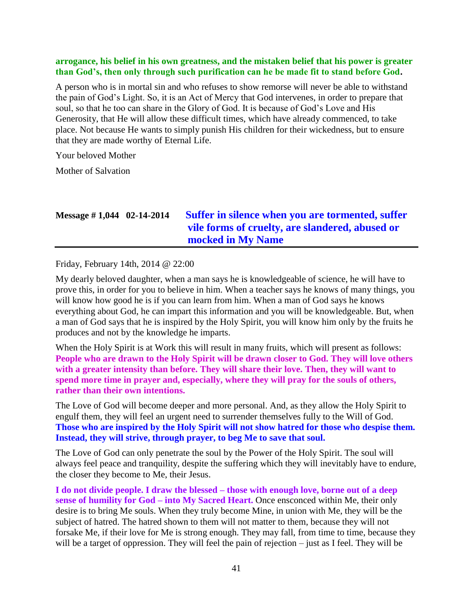#### **arrogance, his belief in his own greatness, and the mistaken belief that his power is greater than God's, then only through such purification can he be made fit to stand before God.**

A person who is in mortal sin and who refuses to show remorse will never be able to withstand the pain of God's Light. So, it is an Act of Mercy that God intervenes, in order to prepare that soul, so that he too can share in the Glory of God. It is because of God's Love and His Generosity, that He will allow these difficult times, which have already commenced, to take place. Not because He wants to simply punish His children for their wickedness, but to ensure that they are made worthy of Eternal Life.

Your beloved Mother

Mother of Salvation

## **Message # 1,044 02-14-2014 [Suffer in silence when you are tormented, suffer](http://www.thewarningsecondcoming.com/suffer-in-silence-when-you-are-tormented-suffer-vile-forms-of-cruelty-are-slandered-abused-or-mocked-in-my-name/)  [vile forms of cruelty, are slandered, abused or](http://www.thewarningsecondcoming.com/suffer-in-silence-when-you-are-tormented-suffer-vile-forms-of-cruelty-are-slandered-abused-or-mocked-in-my-name/)  [mocked in My Name](http://www.thewarningsecondcoming.com/suffer-in-silence-when-you-are-tormented-suffer-vile-forms-of-cruelty-are-slandered-abused-or-mocked-in-my-name/)**

Friday, February 14th, 2014 @ 22:00

My dearly beloved daughter, when a man says he is knowledgeable of science, he will have to prove this, in order for you to believe in him. When a teacher says he knows of many things, you will know how good he is if you can learn from him. When a man of God says he knows everything about God, he can impart this information and you will be knowledgeable. But, when a man of God says that he is inspired by the Holy Spirit, you will know him only by the fruits he produces and not by the knowledge he imparts.

When the Holy Spirit is at Work this will result in many fruits, which will present as follows: **People who are drawn to the Holy Spirit will be drawn closer to God. They will love others with a greater intensity than before. They will share their love. Then, they will want to spend more time in prayer and, especially, where they will pray for the souls of others, rather than their own intentions.**

The Love of God will become deeper and more personal. And, as they allow the Holy Spirit to engulf them, they will feel an urgent need to surrender themselves fully to the Will of God. **Those who are inspired by the Holy Spirit will not show hatred for those who despise them. Instead, they will strive, through prayer, to beg Me to save that soul.**

The Love of God can only penetrate the soul by the Power of the Holy Spirit. The soul will always feel peace and tranquility, despite the suffering which they will inevitably have to endure, the closer they become to Me, their Jesus.

**I do not divide people. I draw the blessed – those with enough love, borne out of a deep sense of humility for God – into My Sacred Heart.** Once ensconced within Me, their only desire is to bring Me souls. When they truly become Mine, in union with Me, they will be the subject of hatred. The hatred shown to them will not matter to them, because they will not forsake Me, if their love for Me is strong enough. They may fall, from time to time, because they will be a target of oppression. They will feel the pain of rejection – just as I feel. They will be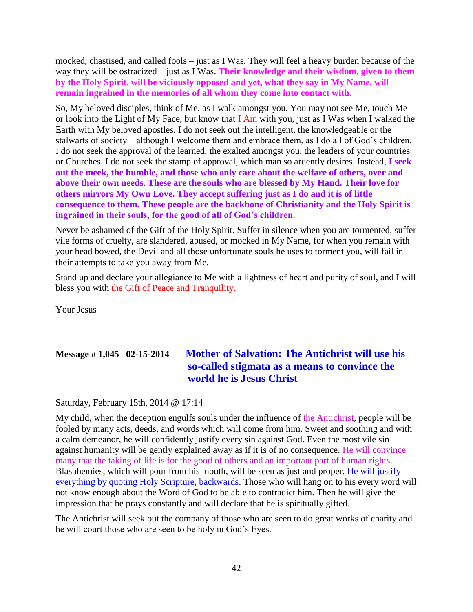mocked, chastised, and called fools – just as I Was. They will feel a heavy burden because of the way they will be ostracized – just as I Was. **Their knowledge and their wisdom, given to them by the Holy Spirit, will be viciously opposed and yet, what they say in My Name, will remain ingrained in the memories of all whom they come into contact with.**

So, My beloved disciples, think of Me, as I walk amongst you. You may not see Me, touch Me or look into the Light of My Face, but know that I Am with you, just as I Was when I walked the Earth with My beloved apostles. I do not seek out the intelligent, the knowledgeable or the stalwarts of society – although I welcome them and embrace them, as I do all of God's children. I do not seek the approval of the learned, the exalted amongst you, the leaders of your countries or Churches. I do not seek the stamp of approval, which man so ardently desires. Instead, **I seek out the meek, the humble, and those who only care about the welfare of others, over and above their own needs**. **These are the souls who are blessed by My Hand. Their love for others mirrors My Own Love. They accept suffering just as I do and it is of little consequence to them. These people are the backbone of Christianity and the Holy Spirit is ingrained in their souls, for the good of all of God's children.**

Never be ashamed of the Gift of the Holy Spirit. Suffer in silence when you are tormented, suffer vile forms of cruelty, are slandered, abused, or mocked in My Name, for when you remain with your head bowed, the Devil and all those unfortunate souls he uses to torment you, will fail in their attempts to take you away from Me.

Stand up and declare your allegiance to Me with a lightness of heart and purity of soul, and I will bless you with the Gift of Peace and Tranquility.

Your Jesus

# **Message # 1,045 02-15-2014 [Mother of Salvation: The Antichrist will use his](http://www.thewarningsecondcoming.com/mother-of-salvation-the-antichrist-will-use-his-so-called-stigmata-as-a-means-to-convince-the-world-he-is-jesus-christ/)  [so-called stigmata as a means to convince the](http://www.thewarningsecondcoming.com/mother-of-salvation-the-antichrist-will-use-his-so-called-stigmata-as-a-means-to-convince-the-world-he-is-jesus-christ/)  [world he is Jesus Christ](http://www.thewarningsecondcoming.com/mother-of-salvation-the-antichrist-will-use-his-so-called-stigmata-as-a-means-to-convince-the-world-he-is-jesus-christ/)**

Saturday, February 15th, 2014 @ 17:14

My child, when the deception engulfs souls under the influence of the Antichrist, people will be fooled by many acts, deeds, and words which will come from him. Sweet and soothing and with a calm demeanor, he will confidently justify every sin against God. Even the most vile sin against humanity will be gently explained away as if it is of no consequence. He will convince many that the taking of life is for the good of others and an important part of human rights. Blasphemies, which will pour from his mouth, will be seen as just and proper. He will justify everything by quoting Holy Scripture, backwards. Those who will hang on to his every word will not know enough about the Word of God to be able to contradict him. Then he will give the impression that he prays constantly and will declare that he is spiritually gifted.

The Antichrist will seek out the company of those who are seen to do great works of charity and he will court those who are seen to be holy in God's Eyes.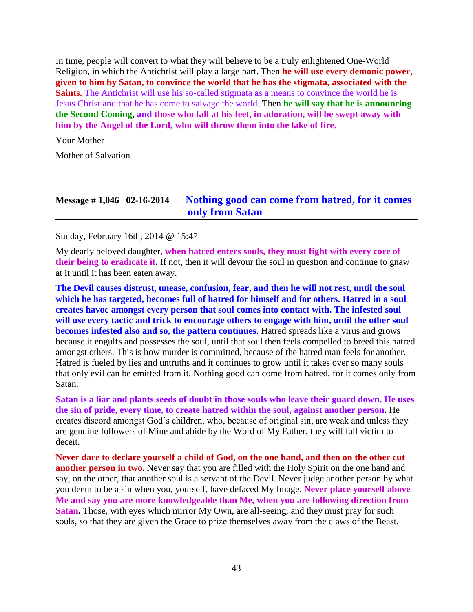In time, people will convert to what they will believe to be a truly enlightened One-World Religion, in which the Antichrist will play a large part. Then **he will use every demonic power, given to him by Satan, to convince the world that he has the stigmata, associated with the Saints.** The Antichrist will use his so-called stigmata as a means to convince the world he is Jesus Christ and that he has come to salvage the world. Then **he will say that he is announcing the Second Coming, and those who fall at his feet, in adoration, will be swept away with him by the Angel of the Lord, who will throw them into the lake of fire.**

Your Mother

Mother of Salvation

### **Message # 1,046 02-16-2014 [Nothing good can come from hatred, for it comes](http://www.thewarningsecondcoming.com/nothing-good-can-come-from-hatred-for-it-comes-only-from-satan/)  [only from Satan](http://www.thewarningsecondcoming.com/nothing-good-can-come-from-hatred-for-it-comes-only-from-satan/)**

Sunday, February 16th, 2014 @ 15:47

My dearly beloved daughter, **when hatred enters souls, they must fight with every core of their being to eradicate it.** If not, then it will devour the soul in question and continue to gnaw at it until it has been eaten away.

**The Devil causes distrust, unease, confusion, fear, and then he will not rest, until the soul which he has targeted, becomes full of hatred for himself and for others. Hatred in a soul creates havoc amongst every person that soul comes into contact with. The infested soul will use every tactic and trick to encourage others to engage with him, until the other soul becomes infested also and so, the pattern continues.** Hatred spreads like a virus and grows because it engulfs and possesses the soul, until that soul then feels compelled to breed this hatred amongst others. This is how murder is committed, because of the hatred man feels for another. Hatred is fueled by lies and untruths and it continues to grow until it takes over so many souls that only evil can be emitted from it. Nothing good can come from hatred, for it comes only from Satan.

**Satan is a liar and plants seeds of doubt in those souls who leave their guard down. He uses the sin of pride, every time, to create hatred within the soul, against another person.** He creates discord amongst God's children, who, because of original sin, are weak and unless they are genuine followers of Mine and abide by the Word of My Father, they will fall victim to deceit.

**Never dare to declare yourself a child of God, on the one hand, and then on the other cut another person in two.** Never say that you are filled with the Holy Spirit on the one hand and say, on the other, that another soul is a servant of the Devil. Never judge another person by what you deem to be a sin when you, yourself, have defaced My Image. **Never place yourself above Me and say you are more knowledgeable than Me, when you are following direction from Satan.** Those, with eyes which mirror My Own, are all-seeing, and they must pray for such souls, so that they are given the Grace to prize themselves away from the claws of the Beast.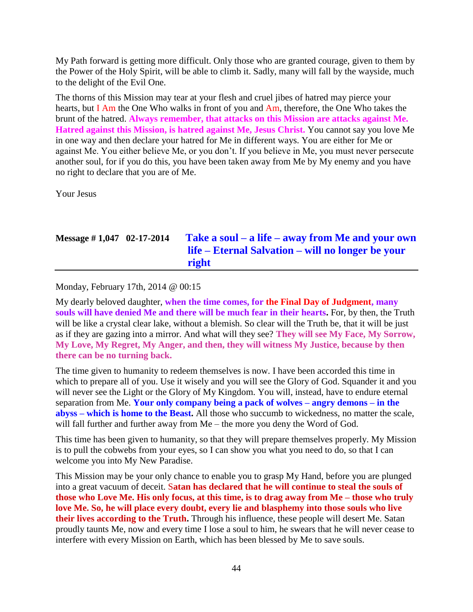My Path forward is getting more difficult. Only those who are granted courage, given to them by the Power of the Holy Spirit, will be able to climb it. Sadly, many will fall by the wayside, much to the delight of the Evil One.

The thorns of this Mission may tear at your flesh and cruel jibes of hatred may pierce your hearts, but I Am the One Who walks in front of you and Am, therefore, the One Who takes the brunt of the hatred. **Always remember, that attacks on this Mission are attacks against Me. Hatred against this Mission, is hatred against Me, Jesus Christ.** You cannot say you love Me in one way and then declare your hatred for Me in different ways. You are either for Me or against Me. You either believe Me, or you don't. If you believe in Me, you must never persecute another soul, for if you do this, you have been taken away from Me by My enemy and you have no right to declare that you are of Me.

Your Jesus

## **Message # 1,047 02-17-2014 Take a soul – a life – [away from Me and your own](http://www.thewarningsecondcoming.com/take-a-soul-a-life-away-from-me-and-your-own-life-eternal-salvation-will-no-longer-be-your-right/)  life – Eternal Salvation – [will no longer be your](http://www.thewarningsecondcoming.com/take-a-soul-a-life-away-from-me-and-your-own-life-eternal-salvation-will-no-longer-be-your-right/)  [right](http://www.thewarningsecondcoming.com/take-a-soul-a-life-away-from-me-and-your-own-life-eternal-salvation-will-no-longer-be-your-right/)**

Monday, February 17th, 2014 @ 00:15

My dearly beloved daughter, **when the time comes, for the Final Day of Judgment, many souls will have denied Me and there will be much fear in their hearts.** For, by then, the Truth will be like a crystal clear lake, without a blemish. So clear will the Truth be, that it will be just as if they are gazing into a mirror. And what will they see? **They will see My Face, My Sorrow, My Love, My Regret, My Anger, and then, they will witness My Justice, because by then there can be no turning back.**

The time given to humanity to redeem themselves is now. I have been accorded this time in which to prepare all of you. Use it wisely and you will see the Glory of God. Squander it and you will never see the Light or the Glory of My Kingdom. You will, instead, have to endure eternal separation from Me. **Your only company being a pack of wolves – angry demons – in the abyss – which is home to the Beast.** All those who succumb to wickedness, no matter the scale, will fall further and further away from Me – the more you deny the Word of God.

This time has been given to humanity, so that they will prepare themselves properly. My Mission is to pull the cobwebs from your eyes, so I can show you what you need to do, so that I can welcome you into My New Paradise.

This Mission may be your only chance to enable you to grasp My Hand, before you are plunged into a great vacuum of deceit. S**atan has declared that he will continue to steal the souls of those who Love Me. His only focus, at this time, is to drag away from Me – those who truly love Me. So, he will place every doubt, every lie and blasphemy into those souls who live their lives according to the Truth.** Through his influence, these people will desert Me. Satan proudly taunts Me, now and every time I lose a soul to him, he swears that he will never cease to interfere with every Mission on Earth, which has been blessed by Me to save souls.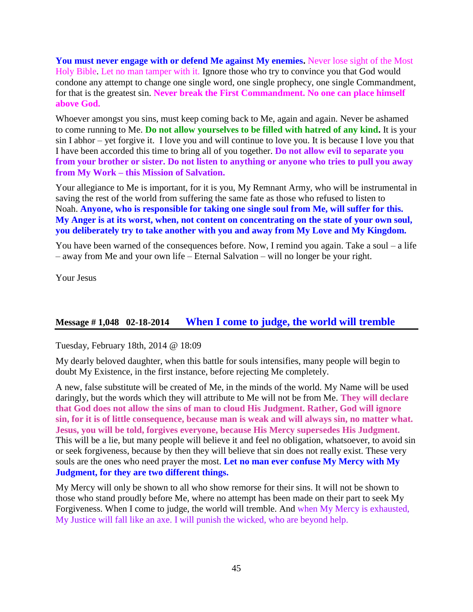**You must never engage with or defend Me against My enemies.** Never lose sight of the Most Holy Bible. Let no man tamper with it. Ignore those who try to convince you that God would condone any attempt to change one single word, one single prophecy, one single Commandment, for that is the greatest sin. **Never break the First Commandment. No one can place himself above God.**

Whoever amongst you sins, must keep coming back to Me, again and again. Never be ashamed to come running to Me. **Do not allow yourselves to be filled with hatred of any kind.** It is your sin I abhor – yet forgive it. I love you and will continue to love you. It is because I love you that I have been accorded this time to bring all of you together. **Do not allow evil to separate you from your brother or sister. Do not listen to anything or anyone who tries to pull you away from My Work – this Mission of Salvation.**

Your allegiance to Me is important, for it is you, My Remnant Army, who will be instrumental in saving the rest of the world from suffering the same fate as those who refused to listen to Noah. **Anyone, who is responsible for taking one single soul from Me, will suffer for this. My Anger is at its worst, when, not content on concentrating on the state of your own soul, you deliberately try to take another with you and away from My Love and My Kingdom.**

You have been warned of the consequences before. Now, I remind you again. Take a soul – a life – away from Me and your own life – Eternal Salvation – will no longer be your right.

Your Jesus

### **Message # 1,048 02-18-2014 [When I come to judge, the world will tremble](http://www.thewarningsecondcoming.com/when-i-come-to-judge-the-world-will-tremble/)**

Tuesday, February 18th, 2014 @ 18:09

My dearly beloved daughter, when this battle for souls intensifies, many people will begin to doubt My Existence, in the first instance, before rejecting Me completely.

A new, false substitute will be created of Me, in the minds of the world. My Name will be used daringly, but the words which they will attribute to Me will not be from Me. **They will declare that God does not allow the sins of man to cloud His Judgment. Rather, God will ignore sin, for it is of little consequence, because man is weak and will always sin, no matter what. Jesus, you will be told, forgives everyone, because His Mercy supersedes His Judgment.** This will be a lie, but many people will believe it and feel no obligation, whatsoever, to avoid sin or seek forgiveness, because by then they will believe that sin does not really exist. These very souls are the ones who need prayer the most. **Let no man ever confuse My Mercy with My Judgment, for they are two different things.**

My Mercy will only be shown to all who show remorse for their sins. It will not be shown to those who stand proudly before Me, where no attempt has been made on their part to seek My Forgiveness. When I come to judge, the world will tremble. And when My Mercy is exhausted, My Justice will fall like an axe. I will punish the wicked, who are beyond help.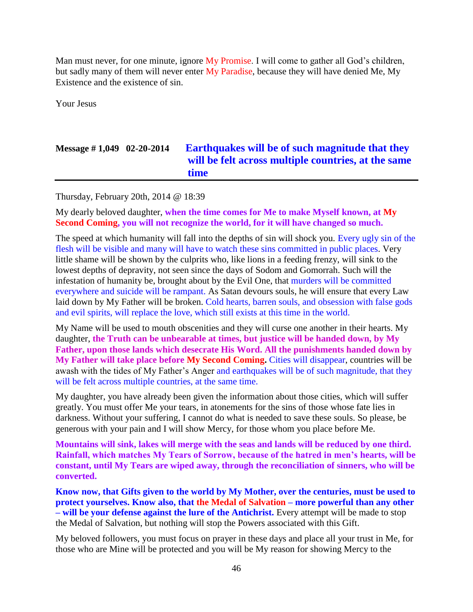Man must never, for one minute, ignore My Promise. I will come to gather all God's children, but sadly many of them will never enter My Paradise, because they will have denied Me, My Existence and the existence of sin.

Your Jesus

## **Message # 1,049 02-20-2014 [Earthquakes will be of such magnitude that they](http://www.thewarningsecondcoming.com/earthquakes-will-be-of-such-magnitude-that-they-will-be-felt-across-multiple-countries-at-the-same-time/)  [will be felt across multiple countries, at the same](http://www.thewarningsecondcoming.com/earthquakes-will-be-of-such-magnitude-that-they-will-be-felt-across-multiple-countries-at-the-same-time/)  [time](http://www.thewarningsecondcoming.com/earthquakes-will-be-of-such-magnitude-that-they-will-be-felt-across-multiple-countries-at-the-same-time/)**

Thursday, February 20th, 2014 @ 18:39

My dearly beloved daughter, **when the time comes for Me to make Myself known, at My Second Coming, you will not recognize the world, for it will have changed so much.**

The speed at which humanity will fall into the depths of sin will shock you. Every ugly sin of the flesh will be visible and many will have to watch these sins committed in public places. Very little shame will be shown by the culprits who, like lions in a feeding frenzy, will sink to the lowest depths of depravity, not seen since the days of Sodom and Gomorrah. Such will the infestation of humanity be, brought about by the Evil One, that murders will be committed everywhere and suicide will be rampant. As Satan devours souls, he will ensure that every Law laid down by My Father will be broken. Cold hearts, barren souls, and obsession with false gods and evil spirits, will replace the love, which still exists at this time in the world.

My Name will be used to mouth obscenities and they will curse one another in their hearts. My daughter, **the Truth can be unbearable at times, but justice will be handed down, by My Father, upon those lands which desecrate His Word. All the punishments handed down by My Father will take place before My Second Coming.** Cities will disappear, countries will be awash with the tides of My Father's Anger and earthquakes will be of such magnitude, that they will be felt across multiple countries, at the same time.

My daughter, you have already been given the information about those cities, which will suffer greatly. You must offer Me your tears, in atonements for the sins of those whose fate lies in darkness. Without your suffering, I cannot do what is needed to save these souls. So please, be generous with your pain and I will show Mercy, for those whom you place before Me.

**Mountains will sink, lakes will merge with the seas and lands will be reduced by one third. Rainfall, which matches My Tears of Sorrow, because of the hatred in men's hearts, will be constant, until My Tears are wiped away, through the reconciliation of sinners, who will be converted.**

**Know now, that Gifts given to the world by My Mother, over the centuries, must be used to protect yourselves. Know also, that the Medal of Salvation – more powerful than any other – will be your defense against the lure of the Antichrist.** Every attempt will be made to stop the Medal of Salvation, but nothing will stop the Powers associated with this Gift.

My beloved followers, you must focus on prayer in these days and place all your trust in Me, for those who are Mine will be protected and you will be My reason for showing Mercy to the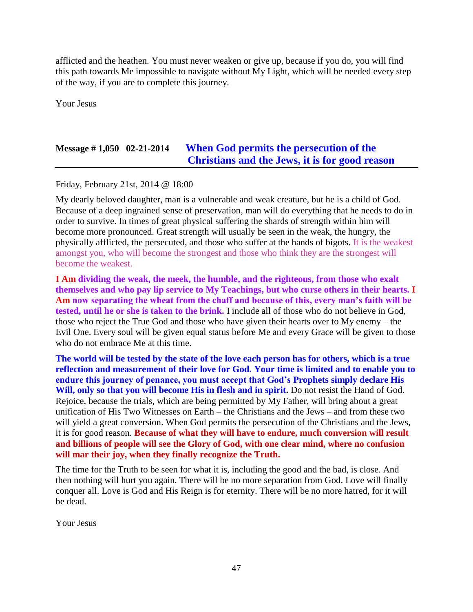afflicted and the heathen. You must never weaken or give up, because if you do, you will find this path towards Me impossible to navigate without My Light, which will be needed every step of the way, if you are to complete this journey.

Your Jesus

# **Message # 1,050 02-21-2014 [When God permits the persecution of the](http://www.thewarningsecondcoming.com/when-god-permits-the-persecution-of-the-christians-and-the-jews-it-is-for-good-reason/)  [Christians and the Jews, it is for good reason](http://www.thewarningsecondcoming.com/when-god-permits-the-persecution-of-the-christians-and-the-jews-it-is-for-good-reason/)**

Friday, February 21st, 2014 @ 18:00

My dearly beloved daughter, man is a vulnerable and weak creature, but he is a child of God. Because of a deep ingrained sense of preservation, man will do everything that he needs to do in order to survive. In times of great physical suffering the shards of strength within him will become more pronounced. Great strength will usually be seen in the weak, the hungry, the physically afflicted, the persecuted, and those who suffer at the hands of bigots. It is the weakest amongst you, who will become the strongest and those who think they are the strongest will become the weakest.

**I Am dividing the weak, the meek, the humble, and the righteous, from those who exalt themselves and who pay lip service to My Teachings, but who curse others in their hearts. I Am now separating the wheat from the chaff and because of this, every man's faith will be tested, until he or she is taken to the brink.** I include all of those who do not believe in God, those who reject the True God and those who have given their hearts over to My enemy – the Evil One. Every soul will be given equal status before Me and every Grace will be given to those who do not embrace Me at this time.

**The world will be tested by the state of the love each person has for others, which is a true reflection and measurement of their love for God. Your time is limited and to enable you to endure this journey of penance, you must accept that God's Prophets simply declare His Will, only so that you will become His in flesh and in spirit.** Do not resist the Hand of God. Rejoice, because the trials, which are being permitted by My Father, will bring about a great unification of His Two Witnesses on Earth – the Christians and the Jews – and from these two will yield a great conversion. When God permits the persecution of the Christians and the Jews, it is for good reason. **Because of what they will have to endure, much conversion will result and billions of people will see the Glory of God, with one clear mind, where no confusion will mar their joy, when they finally recognize the Truth.**

The time for the Truth to be seen for what it is, including the good and the bad, is close. And then nothing will hurt you again. There will be no more separation from God. Love will finally conquer all. Love is God and His Reign is for eternity. There will be no more hatred, for it will be dead.

Your Jesus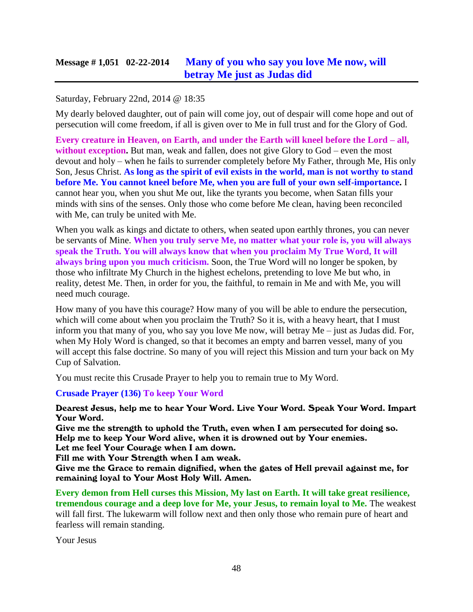### **Message # 1,051 02-22-2014 [Many of you who say you love Me now, will](http://www.thewarningsecondcoming.com/many-of-you-who-say-you-love-me-now-will-betray-me-just-as-judas-did/) [betray Me just as Judas did](http://www.thewarningsecondcoming.com/many-of-you-who-say-you-love-me-now-will-betray-me-just-as-judas-did/)**

### Saturday, February 22nd, 2014 @ 18:35

My dearly beloved daughter, out of pain will come joy, out of despair will come hope and out of persecution will come freedom, if all is given over to Me in full trust and for the Glory of God.

**Every creature in Heaven, on Earth, and under the Earth will kneel before the Lord – all, without exception.** But man, weak and fallen, does not give Glory to God – even the most devout and holy – when he fails to surrender completely before My Father, through Me, His only Son, Jesus Christ. **As long as the spirit of evil exists in the world, man is not worthy to stand before Me. You cannot kneel before Me, when you are full of your own self-importance.** I cannot hear you, when you shut Me out, like the tyrants you become, when Satan fills your minds with sins of the senses. Only those who come before Me clean, having been reconciled with Me, can truly be united with Me.

When you walk as kings and dictate to others, when seated upon earthly thrones, you can never be servants of Mine. **When you truly serve Me, no matter what your role is, you will always speak the Truth. You will always know that when you proclaim My True Word, It will always bring upon you much criticism.** Soon, the True Word will no longer be spoken, by those who infiltrate My Church in the highest echelons, pretending to love Me but who, in reality, detest Me. Then, in order for you, the faithful, to remain in Me and with Me, you will need much courage.

How many of you have this courage? How many of you will be able to endure the persecution, which will come about when you proclaim the Truth? So it is, with a heavy heart, that I must inform you that many of you, who say you love Me now, will betray Me – just as Judas did. For, when My Holy Word is changed, so that it becomes an empty and barren vessel, many of you will accept this false doctrine. So many of you will reject this Mission and turn your back on My Cup of Salvation.

You must recite this Crusade Prayer to help you to remain true to My Word.

#### **Crusade Prayer (136) To keep Your Word**

Dearest Jesus, help me to hear Your Word. Live Your Word. Speak Your Word. Impart Your Word.

Give me the strength to uphold the Truth, even when I am persecuted for doing so. Help me to keep Your Word alive, when it is drowned out by Your enemies.

Let me feel Your Courage when I am down.

Fill me with Your Strength when I am weak.

Give me the Grace to remain dignified, when the gates of Hell prevail against me, for remaining loyal to Your Most Holy Will. Amen.

**Every demon from Hell curses this Mission, My last on Earth. It will take great resilience, tremendous courage and a deep love for Me, your Jesus, to remain loyal to Me.** The weakest will fall first. The lukewarm will follow next and then only those who remain pure of heart and fearless will remain standing.

Your Jesus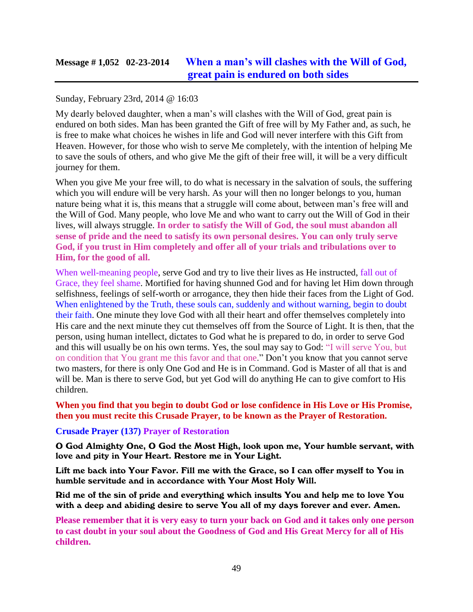## **Message # 1,052 02-23-2014 [When a man's will clashes with the Will of God,](http://www.thewarningsecondcoming.com/when-a-mans-will-clashes-with-the-will-of-god-great-pain-is-endured-on-both-sides/)  [great pain is endured on both sides](http://www.thewarningsecondcoming.com/when-a-mans-will-clashes-with-the-will-of-god-great-pain-is-endured-on-both-sides/)**

### Sunday, February 23rd, 2014 @ 16:03

My dearly beloved daughter, when a man's will clashes with the Will of God, great pain is endured on both sides. Man has been granted the Gift of free will by My Father and, as such, he is free to make what choices he wishes in life and God will never interfere with this Gift from Heaven. However, for those who wish to serve Me completely, with the intention of helping Me to save the souls of others, and who give Me the gift of their free will, it will be a very difficult journey for them.

When you give Me your free will, to do what is necessary in the salvation of souls, the suffering which you will endure will be very harsh. As your will then no longer belongs to you, human nature being what it is, this means that a struggle will come about, between man's free will and the Will of God. Many people, who love Me and who want to carry out the Will of God in their lives, will always struggle. **In order to satisfy the Will of God, the soul must abandon all sense of pride and the need to satisfy its own personal desires. You can only truly serve God, if you trust in Him completely and offer all of your trials and tribulations over to Him, for the good of all.**

When well-meaning people, serve God and try to live their lives as He instructed, fall out of Grace, they feel shame. Mortified for having shunned God and for having let Him down through selfishness, feelings of self-worth or arrogance, they then hide their faces from the Light of God. When enlightened by the Truth, these souls can, suddenly and without warning, begin to doubt their faith. One minute they love God with all their heart and offer themselves completely into His care and the next minute they cut themselves off from the Source of Light. It is then, that the person, using human intellect, dictates to God what he is prepared to do, in order to serve God and this will usually be on his own terms. Yes, the soul may say to God: "I will serve You, but on condition that You grant me this favor and that one." Don't you know that you cannot serve two masters, for there is only One God and He is in Command. God is Master of all that is and will be. Man is there to serve God, but yet God will do anything He can to give comfort to His children.

**When you find that you begin to doubt God or lose confidence in His Love or His Promise, then you must recite this Crusade Prayer, to be known as the Prayer of Restoration.**

#### **Crusade Prayer (137) Prayer of Restoration**

O God Almighty One, O God the Most High, look upon me, Your humble servant, with love and pity in Your Heart. Restore me in Your Light.

Lift me back into Your Favor. Fill me with the Grace, so I can offer myself to You in humble servitude and in accordance with Your Most Holy Will.

Rid me of the sin of pride and everything which insults You and help me to love You with a deep and abiding desire to serve You all of my days forever and ever. Amen.

**Please remember that it is very easy to turn your back on God and it takes only one person to cast doubt in your soul about the Goodness of God and His Great Mercy for all of His children.**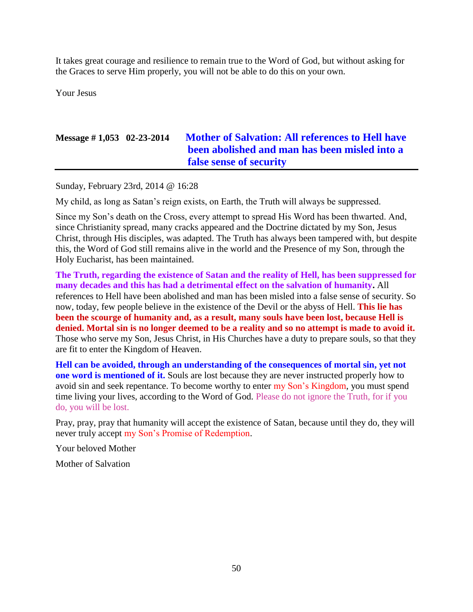It takes great courage and resilience to remain true to the Word of God, but without asking for the Graces to serve Him properly, you will not be able to do this on your own.

Your Jesus

## **Message # 1,053 02-23-2014 [Mother of Salvation: All references to Hell have](http://www.thewarningsecondcoming.com/mother-of-salvation-all-references-to-hell-have-been-abolished-and-man-has-been-misled-into-a-false-sense-of-security/)  [been abolished and man has been misled into a](http://www.thewarningsecondcoming.com/mother-of-salvation-all-references-to-hell-have-been-abolished-and-man-has-been-misled-into-a-false-sense-of-security/)  [false sense of security](http://www.thewarningsecondcoming.com/mother-of-salvation-all-references-to-hell-have-been-abolished-and-man-has-been-misled-into-a-false-sense-of-security/)**

Sunday, February 23rd, 2014 @ 16:28

My child, as long as Satan's reign exists, on Earth, the Truth will always be suppressed.

Since my Son's death on the Cross, every attempt to spread His Word has been thwarted. And, since Christianity spread, many cracks appeared and the Doctrine dictated by my Son, Jesus Christ, through His disciples, was adapted. The Truth has always been tampered with, but despite this, the Word of God still remains alive in the world and the Presence of my Son, through the Holy Eucharist, has been maintained.

**The Truth, regarding the existence of Satan and the reality of Hell, has been suppressed for many decades and this has had a detrimental effect on the salvation of humanity.** All references to Hell have been abolished and man has been misled into a false sense of security. So now, today, few people believe in the existence of the Devil or the abyss of Hell. **This lie has been the scourge of humanity and, as a result, many souls have been lost, because Hell is denied. Mortal sin is no longer deemed to be a reality and so no attempt is made to avoid it.** Those who serve my Son, Jesus Christ, in His Churches have a duty to prepare souls, so that they are fit to enter the Kingdom of Heaven.

**Hell can be avoided, through an understanding of the consequences of mortal sin, yet not one word is mentioned of it.** Souls are lost because they are never instructed properly how to avoid sin and seek repentance. To become worthy to enter my Son's Kingdom, you must spend time living your lives, according to the Word of God. Please do not ignore the Truth, for if you do, you will be lost.

Pray, pray, pray that humanity will accept the existence of Satan, because until they do, they will never truly accept my Son's Promise of Redemption.

Your beloved Mother

Mother of Salvation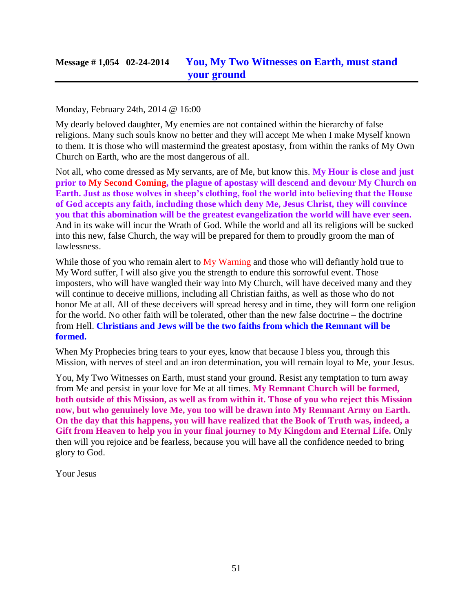Monday, February 24th, 2014 @ 16:00

My dearly beloved daughter, My enemies are not contained within the hierarchy of false religions. Many such souls know no better and they will accept Me when I make Myself known to them. It is those who will mastermind the greatest apostasy, from within the ranks of My Own Church on Earth, who are the most dangerous of all.

Not all, who come dressed as My servants, are of Me, but know this. **My Hour is close and just prior to My Second Coming, the plague of apostasy will descend and devour My Church on Earth. Just as those wolves in sheep's clothing, fool the world into believing that the House of God accepts any faith, including those which deny Me, Jesus Christ, they will convince you that this abomination will be the greatest evangelization the world will have ever seen.** And in its wake will incur the Wrath of God. While the world and all its religions will be sucked into this new, false Church, the way will be prepared for them to proudly groom the man of lawlessness.

While those of you who remain alert to My Warning and those who will defiantly hold true to My Word suffer, I will also give you the strength to endure this sorrowful event. Those imposters, who will have wangled their way into My Church, will have deceived many and they will continue to deceive millions, including all Christian faiths, as well as those who do not honor Me at all. All of these deceivers will spread heresy and in time, they will form one religion for the world. No other faith will be tolerated, other than the new false doctrine – the doctrine from Hell. **Christians and Jews will be the two faiths from which the Remnant will be formed.**

When My Prophecies bring tears to your eyes, know that because I bless you, through this Mission, with nerves of steel and an iron determination, you will remain loyal to Me, your Jesus.

You, My Two Witnesses on Earth, must stand your ground. Resist any temptation to turn away from Me and persist in your love for Me at all times. **My Remnant Church will be formed, both outside of this Mission, as well as from within it. Those of you who reject this Mission now, but who genuinely love Me, you too will be drawn into My Remnant Army on Earth. On the day that this happens, you will have realized that the Book of Truth was, indeed, a Gift from Heaven to help you in your final journey to My Kingdom and Eternal Life.** Only then will you rejoice and be fearless, because you will have all the confidence needed to bring glory to God.

Your Jesus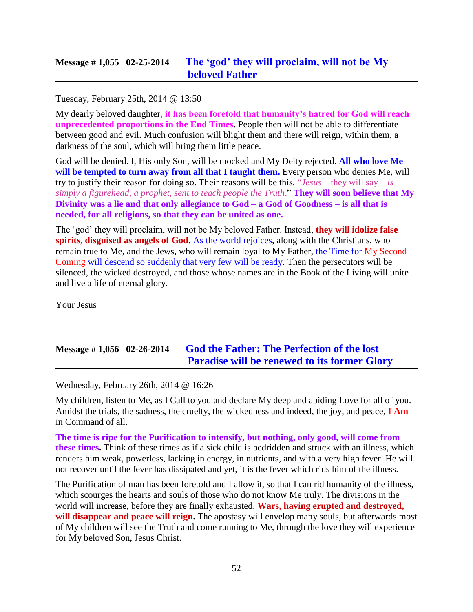### Tuesday, February 25th, 2014 @ 13:50

My dearly beloved daughter, **it has been foretold that humanity's hatred for God will reach unprecedented proportions in the End Times.** People then will not be able to differentiate between good and evil. Much confusion will blight them and there will reign, within them, a darkness of the soul, which will bring them little peace.

God will be denied. I, His only Son, will be mocked and My Deity rejected. **All who love Me**  will be tempted to turn away from all that I taught them. Every person who denies Me, will try to justify their reason for doing so. Their reasons will be this. "*Jesus* – they will say – *is simply a figurehead, a prophet, sent to teach people the Truth*." **They will soon believe that My Divinity was a lie and that only allegiance to God – a God of Goodness – is all that is needed, for all religions, so that they can be united as one.**

The 'god' they will proclaim, will not be My beloved Father. Instead, **they will idolize false spirits, disguised as angels of God**. As the world rejoices, along with the Christians, who remain true to Me, and the Jews, who will remain loyal to My Father, the Time for My Second Coming will descend so suddenly that very few will be ready. Then the persecutors will be silenced, the wicked destroyed, and those whose names are in the Book of the Living will unite and live a life of eternal glory.

Your Jesus

## **Message # 1,056 02-26-2014 [God the Father: The Perfection of the lost](http://www.thewarningsecondcoming.com/god-the-father-the-perfection-of-the-lost-paradise-will-be-renewed-to-its-former-glory/)  [Paradise will be renewed to its former Glory](http://www.thewarningsecondcoming.com/god-the-father-the-perfection-of-the-lost-paradise-will-be-renewed-to-its-former-glory/)**

Wednesday, February 26th, 2014 @ 16:26

My children, listen to Me, as I Call to you and declare My deep and abiding Love for all of you. Amidst the trials, the sadness, the cruelty, the wickedness and indeed, the joy, and peace, **I Am** in Command of all.

**The time is ripe for the Purification to intensify, but nothing, only good, will come from these times.** Think of these times as if a sick child is bedridden and struck with an illness, which renders him weak, powerless, lacking in energy, in nutrients, and with a very high fever. He will not recover until the fever has dissipated and yet, it is the fever which rids him of the illness.

The Purification of man has been foretold and I allow it, so that I can rid humanity of the illness, which scourges the hearts and souls of those who do not know Me truly. The divisions in the world will increase, before they are finally exhausted. **Wars, having erupted and destroyed, will disappear and peace will reign.** The apostasy will envelop many souls, but afterwards most of My children will see the Truth and come running to Me, through the love they will experience for My beloved Son, Jesus Christ.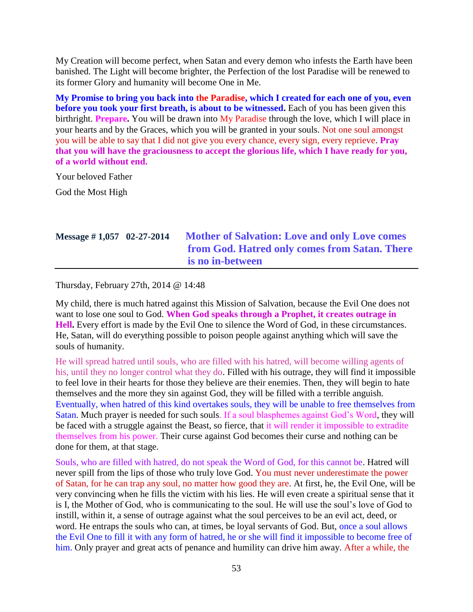My Creation will become perfect, when Satan and every demon who infests the Earth have been banished. The Light will become brighter, the Perfection of the lost Paradise will be renewed to its former Glory and humanity will become One in Me.

**My Promise to bring you back into the Paradise, which I created for each one of you, even before you took your first breath, is about to be witnessed.** Each of you has been given this birthright. **Prepare.** You will be drawn into My Paradise through the love, which I will place in your hearts and by the Graces, which you will be granted in your souls. Not one soul amongst you will be able to say that I did not give you every chance, every sign, every reprieve. **Pray that you will have the graciousness to accept the glorious life, which I have ready for you, of a world without end.**

Your beloved Father

God the Most High

# **Message # 1,057 02-27-2014 [Mother of Salvation: Love and only Love comes](http://www.thewarningsecondcoming.com/mother-of-salvation-love-and-only-love-comes-from-god-hatred-only-comes-from-satan-there-is-no-in-between/)  [from God. Hatred only comes from Satan. There](http://www.thewarningsecondcoming.com/mother-of-salvation-love-and-only-love-comes-from-god-hatred-only-comes-from-satan-there-is-no-in-between/)  [is no in-between](http://www.thewarningsecondcoming.com/mother-of-salvation-love-and-only-love-comes-from-god-hatred-only-comes-from-satan-there-is-no-in-between/)**

Thursday, February 27th, 2014 @ 14:48

My child, there is much hatred against this Mission of Salvation, because the Evil One does not want to lose one soul to God. **When God speaks through a Prophet, it creates outrage in Hell.** Every effort is made by the Evil One to silence the Word of God, in these circumstances. He, Satan, will do everything possible to poison people against anything which will save the souls of humanity.

He will spread hatred until souls, who are filled with his hatred, will become willing agents of his, until they no longer control what they do. Filled with his outrage, they will find it impossible to feel love in their hearts for those they believe are their enemies. Then, they will begin to hate themselves and the more they sin against God, they will be filled with a terrible anguish. Eventually, when hatred of this kind overtakes souls, they will be unable to free themselves from Satan. Much prayer is needed for such souls. If a soul blasphemes against God's Word, they will be faced with a struggle against the Beast, so fierce, that it will render it impossible to extradite themselves from his power. Their curse against God becomes their curse and nothing can be done for them, at that stage.

Souls, who are filled with hatred, do not speak the Word of God, for this cannot be. Hatred will never spill from the lips of those who truly love God. You must never underestimate the power of Satan, for he can trap any soul, no matter how good they are. At first, he, the Evil One, will be very convincing when he fills the victim with his lies. He will even create a spiritual sense that it is I, the Mother of God, who is communicating to the soul. He will use the soul's love of God to instill, within it, a sense of outrage against what the soul perceives to be an evil act, deed, or word. He entraps the souls who can, at times, be loyal servants of God. But, once a soul allows the Evil One to fill it with any form of hatred, he or she will find it impossible to become free of him. Only prayer and great acts of penance and humility can drive him away. After a while, the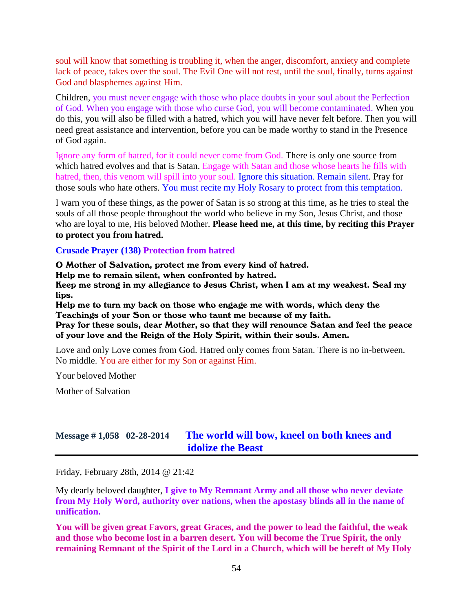soul will know that something is troubling it, when the anger, discomfort, anxiety and complete lack of peace, takes over the soul. The Evil One will not rest, until the soul, finally, turns against God and blasphemes against Him.

Children, you must never engage with those who place doubts in your soul about the Perfection of God. When you engage with those who curse God, you will become contaminated. When you do this, you will also be filled with a hatred, which you will have never felt before. Then you will need great assistance and intervention, before you can be made worthy to stand in the Presence of God again.

Ignore any form of hatred, for it could never come from God. There is only one source from which hatred evolves and that is Satan. Engage with Satan and those whose hearts he fills with hatred, then, this venom will spill into your soul. Ignore this situation. Remain silent. Pray for those souls who hate others. You must recite my Holy Rosary to protect from this temptation.

I warn you of these things, as the power of Satan is so strong at this time, as he tries to steal the souls of all those people throughout the world who believe in my Son, Jesus Christ, and those who are loyal to me, His beloved Mother. **Please heed me, at this time, by reciting this Prayer to protect you from hatred.**

#### **Crusade Prayer (138) Protection from hatred**

O Mother of Salvation, protect me from every kind of hatred.

Help me to remain silent, when confronted by hatred.

Keep me strong in my allegiance to Jesus Christ, when I am at my weakest. Seal my lips.

Help me to turn my back on those who engage me with words, which deny the Teachings of your Son or those who taunt me because of my faith.

Pray for these souls, dear Mother, so that they will renounce Satan and feel the peace of your love and the Reign of the Holy Spirit, within their souls. Amen.

Love and only Love comes from God. Hatred only comes from Satan. There is no in-between. No middle. You are either for my Son or against Him.

Your beloved Mother

Mother of Salvation

### **Message # 1,058 02-28-2014 [The world will bow, kneel on both knees and](http://www.thewarningsecondcoming.com/the-world-will-bow-kneel-on-both-knees-and-idolise-the-beast/)  [idolize the Beast](http://www.thewarningsecondcoming.com/the-world-will-bow-kneel-on-both-knees-and-idolise-the-beast/)**

Friday, February 28th, 2014 @ 21:42

My dearly beloved daughter, **I give to My Remnant Army and all those who never deviate from My Holy Word, authority over nations, when the apostasy blinds all in the name of unification.**

**You will be given great Favors, great Graces, and the power to lead the faithful, the weak and those who become lost in a barren desert. You will become the True Spirit, the only remaining Remnant of the Spirit of the Lord in a Church, which will be bereft of My Holy**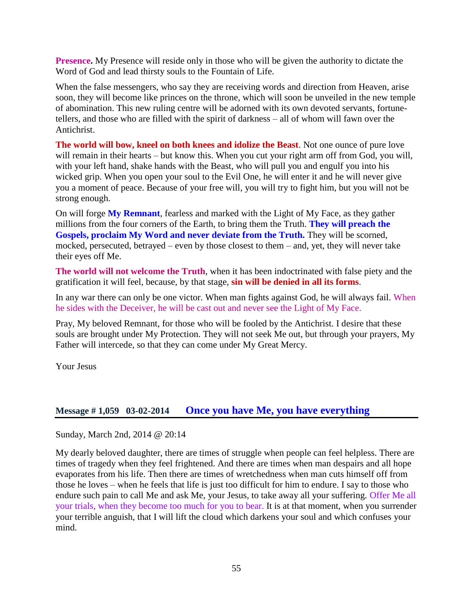**Presence.** My Presence will reside only in those who will be given the authority to dictate the Word of God and lead thirsty souls to the Fountain of Life.

When the false messengers, who say they are receiving words and direction from Heaven, arise soon, they will become like princes on the throne, which will soon be unveiled in the new temple of abomination. This new ruling centre will be adorned with its own devoted servants, fortunetellers, and those who are filled with the spirit of darkness – all of whom will fawn over the Antichrist.

**The world will bow, kneel on both knees and idolize the Beast**. Not one ounce of pure love will remain in their hearts – but know this. When you cut your right arm off from God, you will, with your left hand, shake hands with the Beast, who will pull you and engulf you into his wicked grip. When you open your soul to the Evil One, he will enter it and he will never give you a moment of peace. Because of your free will, you will try to fight him, but you will not be strong enough.

On will forge **My Remnant**, fearless and marked with the Light of My Face, as they gather millions from the four corners of the Earth, to bring them the Truth. **They will preach the Gospels, proclaim My Word and never deviate from the Truth.** They will be scorned, mocked, persecuted, betrayed – even by those closest to them – and, yet, they will never take their eyes off Me.

**The world will not welcome the Truth**, when it has been indoctrinated with false piety and the gratification it will feel, because, by that stage, **sin will be denied in all its forms**.

In any war there can only be one victor. When man fights against God, he will always fail. When he sides with the Deceiver, he will be cast out and never see the Light of My Face.

Pray, My beloved Remnant, for those who will be fooled by the Antichrist. I desire that these souls are brought under My Protection. They will not seek Me out, but through your prayers, My Father will intercede, so that they can come under My Great Mercy.

Your Jesus

### **Message # 1,059 03-02-2014 [Once you have Me, you have everything](http://www.thewarningsecondcoming.com/once-you-have-me-you-have-everything/)**

Sunday, March 2nd, 2014 @ 20:14

My dearly beloved daughter, there are times of struggle when people can feel helpless. There are times of tragedy when they feel frightened. And there are times when man despairs and all hope evaporates from his life. Then there are times of wretchedness when man cuts himself off from those he loves – when he feels that life is just too difficult for him to endure. I say to those who endure such pain to call Me and ask Me, your Jesus, to take away all your suffering. Offer Me all your trials, when they become too much for you to bear. It is at that moment, when you surrender your terrible anguish, that I will lift the cloud which darkens your soul and which confuses your mind.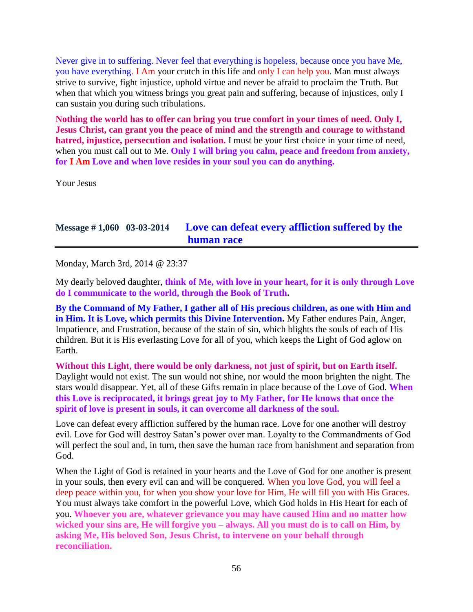Never give in to suffering. Never feel that everything is hopeless, because once you have Me, you have everything. I Am your crutch in this life and only I can help you. Man must always strive to survive, fight injustice, uphold virtue and never be afraid to proclaim the Truth. But when that which you witness brings you great pain and suffering, because of injustices, only I can sustain you during such tribulations.

**Nothing the world has to offer can bring you true comfort in your times of need. Only I, Jesus Christ, can grant you the peace of mind and the strength and courage to withstand hatred, injustice, persecution and isolation.** I must be your first choice in your time of need, when you must call out to Me. **Only I will bring you calm, peace and freedom from anxiety, for I Am Love and when love resides in your soul you can do anything.**

Your Jesus

# **Message # 1,060 03-03-2014 [Love can defeat every affliction suffered by the](http://www.thewarningsecondcoming.com/love-can-defeat-every-affliction-suffered-by-the-human-race/)  [human race](http://www.thewarningsecondcoming.com/love-can-defeat-every-affliction-suffered-by-the-human-race/)**

Monday, March 3rd, 2014 @ 23:37

My dearly beloved daughter, **think of Me, with love in your heart, for it is only through Love do I communicate to the world, through the Book of Truth.**

**By the Command of My Father, I gather all of His precious children, as one with Him and in Him. It is Love, which permits this Divine Intervention.** My Father endures Pain, Anger, Impatience, and Frustration, because of the stain of sin, which blights the souls of each of His children. But it is His everlasting Love for all of you, which keeps the Light of God aglow on Earth.

**Without this Light, there would be only darkness, not just of spirit, but on Earth itself.**  Daylight would not exist. The sun would not shine, nor would the moon brighten the night. The stars would disappear. Yet, all of these Gifts remain in place because of the Love of God. **When this Love is reciprocated, it brings great joy to My Father, for He knows that once the spirit of love is present in souls, it can overcome all darkness of the soul.**

Love can defeat every affliction suffered by the human race. Love for one another will destroy evil. Love for God will destroy Satan's power over man. Loyalty to the Commandments of God will perfect the soul and, in turn, then save the human race from banishment and separation from God.

When the Light of God is retained in your hearts and the Love of God for one another is present in your souls, then every evil can and will be conquered. When you love God, you will feel a deep peace within you, for when you show your love for Him, He will fill you with His Graces. You must always take comfort in the powerful Love, which God holds in His Heart for each of you. **Whoever you are, whatever grievance you may have caused Him and no matter how wicked your sins are, He will forgive you – always. All you must do is to call on Him, by asking Me, His beloved Son, Jesus Christ, to intervene on your behalf through reconciliation.**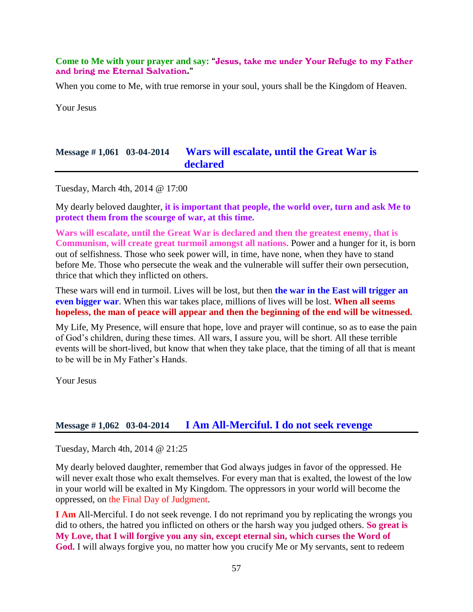#### **Come to Me with your prayer and say:** "Jesus, take me under Your Refuge to my Father and bring me Eternal Salvation."

When you come to Me, with true remorse in your soul, yours shall be the Kingdom of Heaven.

Your Jesus

### **Message # 1,061 03-04-2014 [Wars will escalate, until the Great War is](http://www.thewarningsecondcoming.com/wars-will-escalate-until-the-great-war-is-declared/)  [declared](http://www.thewarningsecondcoming.com/wars-will-escalate-until-the-great-war-is-declared/)**

Tuesday, March 4th, 2014 @ 17:00

My dearly beloved daughter, **it is important that people, the world over, turn and ask Me to protect them from the scourge of war, at this time.**

**Wars will escalate, until the Great War is declared and then the greatest enemy, that is Communism, will create great turmoil amongst all nations.** Power and a hunger for it, is born out of selfishness. Those who seek power will, in time, have none, when they have to stand before Me. Those who persecute the weak and the vulnerable will suffer their own persecution, thrice that which they inflicted on others.

These wars will end in turmoil. Lives will be lost, but then **the war in the East will trigger an even bigger war**. When this war takes place, millions of lives will be lost. **When all seems hopeless, the man of peace will appear and then the beginning of the end will be witnessed.**

My Life, My Presence, will ensure that hope, love and prayer will continue, so as to ease the pain of God's children, during these times. All wars, I assure you, will be short. All these terrible events will be short-lived, but know that when they take place, that the timing of all that is meant to be will be in My Father's Hands.

Your Jesus

### **Message # 1,062 03-04-2014 [I Am All-Merciful. I do not seek revenge](http://www.thewarningsecondcoming.com/i-am-all-merciful-i-do-not-seek-revenge/)**

Tuesday, March 4th, 2014 @ 21:25

My dearly beloved daughter, remember that God always judges in favor of the oppressed. He will never exalt those who exalt themselves. For every man that is exalted, the lowest of the low in your world will be exalted in My Kingdom. The oppressors in your world will become the oppressed, on the Final Day of Judgment.

**I Am** All-Merciful. I do not seek revenge. I do not reprimand you by replicating the wrongs you did to others, the hatred you inflicted on others or the harsh way you judged others. **So great is My Love, that I will forgive you any sin, except eternal sin, which curses the Word of God.** I will always forgive you, no matter how you crucify Me or My servants, sent to redeem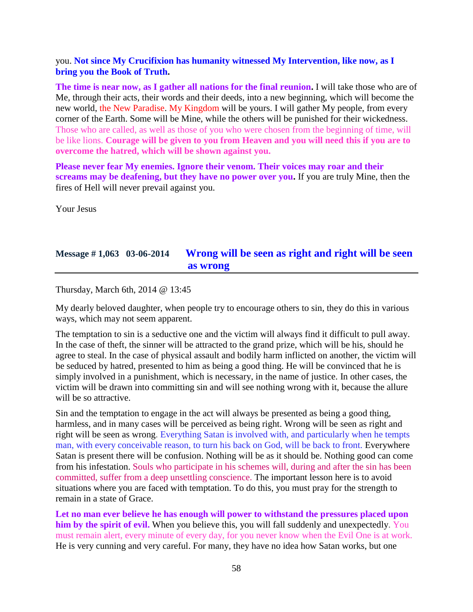### you. **Not since My Crucifixion has humanity witnessed My Intervention, like now, as I bring you the Book of Truth.**

**The time is near now, as I gather all nations for the final reunion.** I will take those who are of Me, through their acts, their words and their deeds, into a new beginning, which will become the new world, the New Paradise. My Kingdom will be yours. I will gather My people, from every corner of the Earth. Some will be Mine, while the others will be punished for their wickedness. Those who are called, as well as those of you who were chosen from the beginning of time, will be like lions. **Courage will be given to you from Heaven and you will need this if you are to overcome the hatred, which will be shown against you.**

**Please never fear My enemies. Ignore their venom. Their voices may roar and their screams may be deafening, but they have no power over you.** If you are truly Mine, then the fires of Hell will never prevail against you.

Your Jesus

## **Message # 1,063 03-06-2014 [Wrong will be seen as right and right will be seen](http://www.thewarningsecondcoming.com/wrong-will-be-seen-as-right-and-right-will-be-seen-as-wrong/)  [as wrong](http://www.thewarningsecondcoming.com/wrong-will-be-seen-as-right-and-right-will-be-seen-as-wrong/)**

Thursday, March 6th, 2014 @ 13:45

My dearly beloved daughter, when people try to encourage others to sin, they do this in various ways, which may not seem apparent.

The temptation to sin is a seductive one and the victim will always find it difficult to pull away. In the case of theft, the sinner will be attracted to the grand prize, which will be his, should he agree to steal. In the case of physical assault and bodily harm inflicted on another, the victim will be seduced by hatred, presented to him as being a good thing. He will be convinced that he is simply involved in a punishment, which is necessary, in the name of justice. In other cases, the victim will be drawn into committing sin and will see nothing wrong with it, because the allure will be so attractive.

Sin and the temptation to engage in the act will always be presented as being a good thing, harmless, and in many cases will be perceived as being right. Wrong will be seen as right and right will be seen as wrong. Everything Satan is involved with, and particularly when he tempts man, with every conceivable reason, to turn his back on God, will be back to front. Everywhere Satan is present there will be confusion. Nothing will be as it should be. Nothing good can come from his infestation. Souls who participate in his schemes will, during and after the sin has been committed, suffer from a deep unsettling conscience. The important lesson here is to avoid situations where you are faced with temptation. To do this, you must pray for the strength to remain in a state of Grace.

**Let no man ever believe he has enough will power to withstand the pressures placed upon him by the spirit of evil.** When you believe this, you will fall suddenly and unexpectedly. You must remain alert, every minute of every day, for you never know when the Evil One is at work. He is very cunning and very careful. For many, they have no idea how Satan works, but one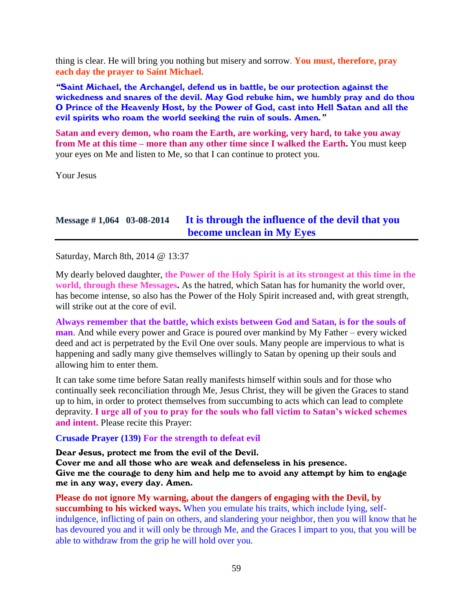thing is clear. He will bring you nothing but misery and sorrow. **You must, therefore, pray each day the prayer to Saint Michael.**

*"*Saint Michael, the Archangel, defend us in battle, be our protection against the wickedness and snares of the devil. May God rebuke him, we humbly pray and do thou O Prince of the Heavenly Host, by the Power of God, cast into Hell Satan and all the evil spirits who roam the world seeking the ruin of souls. Amen*."*

**Satan and every demon, who roam the Earth, are working, very hard, to take you away from Me at this time – more than any other time since I walked the Earth.** You must keep your eyes on Me and listen to Me, so that I can continue to protect you.

Your Jesus

### **Message # 1,064 03-08-2014 [It is through the influence of the devil that you](http://www.thewarningsecondcoming.com/it-is-through-the-influence-of-the-devil-that-you-become-unclean-in-my-eyes/)  [become unclean in My Eyes](http://www.thewarningsecondcoming.com/it-is-through-the-influence-of-the-devil-that-you-become-unclean-in-my-eyes/)**

Saturday, March 8th, 2014 @ 13:37

My dearly beloved daughter, **the Power of the Holy Spirit is at its strongest at this time in the world, through these Messages.** As the hatred, which Satan has for humanity the world over, has become intense, so also has the Power of the Holy Spirit increased and, with great strength, will strike out at the core of evil.

**Always remember that the battle, which exists between God and Satan, is for the souls of man**. And while every power and Grace is poured over mankind by My Father – every wicked deed and act is perpetrated by the Evil One over souls. Many people are impervious to what is happening and sadly many give themselves willingly to Satan by opening up their souls and allowing him to enter them.

It can take some time before Satan really manifests himself within souls and for those who continually seek reconciliation through Me, Jesus Christ, they will be given the Graces to stand up to him, in order to protect themselves from succumbing to acts which can lead to complete depravity. **I urge all of you to pray for the souls who fall victim to Satan's wicked schemes and intent.** Please recite this Prayer:

#### **Crusade Prayer (139) For the strength to defeat evil**

Dear Jesus, protect me from the evil of the Devil.

Cover me and all those who are weak and defenseless in his presence. Give me the courage to deny him and help me to avoid any attempt by him to engage me in any way, every day. Amen.

**Please do not ignore My warning, about the dangers of engaging with the Devil, by succumbing to his wicked ways.** When you emulate his traits, which include lying, selfindulgence, inflicting of pain on others, and slandering your neighbor, then you will know that he has devoured you and it will only be through Me, and the Graces I impart to you, that you will be able to withdraw from the grip he will hold over you.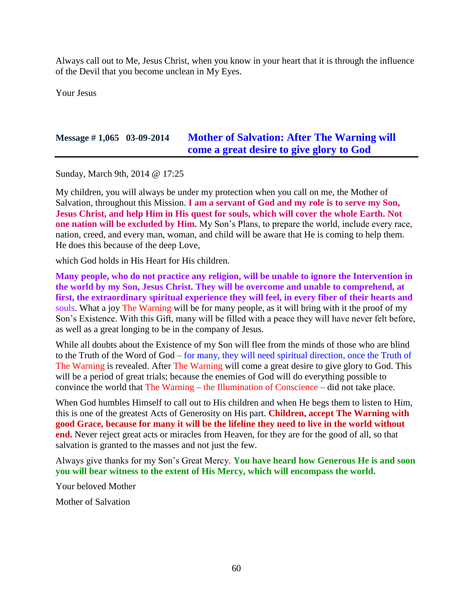Always call out to Me, Jesus Christ, when you know in your heart that it is through the influence of the Devil that you become unclean in My Eyes.

Your Jesus

## **Message # 1,065 03-09-2014 [Mother of Salvation: After The Warning will](http://www.thewarningsecondcoming.com/mother-of-salvation-after-the-warning-will-come-a-great-desire-to-give-glory-to-god-2/)  [come a great desire to give glory to God](http://www.thewarningsecondcoming.com/mother-of-salvation-after-the-warning-will-come-a-great-desire-to-give-glory-to-god-2/)**

Sunday, March 9th, 2014 @ 17:25

My children, you will always be under my protection when you call on me, the Mother of Salvation, throughout this Mission. **I am a servant of God and my role is to serve my Son, Jesus Christ, and help Him in His quest for souls, which will cover the whole Earth. Not one nation will be excluded by Him.** My Son's Plans, to prepare the world, include every race, nation, creed, and every man, woman, and child will be aware that He is coming to help them. He does this because of the deep Love,

which God holds in His Heart for His children.

**Many people, who do not practice any religion, will be unable to ignore the Intervention in the world by my Son, Jesus Christ. They will be overcome and unable to comprehend, at first, the extraordinary spiritual experience they will feel, in every fiber of their hearts and**  souls. What a joy The Warning will be for many people, as it will bring with it the proof of my Son's Existence. With this Gift, many will be filled with a peace they will have never felt before, as well as a great longing to be in the company of Jesus.

While all doubts about the Existence of my Son will flee from the minds of those who are blind to the Truth of the Word of God – for many, they will need spiritual direction, once the Truth of The Warning is revealed. After The Warning will come a great desire to give glory to God. This will be a period of great trials; because the enemies of God will do everything possible to convince the world that The Warning – the Illumination of Conscience – did not take place.

When God humbles Himself to call out to His children and when He begs them to listen to Him, this is one of the greatest Acts of Generosity on His part. **Children, accept The Warning with good Grace, because for many it will be the lifeline they need to live in the world without end.** Never reject great acts or miracles from Heaven, for they are for the good of all, so that salvation is granted to the masses and not just the few.

Always give thanks for my Son's Great Mercy. **You have heard how Generous He is and soon you will bear witness to the extent of His Mercy, which will encompass the world.**

Your beloved Mother

Mother of Salvation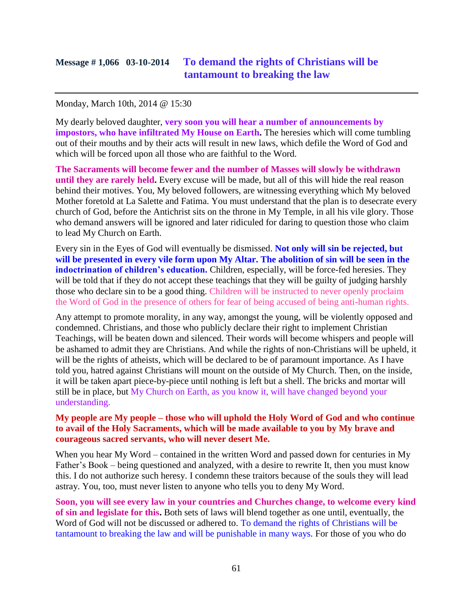## **Message # 1,066 03-10-2014 To demand the rights of Christians will be tantamount to breaking the law**

#### Monday, March 10th, 2014 @ 15:30

My dearly beloved daughter, **very soon you will hear a number of announcements by impostors, who have infiltrated My House on Earth.** The heresies which will come tumbling out of their mouths and by their acts will result in new laws, which defile the Word of God and which will be forced upon all those who are faithful to the Word.

**The Sacraments will become fewer and the number of Masses will slowly be withdrawn until they are rarely held.** Every excuse will be made, but all of this will hide the real reason behind their motives. You, My beloved followers, are witnessing everything which My beloved Mother foretold at La Salette and Fatima. You must understand that the plan is to desecrate every church of God, before the Antichrist sits on the throne in My Temple, in all his vile glory. Those who demand answers will be ignored and later ridiculed for daring to question those who claim to lead My Church on Earth.

Every sin in the Eyes of God will eventually be dismissed. **Not only will sin be rejected, but will be presented in every vile form upon My Altar. The abolition of sin will be seen in the indoctrination of children's education.** Children, especially, will be force-fed heresies. They will be told that if they do not accept these teachings that they will be guilty of judging harshly those who declare sin to be a good thing. Children will be instructed to never openly proclaim the Word of God in the presence of others for fear of being accused of being anti-human rights.

Any attempt to promote morality, in any way, amongst the young, will be violently opposed and condemned. Christians, and those who publicly declare their right to implement Christian Teachings, will be beaten down and silenced. Their words will become whispers and people will be ashamed to admit they are Christians. And while the rights of non-Christians will be upheld, it will be the rights of atheists, which will be declared to be of paramount importance. As I have told you, hatred against Christians will mount on the outside of My Church. Then, on the inside, it will be taken apart piece-by-piece until nothing is left but a shell. The bricks and mortar will still be in place, but My Church on Earth, as you know it, will have changed beyond your understanding.

#### **My people are My people – those who will uphold the Holy Word of God and who continue to avail of the Holy Sacraments, which will be made available to you by My brave and courageous sacred servants, who will never desert Me.**

When you hear My Word – contained in the written Word and passed down for centuries in My Father's Book – being questioned and analyzed, with a desire to rewrite It, then you must know this. I do not authorize such heresy. I condemn these traitors because of the souls they will lead astray. You, too, must never listen to anyone who tells you to deny My Word.

**Soon, you will see every law in your countries and Churches change, to welcome every kind of sin and legislate for this.** Both sets of laws will blend together as one until, eventually, the Word of God will not be discussed or adhered to. To demand the rights of Christians will be tantamount to breaking the law and will be punishable in many ways. For those of you who do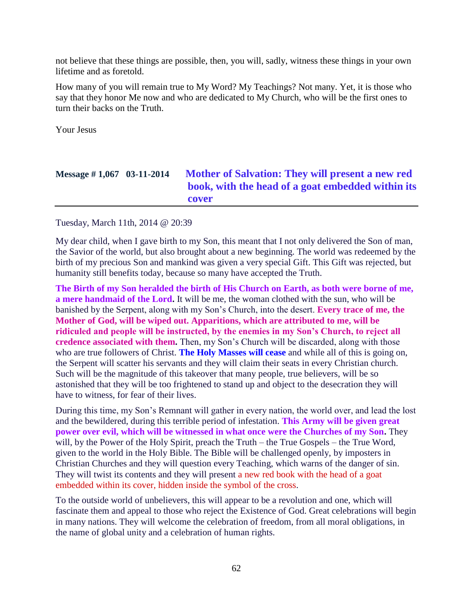not believe that these things are possible, then, you will, sadly, witness these things in your own lifetime and as foretold.

How many of you will remain true to My Word? My Teachings? Not many. Yet, it is those who say that they honor Me now and who are dedicated to My Church, who will be the first ones to turn their backs on the Truth.

Your Jesus

# **Message # 1,067 03-11-2014 [Mother of Salvation: They will present a new red](http://www.thewarningsecondcoming.com/mother-of-salvation-they-will-present-a-new-red-book-with-the-head-of-a-goat-embedded-within-its-cover/)  book, with the [head of a goat embedded within its](http://www.thewarningsecondcoming.com/mother-of-salvation-they-will-present-a-new-red-book-with-the-head-of-a-goat-embedded-within-its-cover/)  [cover](http://www.thewarningsecondcoming.com/mother-of-salvation-they-will-present-a-new-red-book-with-the-head-of-a-goat-embedded-within-its-cover/)**

#### Tuesday, March 11th, 2014 @ 20:39

My dear child, when I gave birth to my Son, this meant that I not only delivered the Son of man, the Savior of the world, but also brought about a new beginning. The world was redeemed by the birth of my precious Son and mankind was given a very special Gift. This Gift was rejected, but humanity still benefits today, because so many have accepted the Truth.

**The Birth of my Son heralded the birth of His Church on Earth, as both were borne of me, a mere handmaid of the Lord.** It will be me, the woman clothed with the sun, who will be banished by the Serpent, along with my Son's Church, into the desert. **Every trace of me, the Mother of God, will be wiped out. Apparitions, which are attributed to me, will be ridiculed and people will be instructed, by the enemies in my Son's Church, to reject all credence associated with them.** Then, my Son's Church will be discarded, along with those who are true followers of Christ. **The Holy Masses will cease** and while all of this is going on, the Serpent will scatter his servants and they will claim their seats in every Christian church. Such will be the magnitude of this takeover that many people, true believers, will be so astonished that they will be too frightened to stand up and object to the desecration they will have to witness, for fear of their lives.

During this time, my Son's Remnant will gather in every nation, the world over, and lead the lost and the bewildered, during this terrible period of infestation. **This Army will be given great power over evil, which will be witnessed in what once were the Churches of my Son.** They will, by the Power of the Holy Spirit, preach the Truth – the True Gospels – the True Word, given to the world in the Holy Bible. The Bible will be challenged openly, by imposters in Christian Churches and they will question every Teaching, which warns of the danger of sin. They will twist its contents and they will present a new red book with the head of a goat embedded within its cover, hidden inside the symbol of the cross.

To the outside world of unbelievers, this will appear to be a revolution and one, which will fascinate them and appeal to those who reject the Existence of God. Great celebrations will begin in many nations. They will welcome the celebration of freedom, from all moral obligations, in the name of global unity and a celebration of human rights.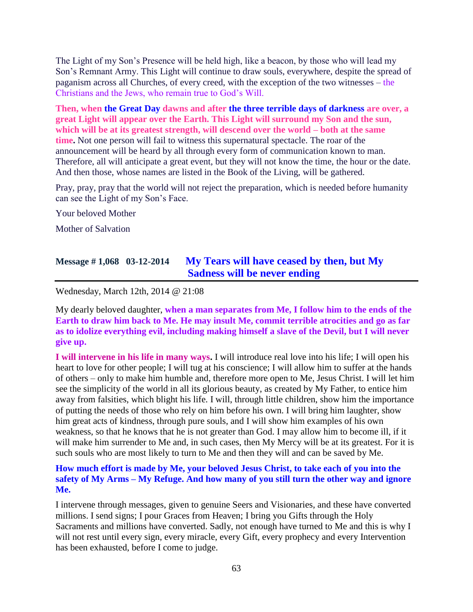The Light of my Son's Presence will be held high, like a beacon, by those who will lead my Son's Remnant Army. This Light will continue to draw souls, everywhere, despite the spread of paganism across all Churches, of every creed, with the exception of the two witnesses – the Christians and the Jews, who remain true to God's Will.

**Then, when the Great Day dawns and after the three terrible days of darkness are over, a great Light will appear over the Earth. This Light will surround my Son and the sun, which will be at its greatest strength, will descend over the world – both at the same time.** Not one person will fail to witness this supernatural spectacle. The roar of the announcement will be heard by all through every form of communication known to man. Therefore, all will anticipate a great event, but they will not know the time, the hour or the date. And then those, whose names are listed in the Book of the Living, will be gathered.

Pray, pray, pray that the world will not reject the preparation, which is needed before humanity can see the Light of my Son's Face.

Your beloved Mother

Mother of Salvation

### **Message # 1,068 03-12-2014 [My Tears will have ceased by then, but My](http://www.thewarningsecondcoming.com/my-tears-will-have-ceased-by-then-but-my-sadness-will-be-never-ending/)  [Sadness will be never ending](http://www.thewarningsecondcoming.com/my-tears-will-have-ceased-by-then-but-my-sadness-will-be-never-ending/)**

Wednesday, March 12th, 2014 @ 21:08

My dearly beloved daughter, **when a man separates from Me, I follow him to the ends of the Earth to draw him back to Me. He may insult Me, commit terrible atrocities and go as far as to idolize everything evil, including making himself a slave of the Devil, but I will never give up.**

**I will intervene in his life in many ways.** I will introduce real love into his life; I will open his heart to love for other people; I will tug at his conscience; I will allow him to suffer at the hands of others – only to make him humble and, therefore more open to Me, Jesus Christ. I will let him see the simplicity of the world in all its glorious beauty, as created by My Father, to entice him away from falsities, which blight his life. I will, through little children, show him the importance of putting the needs of those who rely on him before his own. I will bring him laughter, show him great acts of kindness, through pure souls, and I will show him examples of his own weakness, so that he knows that he is not greater than God. I may allow him to become ill, if it will make him surrender to Me and, in such cases, then My Mercy will be at its greatest. For it is such souls who are most likely to turn to Me and then they will and can be saved by Me.

### **How much effort is made by Me, your beloved Jesus Christ, to take each of you into the safety of My Arms – My Refuge. And how many of you still turn the other way and ignore Me.**

I intervene through messages, given to genuine Seers and Visionaries, and these have converted millions. I send signs; I pour Graces from Heaven; I bring you Gifts through the Holy Sacraments and millions have converted. Sadly, not enough have turned to Me and this is why I will not rest until every sign, every miracle, every Gift, every prophecy and every Intervention has been exhausted, before I come to judge.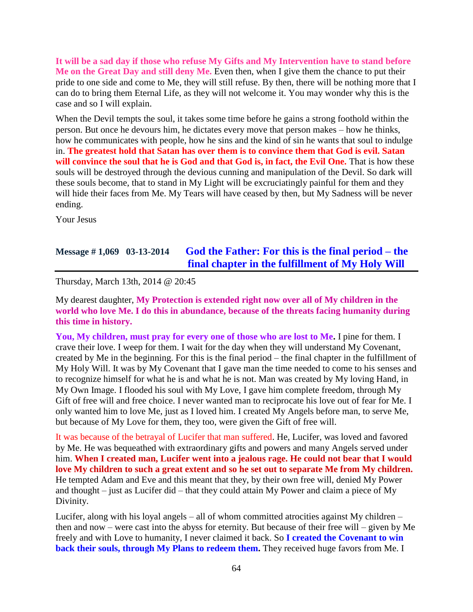**It will be a sad day if those who refuse My Gifts and My Intervention have to stand before Me on the Great Day and still deny Me.** Even then, when I give them the chance to put their pride to one side and come to Me, they will still refuse. By then, there will be nothing more that I can do to bring them Eternal Life, as they will not welcome it. You may wonder why this is the case and so I will explain.

When the Devil tempts the soul, it takes some time before he gains a strong foothold within the person. But once he devours him, he dictates every move that person makes – how he thinks, how he communicates with people, how he sins and the kind of sin he wants that soul to indulge in. **The greatest hold that Satan has over them is to convince them that God is evil. Satan will convince the soul that he is God and that God is, in fact, the Evil One.** That is how these souls will be destroyed through the devious cunning and manipulation of the Devil. So dark will these souls become, that to stand in My Light will be excruciatingly painful for them and they will hide their faces from Me. My Tears will have ceased by then, but My Sadness will be never ending.

Your Jesus

## **Message # 1,069 03-13-2014 [God the Father: For this is the final period –](http://www.thewarningsecondcoming.com/god-the-father-for-this-is-the-final-period-the-final-chapter-in-the-fulfillment-of-my-holy-will/) the [final chapter in the fulfillment of My Holy Will](http://www.thewarningsecondcoming.com/god-the-father-for-this-is-the-final-period-the-final-chapter-in-the-fulfillment-of-my-holy-will/)**

Thursday, March 13th, 2014 @ 20:45

My dearest daughter, **My Protection is extended right now over all of My children in the world who love Me. I do this in abundance, because of the threats facing humanity during this time in history.**

**You, My children, must pray for every one of those who are lost to Me.** I pine for them. I crave their love. I weep for them. I wait for the day when they will understand My Covenant, created by Me in the beginning. For this is the final period – the final chapter in the fulfillment of My Holy Will. It was by My Covenant that I gave man the time needed to come to his senses and to recognize himself for what he is and what he is not. Man was created by My loving Hand, in My Own Image. I flooded his soul with My Love, I gave him complete freedom, through My Gift of free will and free choice. I never wanted man to reciprocate his love out of fear for Me. I only wanted him to love Me, just as I loved him. I created My Angels before man, to serve Me, but because of My Love for them, they too, were given the Gift of free will.

It was because of the betrayal of Lucifer that man suffered. He, Lucifer, was loved and favored by Me. He was bequeathed with extraordinary gifts and powers and many Angels served under him. **When I created man, Lucifer went into a jealous rage. He could not bear that I would love My children to such a great extent and so he set out to separate Me from My children.** He tempted Adam and Eve and this meant that they, by their own free will, denied My Power and thought – just as Lucifer did – that they could attain My Power and claim a piece of My Divinity.

Lucifer, along with his loyal angels – all of whom committed atrocities against My children – then and now – were cast into the abyss for eternity. But because of their free will – given by Me freely and with Love to humanity, I never claimed it back. So **I created the Covenant to win back their souls, through My Plans to redeem them.** They received huge favors from Me. I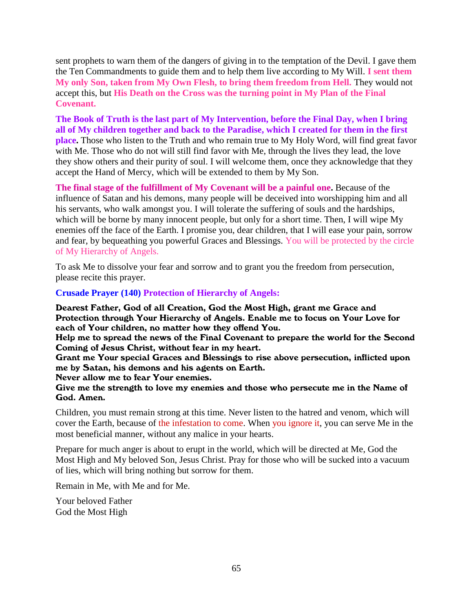sent prophets to warn them of the dangers of giving in to the temptation of the Devil. I gave them the Ten Commandments to guide them and to help them live according to My Will. **I sent them My only Son, taken from My Own Flesh, to bring them freedom from Hell.** They would not accept this, but **His Death on the Cross was the turning point in My Plan of the Final Covenant.**

**The Book of Truth is the last part of My Intervention, before the Final Day, when I bring all of My children together and back to the Paradise, which I created for them in the first place.** Those who listen to the Truth and who remain true to My Holy Word, will find great favor with Me. Those who do not will still find favor with Me, through the lives they lead, the love they show others and their purity of soul. I will welcome them, once they acknowledge that they accept the Hand of Mercy, which will be extended to them by My Son.

**The final stage of the fulfillment of My Covenant will be a painful one.** Because of the influence of Satan and his demons, many people will be deceived into worshipping him and all his servants, who walk amongst you. I will tolerate the suffering of souls and the hardships, which will be borne by many innocent people, but only for a short time. Then, I will wipe My enemies off the face of the Earth. I promise you, dear children, that I will ease your pain, sorrow and fear, by bequeathing you powerful Graces and Blessings. You will be protected by the circle of My Hierarchy of Angels.

To ask Me to dissolve your fear and sorrow and to grant you the freedom from persecution, please recite this prayer.

#### **Crusade Prayer (140) Protection of Hierarchy of Angels:**

Dearest Father, God of all Creation, God the Most High, grant me Grace and Protection through Your Hierarchy of Angels. Enable me to focus on Your Love for each of Your children, no matter how they offend You.

Help me to spread the news of the Final Covenant to prepare the world for the Second Coming of Jesus Christ, without fear in my heart.

Grant me Your special Graces and Blessings to rise above persecution, inflicted upon me by Satan, his demons and his agents on Earth.

Never allow me to fear Your enemies.

#### Give me the strength to love my enemies and those who persecute me in the Name of God. Amen.

Children, you must remain strong at this time. Never listen to the hatred and venom, which will cover the Earth, because of the infestation to come. When you ignore it, you can serve Me in the most beneficial manner, without any malice in your hearts.

Prepare for much anger is about to erupt in the world, which will be directed at Me, God the Most High and My beloved Son, Jesus Christ. Pray for those who will be sucked into a vacuum of lies, which will bring nothing but sorrow for them.

Remain in Me, with Me and for Me.

Your beloved Father God the Most High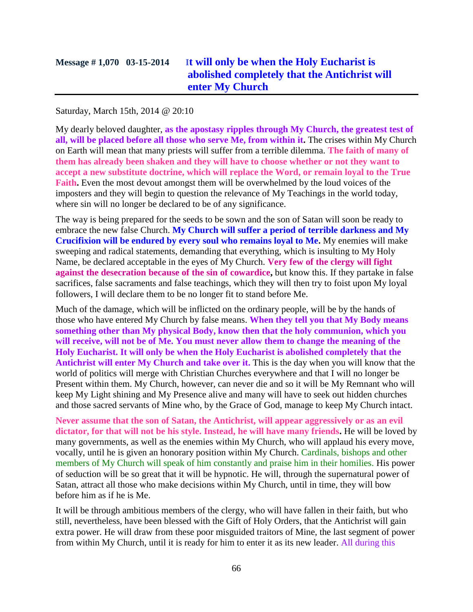# **Message # 1,070 03-15-2014 I[t will only be when the Holy Eucharist is](http://www.thewarningsecondcoming.com/it-will-only-be-when-the-holy-eucharist-is-abolished-completely-that-the-antichrist-will-enter-my-church/)  [abolished completely that the Antichrist will](http://www.thewarningsecondcoming.com/it-will-only-be-when-the-holy-eucharist-is-abolished-completely-that-the-antichrist-will-enter-my-church/)  [enter My Church](http://www.thewarningsecondcoming.com/it-will-only-be-when-the-holy-eucharist-is-abolished-completely-that-the-antichrist-will-enter-my-church/)**

#### Saturday, March 15th, 2014 @ 20:10

My dearly beloved daughter, **as the apostasy ripples through My Church, the greatest test of all, will be placed before all those who serve Me, from within it.** The crises within My Church on Earth will mean that many priests will suffer from a terrible dilemma. **The faith of many of them has already been shaken and they will have to choose whether or not they want to accept a new substitute doctrine, which will replace the Word, or remain loyal to the True Faith.** Even the most devout amongst them will be overwhelmed by the loud voices of the imposters and they will begin to question the relevance of My Teachings in the world today, where sin will no longer be declared to be of any significance.

The way is being prepared for the seeds to be sown and the son of Satan will soon be ready to embrace the new false Church. **My Church will suffer a period of terrible darkness and My Crucifixion will be endured by every soul who remains loyal to Me.** My enemies will make sweeping and radical statements, demanding that everything, which is insulting to My Holy Name, be declared acceptable in the eyes of My Church. **Very few of the clergy will fight against the desecration because of the sin of cowardice,** but know this. If they partake in false sacrifices, false sacraments and false teachings, which they will then try to foist upon My loyal followers, I will declare them to be no longer fit to stand before Me.

Much of the damage, which will be inflicted on the ordinary people, will be by the hands of those who have entered My Church by false means. **When they tell you that My Body means something other than My physical Body, know then that the holy communion, which you will receive, will not be of Me. You must never allow them to change the meaning of the Holy Eucharist. It will only be when the Holy Eucharist is abolished completely that the Antichrist will enter My Church and take over it.** This is the day when you will know that the world of politics will merge with Christian Churches everywhere and that I will no longer be Present within them. My Church, however, can never die and so it will be My Remnant who will keep My Light shining and My Presence alive and many will have to seek out hidden churches and those sacred servants of Mine who, by the Grace of God, manage to keep My Church intact.

**Never assume that the son of Satan, the Antichrist, will appear aggressively or as an evil dictator, for that will not be his style. Instead, he will have many friends.** He will be loved by many governments, as well as the enemies within My Church, who will applaud his every move, vocally, until he is given an honorary position within My Church. Cardinals, bishops and other members of My Church will speak of him constantly and praise him in their homilies. His power of seduction will be so great that it will be hypnotic. He will, through the supernatural power of Satan, attract all those who make decisions within My Church, until in time, they will bow before him as if he is Me.

It will be through ambitious members of the clergy, who will have fallen in their faith, but who still, nevertheless, have been blessed with the Gift of Holy Orders, that the Antichrist will gain extra power. He will draw from these poor misguided traitors of Mine, the last segment of power from within My Church, until it is ready for him to enter it as its new leader. All during this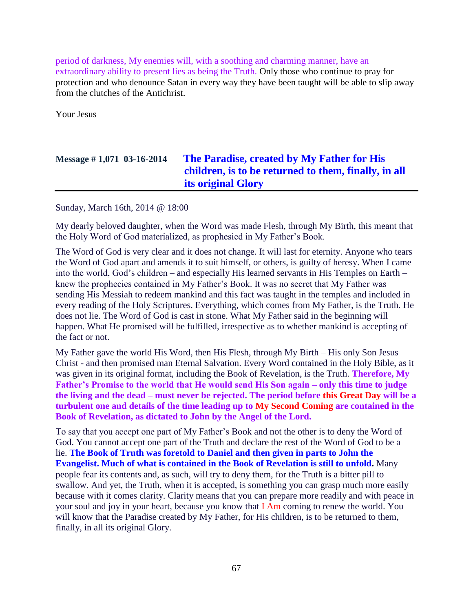period of darkness, My enemies will, with a soothing and charming manner, have an extraordinary ability to present lies as being the Truth. Only those who continue to pray for protection and who denounce Satan in every way they have been taught will be able to slip away from the clutches of the Antichrist.

Your Jesus

# **Message # 1,071 03-16-2014 [The Paradise, created by My Father for His](http://www.thewarningsecondcoming.com/the-paradise-created-by-my-father-for-his-children-is-to-be-returned-to-them-finally-in-all-its-original-glory/)  [children, is to be returned to them, finally, in all](http://www.thewarningsecondcoming.com/the-paradise-created-by-my-father-for-his-children-is-to-be-returned-to-them-finally-in-all-its-original-glory/)  [its original Glory](http://www.thewarningsecondcoming.com/the-paradise-created-by-my-father-for-his-children-is-to-be-returned-to-them-finally-in-all-its-original-glory/)**

Sunday, March 16th, 2014 @ 18:00

My dearly beloved daughter, when the Word was made Flesh, through My Birth, this meant that the Holy Word of God materialized, as prophesied in My Father's Book.

The Word of God is very clear and it does not change. It will last for eternity. Anyone who tears the Word of God apart and amends it to suit himself, or others, is guilty of heresy. When I came into the world, God's children – and especially His learned servants in His Temples on Earth – knew the prophecies contained in My Father's Book. It was no secret that My Father was sending His Messiah to redeem mankind and this fact was taught in the temples and included in every reading of the Holy Scriptures. Everything, which comes from My Father, is the Truth. He does not lie. The Word of God is cast in stone. What My Father said in the beginning will happen. What He promised will be fulfilled, irrespective as to whether mankind is accepting of the fact or not.

My Father gave the world His Word, then His Flesh, through My Birth – His only Son Jesus Christ - and then promised man Eternal Salvation. Every Word contained in the Holy Bible, as it was given in its original format, including the Book of Revelation, is the Truth. **Therefore, My Father's Promise to the world that He would send His Son again – only this time to judge the living and the dead – must never be rejected. The period before this Great Day will be a turbulent one and details of the time leading up to My Second Coming are contained in the Book of Revelation, as dictated to John by the Angel of the Lord.**

To say that you accept one part of My Father's Book and not the other is to deny the Word of God. You cannot accept one part of the Truth and declare the rest of the Word of God to be a lie. **The Book of Truth was foretold to Daniel and then given in parts to John the Evangelist. Much of what is contained in the Book of Revelation is still to unfold.** Many people fear its contents and, as such, will try to deny them, for the Truth is a bitter pill to swallow. And yet, the Truth, when it is accepted, is something you can grasp much more easily because with it comes clarity. Clarity means that you can prepare more readily and with peace in your soul and joy in your heart, because you know that I Am coming to renew the world. You will know that the Paradise created by My Father, for His children, is to be returned to them, finally, in all its original Glory.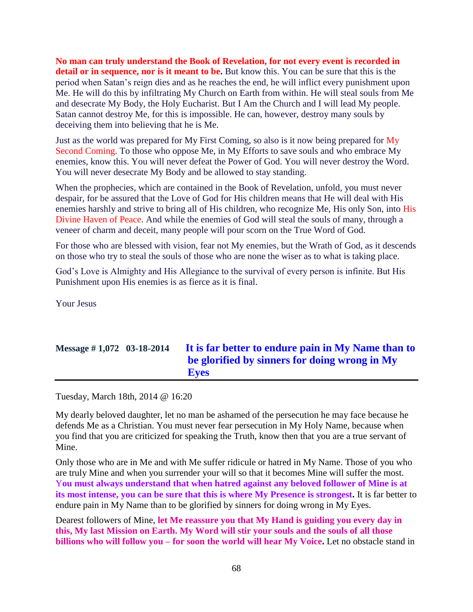**No man can truly understand the Book of Revelation, for not every event is recorded in detail or in sequence, nor is it meant to be.** But know this. You can be sure that this is the period when Satan's reign dies and as he reaches the end, he will inflict every punishment upon Me. He will do this by infiltrating My Church on Earth from within. He will steal souls from Me and desecrate My Body, the Holy Eucharist. But I Am the Church and I will lead My people. Satan cannot destroy Me, for this is impossible. He can, however, destroy many souls by deceiving them into believing that he is Me.

Just as the world was prepared for My First Coming, so also is it now being prepared for My Second Coming. To those who oppose Me, in My Efforts to save souls and who embrace My enemies, know this. You will never defeat the Power of God. You will never destroy the Word. You will never desecrate My Body and be allowed to stay standing.

When the prophecies, which are contained in the Book of Revelation, unfold, you must never despair, for be assured that the Love of God for His children means that He will deal with His enemies harshly and strive to bring all of His children, who recognize Me, His only Son, into His Divine Haven of Peace. And while the enemies of God will steal the souls of many, through a veneer of charm and deceit, many people will pour scorn on the True Word of God.

For those who are blessed with vision, fear not My enemies, but the Wrath of God, as it descends on those who try to steal the souls of those who are none the wiser as to what is taking place.

God's Love is Almighty and His Allegiance to the survival of every person is infinite. But His Punishment upon His enemies is as fierce as it is final.

Your Jesus

# **Message # 1,072 03-18-2014 [It is far better to endure pain in My Name than to](http://www.thewarningsecondcoming.com/it-is-far-better-to-endure-pain-in-my-name-than-to-be-glorified-by-sinners-for-doing-wrong-in-my-eyes/)  [be glorified by sinners for doing wrong in My](http://www.thewarningsecondcoming.com/it-is-far-better-to-endure-pain-in-my-name-than-to-be-glorified-by-sinners-for-doing-wrong-in-my-eyes/)  [Eyes](http://www.thewarningsecondcoming.com/it-is-far-better-to-endure-pain-in-my-name-than-to-be-glorified-by-sinners-for-doing-wrong-in-my-eyes/)**

Tuesday, March 18th, 2014 @ 16:20

My dearly beloved daughter, let no man be ashamed of the persecution he may face because he defends Me as a Christian. You must never fear persecution in My Holy Name, because when you find that you are criticized for speaking the Truth, know then that you are a true servant of Mine.

Only those who are in Me and with Me suffer ridicule or hatred in My Name. Those of you who are truly Mine and when you surrender your will so that it becomes Mine will suffer the most. Y**ou must always understand that when hatred against any beloved follower of Mine is at its most intense, you can be sure that this is where My Presence is strongest.** It is far better to endure pain in My Name than to be glorified by sinners for doing wrong in My Eyes.

Dearest followers of Mine, **let Me reassure you that My Hand is guiding you every day in this, My last Mission on Earth. My Word will stir your souls and the souls of all those billions who will follow you – for soon the world will hear My Voice.** Let no obstacle stand in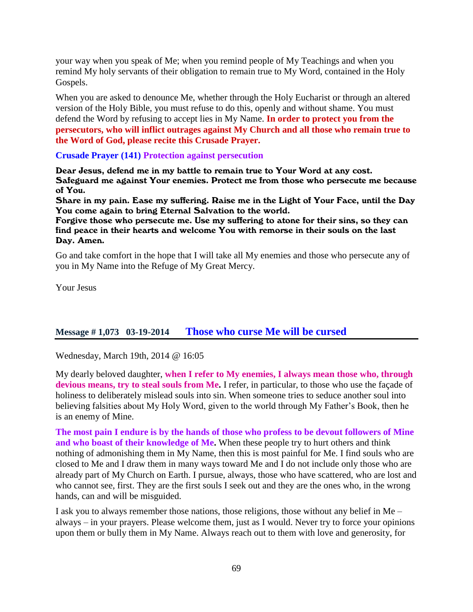your way when you speak of Me; when you remind people of My Teachings and when you remind My holy servants of their obligation to remain true to My Word, contained in the Holy Gospels.

When you are asked to denounce Me, whether through the Holy Eucharist or through an altered version of the Holy Bible, you must refuse to do this, openly and without shame. You must defend the Word by refusing to accept lies in My Name. **In order to protect you from the persecutors, who will inflict outrages against My Church and all those who remain true to the Word of God, please recite this Crusade Prayer.**

### **Crusade Prayer (141) Protection against persecution**

Dear Jesus, defend me in my battle to remain true to Your Word at any cost. Safeguard me against Your enemies. Protect me from those who persecute me because of You.

Share in my pain. Ease my suffering. Raise me in the Light of Your Face, until the Day You come again to bring Eternal Salvation to the world.

Forgive those who persecute me. Use my suffering to atone for their sins, so they can find peace in their hearts and welcome You with remorse in their souls on the last Day. Amen.

Go and take comfort in the hope that I will take all My enemies and those who persecute any of you in My Name into the Refuge of My Great Mercy.

Your Jesus

### **Message # 1,073 03-19-2014 [Those who curse Me will be cursed](http://www.thewarningsecondcoming.com/those-who-curse-me-will-be-cursed/)**

Wednesday, March 19th, 2014 @ 16:05

My dearly beloved daughter, **when I refer to My enemies, I always mean those who, through devious means, try to steal souls from Me.** I refer, in particular, to those who use the façade of holiness to deliberately mislead souls into sin. When someone tries to seduce another soul into believing falsities about My Holy Word, given to the world through My Father's Book, then he is an enemy of Mine.

**The most pain I endure is by the hands of those who profess to be devout followers of Mine and who boast of their knowledge of Me.** When these people try to hurt others and think nothing of admonishing them in My Name, then this is most painful for Me. I find souls who are closed to Me and I draw them in many ways toward Me and I do not include only those who are already part of My Church on Earth. I pursue, always, those who have scattered, who are lost and who cannot see, first. They are the first souls I seek out and they are the ones who, in the wrong hands, can and will be misguided.

I ask you to always remember those nations, those religions, those without any belief in Me – always – in your prayers. Please welcome them, just as I would. Never try to force your opinions upon them or bully them in My Name. Always reach out to them with love and generosity, for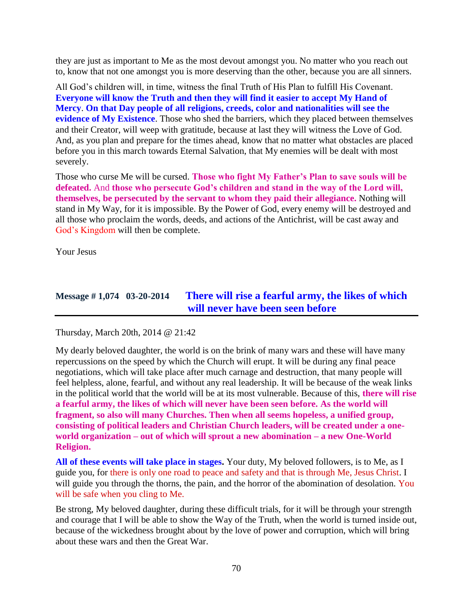they are just as important to Me as the most devout amongst you. No matter who you reach out to, know that not one amongst you is more deserving than the other, because you are all sinners.

All God's children will, in time, witness the final Truth of His Plan to fulfill His Covenant. **Everyone will know the Truth and then they will find it easier to accept My Hand of Mercy**. **On that Day people of all religions, creeds, color and nationalities will see the evidence of My Existence**. Those who shed the barriers, which they placed between themselves and their Creator, will weep with gratitude, because at last they will witness the Love of God. And, as you plan and prepare for the times ahead, know that no matter what obstacles are placed before you in this march towards Eternal Salvation, that My enemies will be dealt with most severely.

Those who curse Me will be cursed. **Those who fight My Father's Plan to save souls will be defeated.** And **those who persecute God's children and stand in the way of the Lord will, themselves, be persecuted by the servant to whom they paid their allegiance.** Nothing will stand in My Way, for it is impossible. By the Power of God, every enemy will be destroyed and all those who proclaim the words, deeds, and actions of the Antichrist, will be cast away and God's Kingdom will then be complete.

Your Jesus

## **Message # 1,074 03-20-2014 [There will rise a fearful army, the likes of which](http://www.thewarningsecondcoming.com/there-will-rise-a-fearful-army-the-likes-of-which-will-never-have-been-seen-before/)  [will never have been seen before](http://www.thewarningsecondcoming.com/there-will-rise-a-fearful-army-the-likes-of-which-will-never-have-been-seen-before/)**

Thursday, March 20th, 2014 @ 21:42

My dearly beloved daughter, the world is on the brink of many wars and these will have many repercussions on the speed by which the Church will erupt. It will be during any final peace negotiations, which will take place after much carnage and destruction, that many people will feel helpless, alone, fearful, and without any real leadership. It will be because of the weak links in the political world that the world will be at its most vulnerable. Because of this, **there will rise a fearful army, the likes of which will never have been seen before. As the world will fragment, so also will many Churches. Then when all seems hopeless, a unified group, consisting of political leaders and Christian Church leaders, will be created under a oneworld organization – out of which will sprout a new abomination – a new One-World Religion.**

**All of these events will take place in stages.** Your duty, My beloved followers, is to Me, as I guide you, for there is only one road to peace and safety and that is through Me, Jesus Christ. I will guide you through the thorns, the pain, and the horror of the abomination of desolation. You will be safe when you cling to Me.

Be strong, My beloved daughter, during these difficult trials, for it will be through your strength and courage that I will be able to show the Way of the Truth, when the world is turned inside out, because of the wickedness brought about by the love of power and corruption, which will bring about these wars and then the Great War.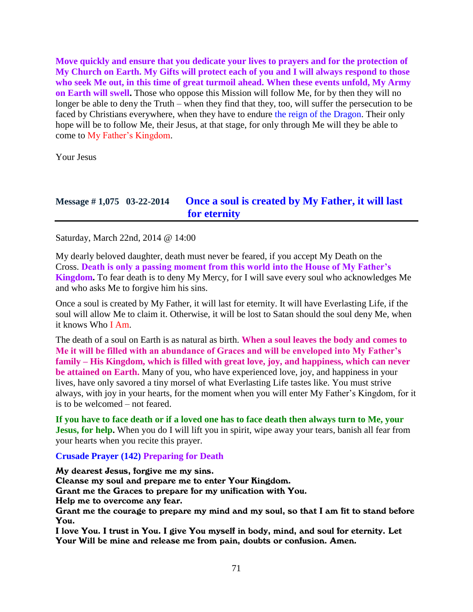**Move quickly and ensure that you dedicate your lives to prayers and for the protection of My Church on Earth. My Gifts will protect each of you and I will always respond to those who seek Me out, in this time of great turmoil ahead. When these events unfold, My Army on Earth will swell.** Those who oppose this Mission will follow Me, for by then they will no longer be able to deny the Truth – when they find that they, too, will suffer the persecution to be faced by Christians everywhere, when they have to endure the reign of the Dragon. Their only hope will be to follow Me, their Jesus, at that stage, for only through Me will they be able to come to My Father's Kingdom.

Your Jesus

### **Message # 1,075 03-22-2014 [Once a soul is created by My Father, it will last](http://www.thewarningsecondcoming.com/once-a-soul-is-created-by-my-father-it-will-last-for-eternity/)  [for eternity](http://www.thewarningsecondcoming.com/once-a-soul-is-created-by-my-father-it-will-last-for-eternity/)**

Saturday, March 22nd, 2014 @ 14:00

My dearly beloved daughter, death must never be feared, if you accept My Death on the Cross. **Death is only a passing moment from this world into the House of My Father's Kingdom.** To fear death is to deny My Mercy, for I will save every soul who acknowledges Me and who asks Me to forgive him his sins.

Once a soul is created by My Father, it will last for eternity. It will have Everlasting Life, if the soul will allow Me to claim it. Otherwise, it will be lost to Satan should the soul deny Me, when it knows Who I Am.

The death of a soul on Earth is as natural as birth. **When a soul leaves the body and comes to Me it will be filled with an abundance of Graces and will be enveloped into My Father's family – His Kingdom, which is filled with great love, joy, and happiness, which can never be attained on Earth.** Many of you, who have experienced love, joy, and happiness in your lives, have only savored a tiny morsel of what Everlasting Life tastes like. You must strive always, with joy in your hearts, for the moment when you will enter My Father's Kingdom, for it is to be welcomed – not feared.

**If you have to face death or if a loved one has to face death then always turn to Me, your Jesus, for help.** When you do I will lift you in spirit, wipe away your tears, banish all fear from your hearts when you recite this prayer.

**Crusade Prayer (142) Preparing for Death**

My dearest Jesus, forgive me my sins.

Cleanse my soul and prepare me to enter Your Kingdom.

Grant me the Graces to prepare for my unification with You.

Help me to overcome any fear.

Grant me the courage to prepare my mind and my soul, so that I am fit to stand before You.

I love You. I trust in You. I give You myself in body, mind, and soul for eternity. Let Your Will be mine and release me from pain, doubts or confusion. Amen.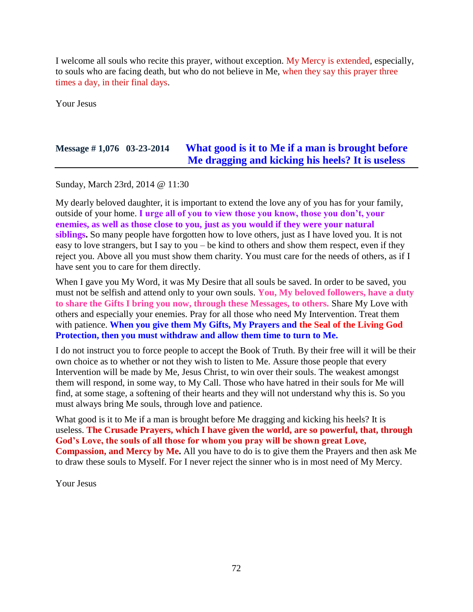I welcome all souls who recite this prayer, without exception. My Mercy is extended, especially, to souls who are facing death, but who do not believe in Me, when they say this prayer three times a day, in their final days.

Your Jesus

# **Message # 1,076 03-23-2014 [What good is it to Me if a man is brought before](http://www.thewarningsecondcoming.com/what-good-is-it-to-me-if-a-man-is-brought-before-me-dragging-and-kicking-his-heels-it-is-useless/)  [Me dragging and kicking his heels? It is useless](http://www.thewarningsecondcoming.com/what-good-is-it-to-me-if-a-man-is-brought-before-me-dragging-and-kicking-his-heels-it-is-useless/)**

Sunday, March 23rd, 2014 @ 11:30

My dearly beloved daughter, it is important to extend the love any of you has for your family, outside of your home. **I urge all of you to view those you know, those you don't, your enemies, as well as those close to you, just as you would if they were your natural siblings.** So many people have forgotten how to love others, just as I have loved you. It is not easy to love strangers, but I say to you – be kind to others and show them respect, even if they reject you. Above all you must show them charity. You must care for the needs of others, as if I have sent you to care for them directly.

When I gave you My Word, it was My Desire that all souls be saved. In order to be saved, you must not be selfish and attend only to your own souls. **You, My beloved followers, have a duty to share the Gifts I bring you now, through these Messages, to others.** Share My Love with others and especially your enemies. Pray for all those who need My Intervention. Treat them with patience. **When you give them My Gifts, My Prayers and the Seal of the Living God Protection, then you must withdraw and allow them time to turn to Me.**

I do not instruct you to force people to accept the Book of Truth. By their free will it will be their own choice as to whether or not they wish to listen to Me. Assure those people that every Intervention will be made by Me, Jesus Christ, to win over their souls. The weakest amongst them will respond, in some way, to My Call. Those who have hatred in their souls for Me will find, at some stage, a softening of their hearts and they will not understand why this is. So you must always bring Me souls, through love and patience.

What good is it to Me if a man is brought before Me dragging and kicking his heels? It is useless. **The Crusade Prayers, which I have given the world, are so powerful, that, through God's Love, the souls of all those for whom you pray will be shown great Love, Compassion, and Mercy by Me.** All you have to do is to give them the Prayers and then ask Me to draw these souls to Myself. For I never reject the sinner who is in most need of My Mercy.

Your Jesus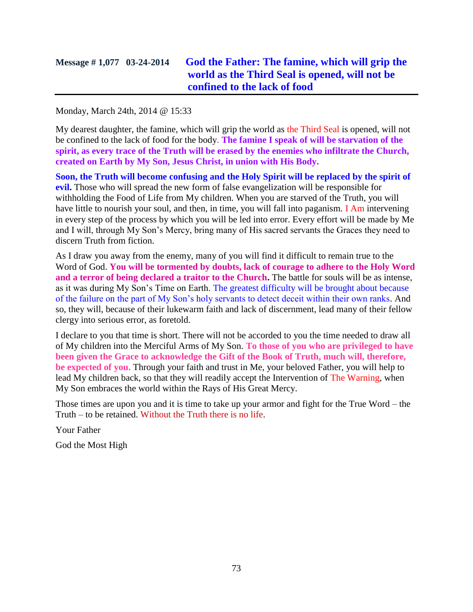# **Message # 1,077 03-24-2014 [God the Father: The famine, which will grip the](http://www.thewarningsecondcoming.com/god-the-father-the-famine-which-will-grip-the-world-as-the-third-seal-is-opened-will-not-be-confined-to-the-lack-of-food/)  [world as the Third Seal is opened, will not be](http://www.thewarningsecondcoming.com/god-the-father-the-famine-which-will-grip-the-world-as-the-third-seal-is-opened-will-not-be-confined-to-the-lack-of-food/)  [confined to the lack of food](http://www.thewarningsecondcoming.com/god-the-father-the-famine-which-will-grip-the-world-as-the-third-seal-is-opened-will-not-be-confined-to-the-lack-of-food/)**

Monday, March 24th, 2014 @ 15:33

My dearest daughter, the famine, which will grip the world as the Third Seal is opened, will not be confined to the lack of food for the body. **The famine I speak of will be starvation of the spirit, as every trace of the Truth will be erased by the enemies who infiltrate the Church, created on Earth by My Son, Jesus Christ, in union with His Body.**

**Soon, the Truth will become confusing and the Holy Spirit will be replaced by the spirit of evil.** Those who will spread the new form of false evangelization will be responsible for withholding the Food of Life from My children. When you are starved of the Truth, you will have little to nourish your soul, and then, in time, you will fall into paganism. I Am intervening in every step of the process by which you will be led into error. Every effort will be made by Me and I will, through My Son's Mercy, bring many of His sacred servants the Graces they need to discern Truth from fiction.

As I draw you away from the enemy, many of you will find it difficult to remain true to the Word of God. **You will be tormented by doubts, lack of courage to adhere to the Holy Word and a terror of being declared a traitor to the Church.** The battle for souls will be as intense, as it was during My Son's Time on Earth. The greatest difficulty will be brought about because of the failure on the part of My Son's holy servants to detect deceit within their own ranks. And so, they will, because of their lukewarm faith and lack of discernment, lead many of their fellow clergy into serious error, as foretold.

I declare to you that time is short. There will not be accorded to you the time needed to draw all of My children into the Merciful Arms of My Son. **To those of you who are privileged to have been given the Grace to acknowledge the Gift of the Book of Truth, much will, therefore, be expected of you.** Through your faith and trust in Me, your beloved Father, you will help to lead My children back, so that they will readily accept the Intervention of The Warning, when My Son embraces the world within the Rays of His Great Mercy.

Those times are upon you and it is time to take up your armor and fight for the True Word – the Truth – to be retained. Without the Truth there is no life.

Your Father

God the Most High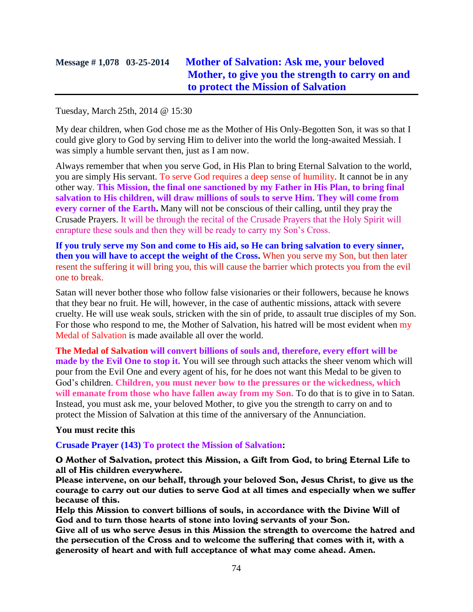## **Message # 1,078 03-25-2014 [Mother of Salvation: Ask me, your beloved](http://www.thewarningsecondcoming.com/mother-of-salvation-ask-me-your-beloved-mother-to-give-you-the-strength-to-carry-on-and-to-protect-the-mission-of-salvation/)  [Mother, to give you the strength to carry on and](http://www.thewarningsecondcoming.com/mother-of-salvation-ask-me-your-beloved-mother-to-give-you-the-strength-to-carry-on-and-to-protect-the-mission-of-salvation/)  [to protect the Mission of Salvation](http://www.thewarningsecondcoming.com/mother-of-salvation-ask-me-your-beloved-mother-to-give-you-the-strength-to-carry-on-and-to-protect-the-mission-of-salvation/)**

#### Tuesday, March 25th, 2014 @ 15:30

My dear children, when God chose me as the Mother of His Only-Begotten Son, it was so that I could give glory to God by serving Him to deliver into the world the long-awaited Messiah. I was simply a humble servant then, just as I am now.

Always remember that when you serve God, in His Plan to bring Eternal Salvation to the world, you are simply His servant. To serve God requires a deep sense of humility. It cannot be in any other way. **This Mission, the final one sanctioned by my Father in His Plan, to bring final salvation to His children, will draw millions of souls to serve Him. They will come from every corner of the Earth.** Many will not be conscious of their calling, until they pray the Crusade Prayers. It will be through the recital of the Crusade Prayers that the Holy Spirit will enrapture these souls and then they will be ready to carry my Son's Cross.

**If you truly serve my Son and come to His aid, so He can bring salvation to every sinner, then you will have to accept the weight of the Cross.** When you serve my Son, but then later resent the suffering it will bring you, this will cause the barrier which protects you from the evil one to break.

Satan will never bother those who follow false visionaries or their followers, because he knows that they bear no fruit. He will, however, in the case of authentic missions, attack with severe cruelty. He will use weak souls, stricken with the sin of pride, to assault true disciples of my Son. For those who respond to me, the Mother of Salvation, his hatred will be most evident when my Medal of Salvation is made available all over the world.

**The Medal of Salvation will convert billions of souls and, therefore, every effort will be made by the Evil One to stop it.** You will see through such attacks the sheer venom which will pour from the Evil One and every agent of his, for he does not want this Medal to be given to God's children. **Children, you must never bow to the pressures or the wickedness, which will emanate from those who have fallen away from my Son.** To do that is to give in to Satan. Instead, you must ask me, your beloved Mother, to give you the strength to carry on and to protect the Mission of Salvation at this time of the anniversary of the Annunciation.

#### **You must recite this**

#### **Crusade Prayer (143) To protect the Mission of Salvation:**

#### O Mother of Salvation, protect this Mission, a Gift from God, to bring Eternal Life to all of His children everywhere.

Please intervene, on our behalf, through your beloved Son, Jesus Christ, to give us the courage to carry out our duties to serve God at all times and especially when we suffer because of this.

Help this Mission to convert billions of souls, in accordance with the Divine Will of God and to turn those hearts of stone into loving servants of your Son.

Give all of us who serve Jesus in this Mission the strength to overcome the hatred and the persecution of the Cross and to welcome the suffering that comes with it, with a generosity of heart and with full acceptance of what may come ahead. Amen.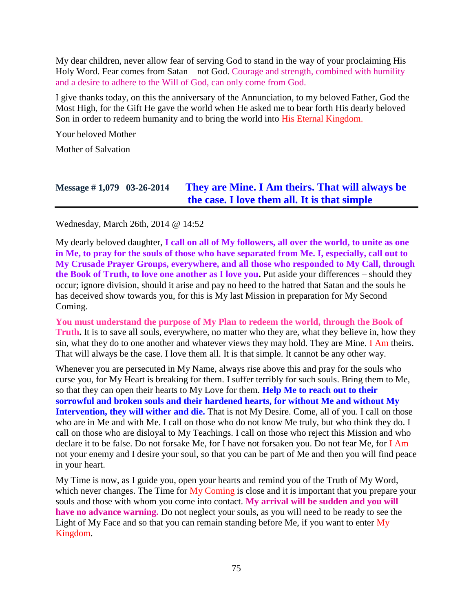My dear children, never allow fear of serving God to stand in the way of your proclaiming His Holy Word. Fear comes from Satan – not God. Courage and strength, combined with humility and a desire to adhere to the Will of God, can only come from God.

I give thanks today, on this the anniversary of the Annunciation, to my beloved Father, God the Most High, for the Gift He gave the world when He asked me to bear forth His dearly beloved Son in order to redeem humanity and to bring the world into His Eternal Kingdom.

Your beloved Mother

Mother of Salvation

# **Message # 1,079 03-26-2014 [They are Mine. I Am theirs. That will always be](http://www.thewarningsecondcoming.com/they-are-mine-i-am-theirs-that-will-always-be-the-case-i-love-them-all-it-is-that-simple/)  [the case. I love them all. It is that simple](http://www.thewarningsecondcoming.com/they-are-mine-i-am-theirs-that-will-always-be-the-case-i-love-them-all-it-is-that-simple/)**

Wednesday, March 26th, 2014 @ 14:52

My dearly beloved daughter, **I call on all of My followers, all over the world, to unite as one in Me, to pray for the souls of those who have separated from Me. I, especially, call out to My Crusade Prayer Groups, everywhere, and all those who responded to My Call, through the Book of Truth, to love one another as I love you.** Put aside your differences – should they occur; ignore division, should it arise and pay no heed to the hatred that Satan and the souls he has deceived show towards you, for this is My last Mission in preparation for My Second Coming.

**You must understand the purpose of My Plan to redeem the world, through the Book of Truth.** It is to save all souls, everywhere, no matter who they are, what they believe in, how they sin, what they do to one another and whatever views they may hold. They are Mine. I Am theirs. That will always be the case. I love them all. It is that simple. It cannot be any other way.

Whenever you are persecuted in My Name, always rise above this and pray for the souls who curse you, for My Heart is breaking for them. I suffer terribly for such souls. Bring them to Me, so that they can open their hearts to My Love for them. **Help Me to reach out to their sorrowful and broken souls and their hardened hearts, for without Me and without My Intervention, they will wither and die.** That is not My Desire. Come, all of you. I call on those who are in Me and with Me. I call on those who do not know Me truly, but who think they do. I call on those who are disloyal to My Teachings. I call on those who reject this Mission and who declare it to be false. Do not forsake Me, for I have not forsaken you. Do not fear Me, for I Am not your enemy and I desire your soul, so that you can be part of Me and then you will find peace in your heart.

My Time is now, as I guide you, open your hearts and remind you of the Truth of My Word, which never changes. The Time for My Coming is close and it is important that you prepare your souls and those with whom you come into contact. **My arrival will be sudden and you will have no advance warning.** Do not neglect your souls, as you will need to be ready to see the Light of My Face and so that you can remain standing before Me, if you want to enter My Kingdom.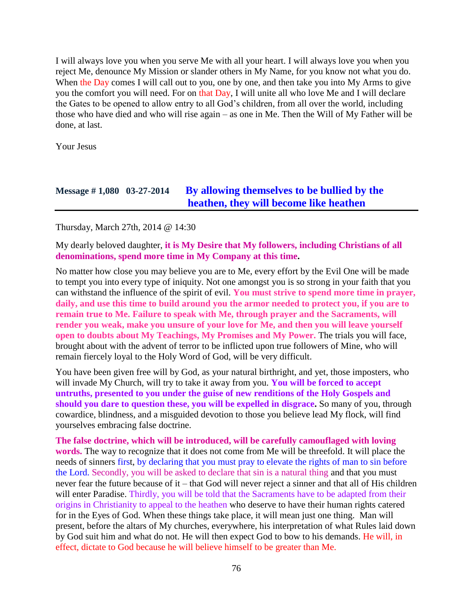I will always love you when you serve Me with all your heart. I will always love you when you reject Me, denounce My Mission or slander others in My Name, for you know not what you do. When the Day comes I will call out to you, one by one, and then take you into My Arms to give you the comfort you will need. For on that Day, I will unite all who love Me and I will declare the Gates to be opened to allow entry to all God's children, from all over the world, including those who have died and who will rise again – as one in Me. Then the Will of My Father will be done, at last.

Your Jesus

## **Message # 1,080 03-27-2014 [By allowing themselves to be bullied by the](http://www.thewarningsecondcoming.com/by-allowing-themselves-to-be-bullied-by-the-heathen-they-will-become-like-heathen/)  [heathen, they will become like heathen](http://www.thewarningsecondcoming.com/by-allowing-themselves-to-be-bullied-by-the-heathen-they-will-become-like-heathen/)**

Thursday, March 27th, 2014 @ 14:30

My dearly beloved daughter, **it is My Desire that My followers, including Christians of all denominations, spend more time in My Company at this time.**

No matter how close you may believe you are to Me, every effort by the Evil One will be made to tempt you into every type of iniquity. Not one amongst you is so strong in your faith that you can withstand the influence of the spirit of evil. **You must strive to spend more time in prayer, daily, and use this time to build around you the armor needed to protect you, if you are to remain true to Me. Failure to speak with Me, through prayer and the Sacraments, will render you weak, make you unsure of your love for Me, and then you will leave yourself open to doubts about My Teachings, My Promises and My Power.** The trials you will face, brought about with the advent of terror to be inflicted upon true followers of Mine, who will remain fiercely loyal to the Holy Word of God, will be very difficult.

You have been given free will by God, as your natural birthright, and yet, those imposters, who will invade My Church, will try to take it away from you. **You will be forced to accept untruths, presented to you under the guise of new renditions of the Holy Gospels and should you dare to question these, you will be expelled in disgrace.** So many of you, through cowardice, blindness, and a misguided devotion to those you believe lead My flock, will find yourselves embracing false doctrine.

**The false doctrine, which will be introduced, will be carefully camouflaged with loving words.** The way to recognize that it does not come from Me will be threefold. It will place the needs of sinners first, by declaring that you must pray to elevate the rights of man to sin before the Lord. Secondly, you will be asked to declare that sin is a natural thing and that you must never fear the future because of it – that God will never reject a sinner and that all of His children will enter Paradise. Thirdly, you will be told that the Sacraments have to be adapted from their origins in Christianity to appeal to the heathen who deserve to have their human rights catered for in the Eyes of God. When these things take place, it will mean just one thing. Man will present, before the altars of My churches, everywhere, his interpretation of what Rules laid down by God suit him and what do not. He will then expect God to bow to his demands. He will, in effect, dictate to God because he will believe himself to be greater than Me.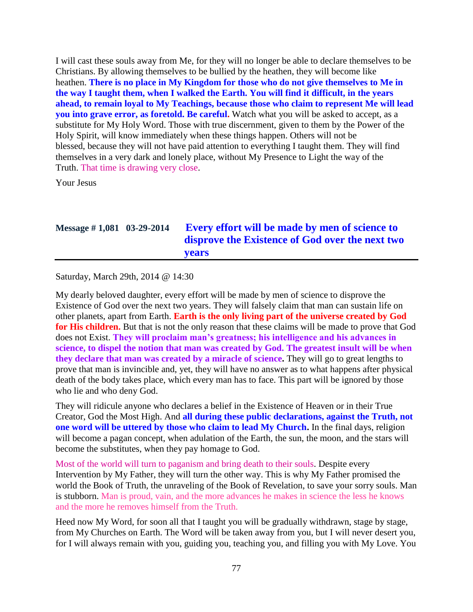I will cast these souls away from Me, for they will no longer be able to declare themselves to be Christians. By allowing themselves to be bullied by the heathen, they will become like heathen. **There is no place in My Kingdom for those who do not give themselves to Me in the way I taught them, when I walked the Earth. You will find it difficult, in the years ahead, to remain loyal to My Teachings, because those who claim to represent Me will lead you into grave error, as foretold. Be careful.** Watch what you will be asked to accept, as a substitute for My Holy Word. Those with true discernment, given to them by the Power of the Holy Spirit, will know immediately when these things happen. Others will not be blessed, because they will not have paid attention to everything I taught them. They will find themselves in a very dark and lonely place, without My Presence to Light the way of the Truth. That time is drawing very close.

Your Jesus

## **Message # 1,081 03-29-2014 [Every effort will be made by men of science to](http://www.thewarningsecondcoming.com/every-effort-will-be-made-by-men-of-science-to-disprove-the-existence-of-god-over-the-next-two-years/)  [disprove the Existence of God over the next two](http://www.thewarningsecondcoming.com/every-effort-will-be-made-by-men-of-science-to-disprove-the-existence-of-god-over-the-next-two-years/)  [years](http://www.thewarningsecondcoming.com/every-effort-will-be-made-by-men-of-science-to-disprove-the-existence-of-god-over-the-next-two-years/)**

Saturday, March 29th, 2014 @ 14:30

My dearly beloved daughter, every effort will be made by men of science to disprove the Existence of God over the next two years. They will falsely claim that man can sustain life on other planets, apart from Earth. **Earth is the only living part of the universe created by God for His children.** But that is not the only reason that these claims will be made to prove that God does not Exist. **They will proclaim man's greatness; his intelligence and his advances in science, to dispel the notion that man was created by God. The greatest insult will be when they declare that man was created by a miracle of science.** They will go to great lengths to prove that man is invincible and, yet, they will have no answer as to what happens after physical death of the body takes place, which every man has to face. This part will be ignored by those who lie and who deny God.

They will ridicule anyone who declares a belief in the Existence of Heaven or in their True Creator, God the Most High. And **all during these public declarations, against the Truth, not one word will be uttered by those who claim to lead My Church.** In the final days, religion will become a pagan concept, when adulation of the Earth, the sun, the moon, and the stars will become the substitutes, when they pay homage to God.

Most of the world will turn to paganism and bring death to their souls. Despite every Intervention by My Father, they will turn the other way. This is why My Father promised the world the Book of Truth, the unraveling of the Book of Revelation, to save your sorry souls. Man is stubborn. Man is proud, vain, and the more advances he makes in science the less he knows and the more he removes himself from the Truth.

Heed now My Word, for soon all that I taught you will be gradually withdrawn, stage by stage, from My Churches on Earth. The Word will be taken away from you, but I will never desert you, for I will always remain with you, guiding you, teaching you, and filling you with My Love. You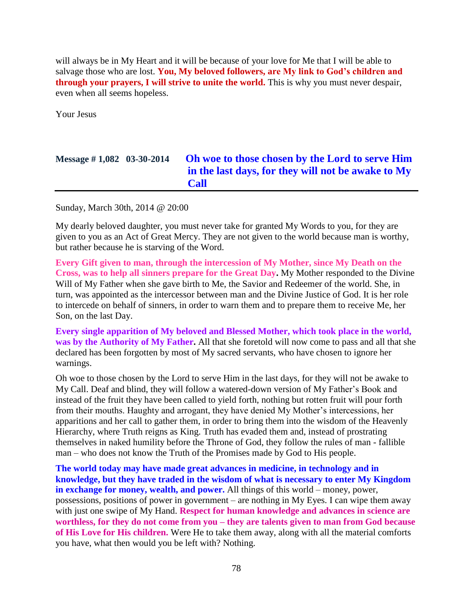will always be in My Heart and it will be because of your love for Me that I will be able to salvage those who are lost. **You, My beloved followers, are My link to God's children and through your prayers, I will strive to unite the world.** This is why you must never despair, even when all seems hopeless.

Your Jesus

# **Message # 1,082 03-30-2014 [Oh woe to those chosen by](http://www.thewarningsecondcoming.com/oh-woe-to-those-chosen-by-the-lord-to-serve-him-in-the-last-days-for-they-will-not-be-awake-to-my-call/) the Lord to serve Him [in the last days, for they will not be awake to My](http://www.thewarningsecondcoming.com/oh-woe-to-those-chosen-by-the-lord-to-serve-him-in-the-last-days-for-they-will-not-be-awake-to-my-call/)  [Call](http://www.thewarningsecondcoming.com/oh-woe-to-those-chosen-by-the-lord-to-serve-him-in-the-last-days-for-they-will-not-be-awake-to-my-call/)**

Sunday, March 30th, 2014 @ 20:00

My dearly beloved daughter, you must never take for granted My Words to you, for they are given to you as an Act of Great Mercy. They are not given to the world because man is worthy, but rather because he is starving of the Word.

**Every Gift given to man, through the intercession of My Mother, since My Death on the Cross, was to help all sinners prepare for the Great Day.** My Mother responded to the Divine Will of My Father when she gave birth to Me, the Savior and Redeemer of the world. She, in turn, was appointed as the intercessor between man and the Divine Justice of God. It is her role to intercede on behalf of sinners, in order to warn them and to prepare them to receive Me, her Son, on the last Day.

**Every single apparition of My beloved and Blessed Mother, which took place in the world, was by the Authority of My Father.** All that she foretold will now come to pass and all that she declared has been forgotten by most of My sacred servants, who have chosen to ignore her warnings.

Oh woe to those chosen by the Lord to serve Him in the last days, for they will not be awake to My Call. Deaf and blind, they will follow a watered-down version of My Father's Book and instead of the fruit they have been called to yield forth, nothing but rotten fruit will pour forth from their mouths. Haughty and arrogant, they have denied My Mother's intercessions, her apparitions and her call to gather them, in order to bring them into the wisdom of the Heavenly Hierarchy, where Truth reigns as King. Truth has evaded them and, instead of prostrating themselves in naked humility before the Throne of God, they follow the rules of man - fallible man – who does not know the Truth of the Promises made by God to His people.

**The world today may have made great advances in medicine, in technology and in knowledge, but they have traded in the wisdom of what is necessary to enter My Kingdom in exchange for money, wealth, and power.** All things of this world – money, power, possessions, positions of power in government – are nothing in My Eyes. I can wipe them away with just one swipe of My Hand. **Respect for human knowledge and advances in science are worthless, for they do not come from you – they are talents given to man from God because of His Love for His children.** Were He to take them away, along with all the material comforts you have, what then would you be left with? Nothing.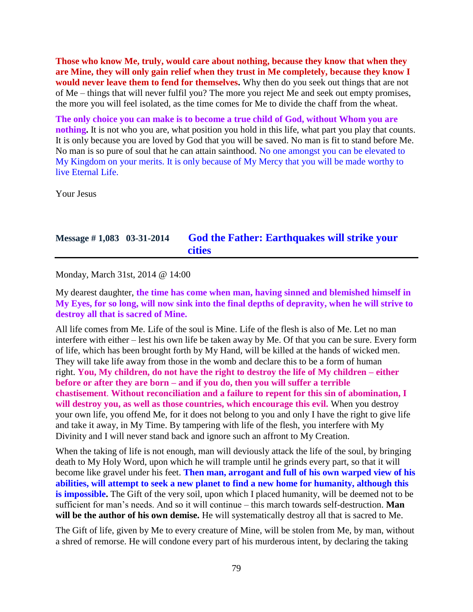**Those who know Me, truly, would care about nothing, because they know that when they are Mine, they will only gain relief when they trust in Me completely, because they know I would never leave them to fend for themselves.** Why then do you seek out things that are not of Me – things that will never fulfil you? The more you reject Me and seek out empty promises, the more you will feel isolated, as the time comes for Me to divide the chaff from the wheat.

**The only choice you can make is to become a true child of God, without Whom you are nothing.** It is not who you are, what position you hold in this life, what part you play that counts. It is only because you are loved by God that you will be saved. No man is fit to stand before Me. No man is so pure of soul that he can attain sainthood. No one amongst you can be elevated to My Kingdom on your merits. It is only because of My Mercy that you will be made worthy to live Eternal Life.

Your Jesus

## **Message # 1,083 03-31-2014 [God the Father: Earthquakes will strike your](http://www.thewarningsecondcoming.com/god-the-father-earthquakes-will-strike-your-cities/)  [cities](http://www.thewarningsecondcoming.com/god-the-father-earthquakes-will-strike-your-cities/)**

Monday, March 31st, 2014 @ 14:00

My dearest daughter, **the time has come when man, having sinned and blemished himself in My Eyes, for so long, will now sink into the final depths of depravity, when he will strive to destroy all that is sacred of Mine.**

All life comes from Me. Life of the soul is Mine. Life of the flesh is also of Me. Let no man interfere with either – lest his own life be taken away by Me. Of that you can be sure. Every form of life, which has been brought forth by My Hand, will be killed at the hands of wicked men. They will take life away from those in the womb and declare this to be a form of human right. **You, My children, do not have the right to destroy the life of My children – either before or after they are born – and if you do, then you will suffer a terrible chastisement**. **Without reconciliation and a failure to repent for this sin of abomination, I will destroy you, as well as those countries, which encourage this evil.** When you destroy your own life, you offend Me, for it does not belong to you and only I have the right to give life and take it away, in My Time. By tampering with life of the flesh, you interfere with My Divinity and I will never stand back and ignore such an affront to My Creation.

When the taking of life is not enough, man will deviously attack the life of the soul, by bringing death to My Holy Word, upon which he will trample until he grinds every part, so that it will become like gravel under his feet. **Then man, arrogant and full of his own warped view of his abilities, will attempt to seek a new planet to find a new home for humanity, although this is impossible.** The Gift of the very soil, upon which I placed humanity, will be deemed not to be sufficient for man's needs. And so it will continue – this march towards self-destruction. **Man will be the author of his own demise.** He will systematically destroy all that is sacred to Me.

The Gift of life, given by Me to every creature of Mine, will be stolen from Me, by man, without a shred of remorse. He will condone every part of his murderous intent, by declaring the taking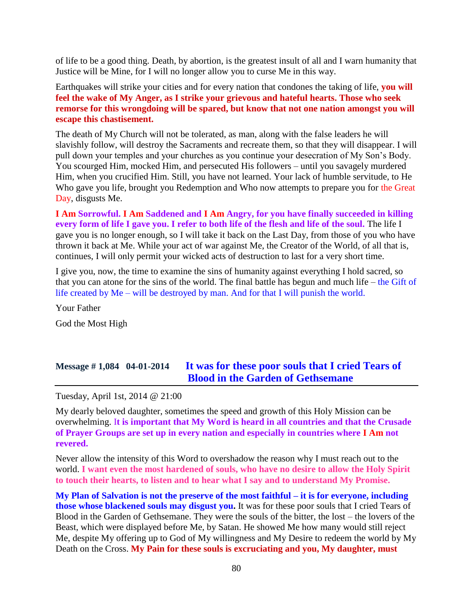of life to be a good thing. Death, by abortion, is the greatest insult of all and I warn humanity that Justice will be Mine, for I will no longer allow you to curse Me in this way.

Earthquakes will strike your cities and for every nation that condones the taking of life, **you will feel the wake of My Anger, as I strike your grievous and hateful hearts. Those who seek remorse for this wrongdoing will be spared, but know that not one nation amongst you will escape this chastisement.**

The death of My Church will not be tolerated, as man, along with the false leaders he will slavishly follow, will destroy the Sacraments and recreate them, so that they will disappear. I will pull down your temples and your churches as you continue your desecration of My Son's Body. You scourged Him, mocked Him, and persecuted His followers – until you savagely murdered Him, when you crucified Him. Still, you have not learned. Your lack of humble servitude, to He Who gave you life, brought you Redemption and Who now attempts to prepare you for the Great Day, disgusts Me.

**I Am Sorrowful. I Am Saddened and I Am Angry, for you have finally succeeded in killing every form of life I gave you. I refer to both life of the flesh and life of the soul.** The life I gave you is no longer enough, so I will take it back on the Last Day, from those of you who have thrown it back at Me. While your act of war against Me, the Creator of the World, of all that is, continues, I will only permit your wicked acts of destruction to last for a very short time.

I give you, now, the time to examine the sins of humanity against everything I hold sacred, so that you can atone for the sins of the world. The final battle has begun and much life – the Gift of life created by Me – will be destroyed by man. And for that I will punish the world.

Your Father God the Most High

## **Message # 1,084 04-01-2014 [It was for these poor souls that I cried Tears of](http://www.thewarningsecondcoming.com/it-was-for-these-poor-souls-that-i-cried-tears-of-blood-in-the-garden-of-gethsemane/)  [Blood in the Garden of Gethsemane](http://www.thewarningsecondcoming.com/it-was-for-these-poor-souls-that-i-cried-tears-of-blood-in-the-garden-of-gethsemane/)**

Tuesday, April 1st, 2014 @ 21:00

My dearly beloved daughter, sometimes the speed and growth of this Holy Mission can be overwhelming. I**t is important that My Word is heard in all countries and that the Crusade of Prayer Groups are set up in every nation and especially in countries where I Am not revered.**

Never allow the intensity of this Word to overshadow the reason why I must reach out to the world. **I want even the most hardened of souls, who have no desire to allow the Holy Spirit to touch their hearts, to listen and to hear what I say and to understand My Promise.**

**My Plan of Salvation is not the preserve of the most faithful – it is for everyone, including those whose blackened souls may disgust you.** It was for these poor souls that I cried Tears of Blood in the Garden of Gethsemane. They were the souls of the bitter, the lost – the lovers of the Beast, which were displayed before Me, by Satan. He showed Me how many would still reject Me, despite My offering up to God of My willingness and My Desire to redeem the world by My Death on the Cross. **My Pain for these souls is excruciating and you, My daughter, must**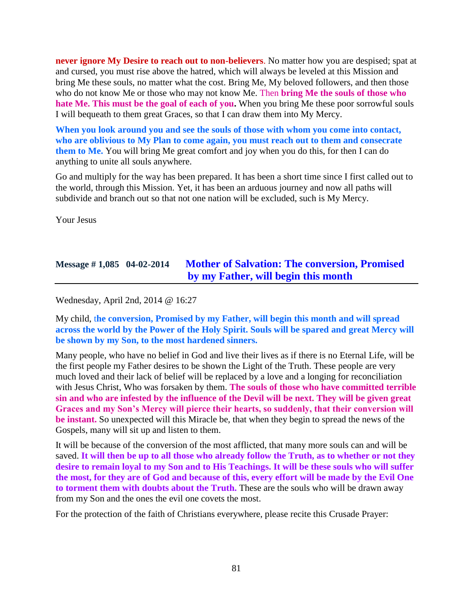**never ignore My Desire to reach out to non-believers**. No matter how you are despised; spat at and cursed, you must rise above the hatred, which will always be leveled at this Mission and bring Me these souls, no matter what the cost. Bring Me, My beloved followers, and then those who do not know Me or those who may not know Me. Then **bring Me the souls of those who hate Me. This must be the goal of each of you.** When you bring Me these poor sorrowful souls I will bequeath to them great Graces, so that I can draw them into My Mercy.

**When you look around you and see the souls of those with whom you come into contact, who are oblivious to My Plan to come again, you must reach out to them and consecrate them to Me.** You will bring Me great comfort and joy when you do this, for then I can do anything to unite all souls anywhere.

Go and multiply for the way has been prepared. It has been a short time since I first called out to the world, through this Mission. Yet, it has been an arduous journey and now all paths will subdivide and branch out so that not one nation will be excluded, such is My Mercy.

Your Jesus

## **Message # 1,085 04-02-2014 [Mother of Salvation: The conversion, Promised](http://www.thewarningsecondcoming.com/mother-of-salvation-the-conversion-promised-by-my-father-will-begin-this-month/)  [by my Father, will begin this month](http://www.thewarningsecondcoming.com/mother-of-salvation-the-conversion-promised-by-my-father-will-begin-this-month/)**

Wednesday, April 2nd, 2014 @ 16:27

My child, t**he conversion, Promised by my Father, will begin this month and will spread across the world by the Power of the Holy Spirit. Souls will be spared and great Mercy will be shown by my Son, to the most hardened sinners.**

Many people, who have no belief in God and live their lives as if there is no Eternal Life, will be the first people my Father desires to be shown the Light of the Truth. These people are very much loved and their lack of belief will be replaced by a love and a longing for reconciliation with Jesus Christ, Who was forsaken by them. **The souls of those who have committed terrible sin and who are infested by the influence of the Devil will be next. They will be given great Graces and my Son's Mercy will pierce their hearts, so suddenly, that their conversion will be instant.** So unexpected will this Miracle be, that when they begin to spread the news of the Gospels, many will sit up and listen to them.

It will be because of the conversion of the most afflicted, that many more souls can and will be saved. **It will then be up to all those who already follow the Truth, as to whether or not they desire to remain loyal to my Son and to His Teachings. It will be these souls who will suffer the most, for they are of God and because of this, every effort will be made by the Evil One to torment them with doubts about the Truth.** These are the souls who will be drawn away from my Son and the ones the evil one covets the most.

For the protection of the faith of Christians everywhere, please recite this Crusade Prayer: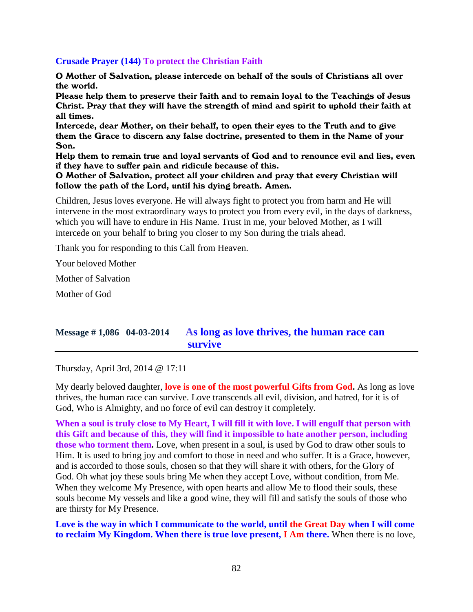### **Crusade Prayer (144) To protect the Christian Faith**

O Mother of Salvation, please intercede on behalf of the souls of Christians all over the world.

Please help them to preserve their faith and to remain loyal to the Teachings of Jesus Christ. Pray that they will have the strength of mind and spirit to uphold their faith at all times.

Intercede, dear Mother, on their behalf, to open their eyes to the Truth and to give them the Grace to discern any false doctrine, presented to them in the Name of your Son.

Help them to remain true and loyal servants of God and to renounce evil and lies, even if they have to suffer pain and ridicule because of this.

#### O Mother of Salvation, protect all your children and pray that every Christian will follow the path of the Lord, until his dying breath. Amen.

Children, Jesus loves everyone. He will always fight to protect you from harm and He will intervene in the most extraordinary ways to protect you from every evil, in the days of darkness, which you will have to endure in His Name. Trust in me, your beloved Mother, as I will intercede on your behalf to bring you closer to my Son during the trials ahead.

Thank you for responding to this Call from Heaven.

Your beloved Mother

Mother of Salvation

Mother of God

## **Message # 1,086 04-03-2014 [As long as love thrives, the human race can](http://www.thewarningsecondcoming.com/as-long-as-love-thrives-the-human-race-can-survive/)  [survive](http://www.thewarningsecondcoming.com/as-long-as-love-thrives-the-human-race-can-survive/)**

Thursday, April 3rd, 2014 @ 17:11

My dearly beloved daughter, **love is one of the most powerful Gifts from God.** As long as love thrives, the human race can survive. Love transcends all evil, division, and hatred, for it is of God, Who is Almighty, and no force of evil can destroy it completely.

**When a soul is truly close to My Heart, I will fill it with love. I will engulf that person with this Gift and because of this, they will find it impossible to hate another person, including those who torment them.** Love, when present in a soul, is used by God to draw other souls to Him. It is used to bring joy and comfort to those in need and who suffer. It is a Grace, however, and is accorded to those souls, chosen so that they will share it with others, for the Glory of God. Oh what joy these souls bring Me when they accept Love, without condition, from Me. When they welcome My Presence, with open hearts and allow Me to flood their souls, these souls become My vessels and like a good wine, they will fill and satisfy the souls of those who are thirsty for My Presence.

**Love is the way in which I communicate to the world, until the Great Day when I will come to reclaim My Kingdom. When there is true love present, I Am there.** When there is no love,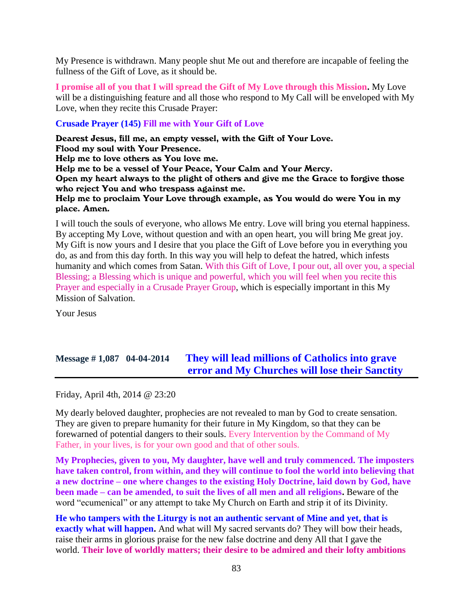My Presence is withdrawn. Many people shut Me out and therefore are incapable of feeling the fullness of the Gift of Love, as it should be.

**I promise all of you that I will spread the Gift of My Love through this Mission.** My Love will be a distinguishing feature and all those who respond to My Call will be enveloped with My Love, when they recite this Crusade Prayer:

### **Crusade Prayer (145) Fill me with Your Gift of Love**

Dearest Jesus, fill me, an empty vessel, with the Gift of Your Love. Flood my soul with Your Presence. Help me to love others as You love me. Help me to be a vessel of Your Peace, Your Calm and Your Mercy. Open my heart always to the plight of others and give me the Grace to forgive those who reject You and who trespass against me. Help me to proclaim Your Love through example, as You would do were You in my place. Amen.

I will touch the souls of everyone, who allows Me entry. Love will bring you eternal happiness. By accepting My Love, without question and with an open heart, you will bring Me great joy. My Gift is now yours and I desire that you place the Gift of Love before you in everything you do, as and from this day forth. In this way you will help to defeat the hatred, which infests humanity and which comes from Satan. With this Gift of Love, I pour out, all over you, a special Blessing; a Blessing which is unique and powerful, which you will feel when you recite this Prayer and especially in a Crusade Prayer Group, which is especially important in this My Mission of Salvation.

Your Jesus

# **Message # 1,087 04-04-2014 [They will lead millions of Catholics into grave](http://www.thewarningsecondcoming.com/they-will-lead-millions-of-catholics-into-grave-error-and-my-churches-will-lose-their-sanctity/)  [error and My Churches will lose their Sanctity](http://www.thewarningsecondcoming.com/they-will-lead-millions-of-catholics-into-grave-error-and-my-churches-will-lose-their-sanctity/)**

Friday, April 4th, 2014 @ 23:20

My dearly beloved daughter, prophecies are not revealed to man by God to create sensation. They are given to prepare humanity for their future in My Kingdom, so that they can be forewarned of potential dangers to their souls. Every Intervention by the Command of My Father, in your lives, is for your own good and that of other souls.

**My Prophecies, given to you, My daughter, have well and truly commenced. The imposters have taken control, from within, and they will continue to fool the world into believing that a new doctrine – one where changes to the existing Holy Doctrine, laid down by God, have been made – can be amended, to suit the lives of all men and all religions.** Beware of the word "ecumenical" or any attempt to take My Church on Earth and strip it of its Divinity.

**He who tampers with the Liturgy is not an authentic servant of Mine and yet, that is exactly what will happen.** And what will My sacred servants do? They will bow their heads, raise their arms in glorious praise for the new false doctrine and deny All that I gave the world. **Their love of worldly matters; their desire to be admired and their lofty ambitions**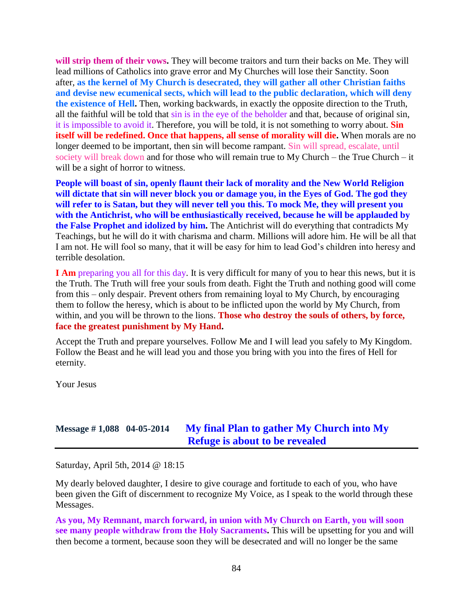**will strip them of their vows.** They will become traitors and turn their backs on Me. They will lead millions of Catholics into grave error and My Churches will lose their Sanctity. Soon after, **as the kernel of My Church is desecrated, they will gather all other Christian faiths and devise new ecumenical sects, which will lead to the public declaration, which will deny the existence of Hell.** Then, working backwards, in exactly the opposite direction to the Truth, all the faithful will be told that sin is in the eye of the beholder and that, because of original sin, it is impossible to avoid it. Therefore, you will be told, it is not something to worry about. **Sin itself will be redefined. Once that happens, all sense of morality will die.** When morals are no longer deemed to be important, then sin will become rampant. Sin will spread, escalate, until society will break down and for those who will remain true to My Church – the True Church – it will be a sight of horror to witness.

**People will boast of sin, openly flaunt their lack of morality and the New World Religion will dictate that sin will never block you or damage you, in the Eyes of God. The god they will refer to is Satan, but they will never tell you this. To mock Me, they will present you with the Antichrist, who will be enthusiastically received, because he will be applauded by the False Prophet and idolized by him.** The Antichrist will do everything that contradicts My Teachings, but he will do it with charisma and charm. Millions will adore him. He will be all that I am not. He will fool so many, that it will be easy for him to lead God's children into heresy and terrible desolation.

**I Am** preparing you all for this day. It is very difficult for many of you to hear this news, but it is the Truth. The Truth will free your souls from death. Fight the Truth and nothing good will come from this – only despair. Prevent others from remaining loyal to My Church, by encouraging them to follow the heresy, which is about to be inflicted upon the world by My Church, from within, and you will be thrown to the lions. **Those who destroy the souls of others, by force, face the greatest punishment by My Hand.**

Accept the Truth and prepare yourselves. Follow Me and I will lead you safely to My Kingdom. Follow the Beast and he will lead you and those you bring with you into the fires of Hell for eternity.

Your Jesus

### **Message # 1,088 04-05-2014 [My final Plan to gather My Church into My](http://www.thewarningsecondcoming.com/my-final-plan-to-gather-my-church-into-my-refuge-is-about-to-be-revealed/)  [Refuge is about to be revealed](http://www.thewarningsecondcoming.com/my-final-plan-to-gather-my-church-into-my-refuge-is-about-to-be-revealed/)**

Saturday, April 5th, 2014 @ 18:15

My dearly beloved daughter, I desire to give courage and fortitude to each of you, who have been given the Gift of discernment to recognize My Voice, as I speak to the world through these Messages.

**As you, My Remnant, march forward, in union with My Church on Earth, you will soon see many people withdraw from the Holy Sacraments.** This will be upsetting for you and will then become a torment, because soon they will be desecrated and will no longer be the same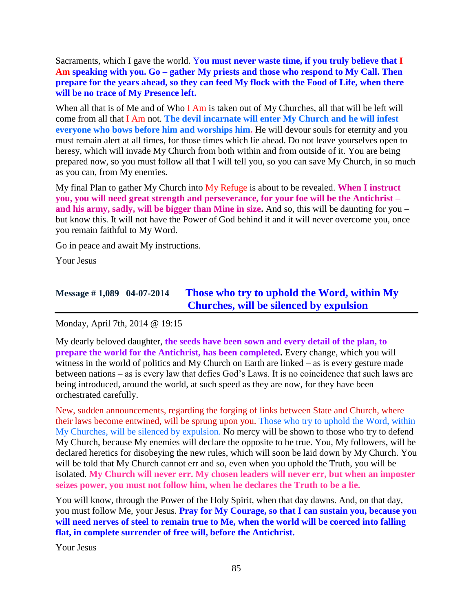Sacraments, which I gave the world. Y**ou must never waste time, if you truly believe that I Am speaking with you. Go – gather My priests and those who respond to My Call. Then prepare for the years ahead, so they can feed My flock with the Food of Life, when there will be no trace of My Presence left.**

When all that is of Me and of Who I Am is taken out of My Churches, all that will be left will come from all that I Am not. **The devil incarnate will enter My Church and he will infest everyone who bows before him and worships him.** He will devour souls for eternity and you must remain alert at all times, for those times which lie ahead. Do not leave yourselves open to heresy, which will invade My Church from both within and from outside of it. You are being prepared now, so you must follow all that I will tell you, so you can save My Church, in so much as you can, from My enemies.

My final Plan to gather My Church into My Refuge is about to be revealed. **When I instruct you, you will need great strength and perseverance, for your foe will be the Antichrist – and his army, sadly, will be bigger than Mine in size.** And so, this will be daunting for you – but know this. It will not have the Power of God behind it and it will never overcome you, once you remain faithful to My Word.

Go in peace and await My instructions.

Your Jesus

# **Message # 1,089 04-07-2014 [Those who try to uphold the Word, within My](http://www.thewarningsecondcoming.com/those-who-try-to-uphold-the-word-within-my-churches-will-be-silenced-by-expulsion/)  [Churches, will be silenced by expulsion](http://www.thewarningsecondcoming.com/those-who-try-to-uphold-the-word-within-my-churches-will-be-silenced-by-expulsion/)**

Monday, April 7th, 2014 @ 19:15

My dearly beloved daughter, **the seeds have been sown and every detail of the plan, to prepare the world for the Antichrist, has been completed.** Every change, which you will witness in the world of politics and My Church on Earth are linked – as is every gesture made between nations – as is every law that defies God's Laws. It is no coincidence that such laws are being introduced, around the world, at such speed as they are now, for they have been orchestrated carefully.

New, sudden announcements, regarding the forging of links between State and Church, where their laws become entwined, will be sprung upon you. Those who try to uphold the Word, within My Churches, will be silenced by expulsion. No mercy will be shown to those who try to defend My Church, because My enemies will declare the opposite to be true. You, My followers, will be declared heretics for disobeying the new rules, which will soon be laid down by My Church. You will be told that My Church cannot err and so, even when you uphold the Truth, you will be isolated. **My Church will never err. My chosen leaders will never err, but when an imposter seizes power, you must not follow him, when he declares the Truth to be a lie.**

You will know, through the Power of the Holy Spirit, when that day dawns. And, on that day, you must follow Me, your Jesus. **Pray for My Courage, so that I can sustain you, because you will need nerves of steel to remain true to Me, when the world will be coerced into falling flat, in complete surrender of free will, before the Antichrist.**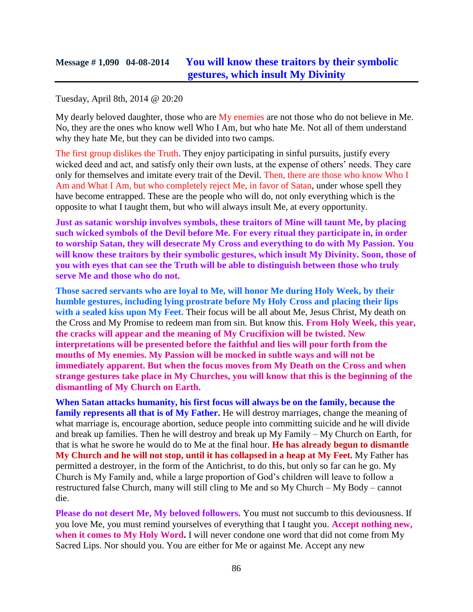#### Tuesday, April 8th, 2014 @ 20:20

My dearly beloved daughter, those who are My enemies are not those who do not believe in Me. No, they are the ones who know well Who I Am, but who hate Me. Not all of them understand why they hate Me, but they can be divided into two camps.

The first group dislikes the Truth. They enjoy participating in sinful pursuits, justify every wicked deed and act, and satisfy only their own lusts, at the expense of others' needs. They care only for themselves and imitate every trait of the Devil. Then, there are those who know Who I Am and What I Am, but who completely reject Me, in favor of Satan, under whose spell they have become entrapped. These are the people who will do, not only everything which is the opposite to what I taught them, but who will always insult Me, at every opportunity.

**Just as satanic worship involves symbols, these traitors of Mine will taunt Me, by placing such wicked symbols of the Devil before Me. For every ritual they participate in, in order to worship Satan, they will desecrate My Cross and everything to do with My Passion. You will know these traitors by their symbolic gestures, which insult My Divinity. Soon, those of you with eyes that can see the Truth will be able to distinguish between those who truly serve Me and those who do not.**

**Those sacred servants who are loyal to Me, will honor Me during Holy Week, by their humble gestures, including lying prostrate before My Holy Cross and placing their lips**  with a sealed kiss upon My Feet. Their focus will be all about Me, Jesus Christ, My death on the Cross and My Promise to redeem man from sin. But know this. **From Holy Week, this year, the cracks will appear and the meaning of My Crucifixion will be twisted. New interpretations will be presented before the faithful and lies will pour forth from the mouths of My enemies. My Passion will be mocked in subtle ways and will not be immediately apparent. But when the focus moves from My Death on the Cross and when strange gestures take place in My Churches, you will know that this is the beginning of the dismantling of My Church on Earth.**

**When Satan attacks humanity, his first focus will always be on the family, because the family represents all that is of My Father.** He will destroy marriages, change the meaning of what marriage is, encourage abortion, seduce people into committing suicide and he will divide and break up families. Then he will destroy and break up My Family – My Church on Earth, for that is what he swore he would do to Me at the final hour. **He has already begun to dismantle My Church and he will not stop, until it has collapsed in a heap at My Feet.** My Father has permitted a destroyer, in the form of the Antichrist, to do this, but only so far can he go. My Church is My Family and, while a large proportion of God's children will leave to follow a restructured false Church, many will still cling to Me and so My Church – My Body – cannot die.

**Please do not desert Me, My beloved followers.** You must not succumb to this deviousness. If you love Me, you must remind yourselves of everything that I taught you. **Accept nothing new, when it comes to My Holy Word.** I will never condone one word that did not come from My Sacred Lips. Nor should you. You are either for Me or against Me. Accept any new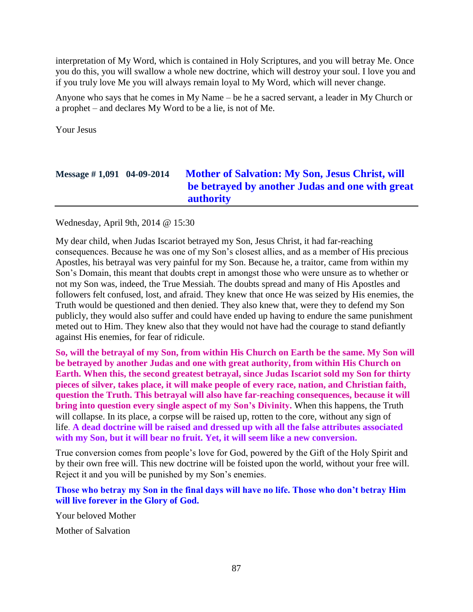interpretation of My Word, which is contained in Holy Scriptures, and you will betray Me. Once you do this, you will swallow a whole new doctrine, which will destroy your soul. I love you and if you truly love Me you will always remain loyal to My Word, which will never change.

Anyone who says that he comes in My Name – be he a sacred servant, a leader in My Church or a prophet – and declares My Word to be a lie, is not of Me.

Your Jesus

# **Message # 1,091 04-09-2014 [Mother of Salvation: My Son, Jesus Christ, will](http://www.thewarningsecondcoming.com/mother-of-salvation-my-son-jesus-christ-will-be-betrayed-by-another-judas-and-one-with-great-authority/)  [be betrayed by another Judas and one with great](http://www.thewarningsecondcoming.com/mother-of-salvation-my-son-jesus-christ-will-be-betrayed-by-another-judas-and-one-with-great-authority/)  [authority](http://www.thewarningsecondcoming.com/mother-of-salvation-my-son-jesus-christ-will-be-betrayed-by-another-judas-and-one-with-great-authority/)**

Wednesday, April 9th, 2014 @ 15:30

My dear child, when Judas Iscariot betrayed my Son, Jesus Christ, it had far-reaching consequences. Because he was one of my Son's closest allies, and as a member of His precious Apostles, his betrayal was very painful for my Son. Because he, a traitor, came from within my Son's Domain, this meant that doubts crept in amongst those who were unsure as to whether or not my Son was, indeed, the True Messiah. The doubts spread and many of His Apostles and followers felt confused, lost, and afraid. They knew that once He was seized by His enemies, the Truth would be questioned and then denied. They also knew that, were they to defend my Son publicly, they would also suffer and could have ended up having to endure the same punishment meted out to Him. They knew also that they would not have had the courage to stand defiantly against His enemies, for fear of ridicule.

**So, will the betrayal of my Son, from within His Church on Earth be the same. My Son will be betrayed by another Judas and one with great authority, from within His Church on Earth. When this, the second greatest betrayal, since Judas Iscariot sold my Son for thirty pieces of silver, takes place, it will make people of every race, nation, and Christian faith, question the Truth. This betrayal will also have far-reaching consequences, because it will bring into question every single aspect of my Son's Divinity.** When this happens, the Truth will collapse. In its place, a corpse will be raised up, rotten to the core, without any sign of life. **A dead doctrine will be raised and dressed up with all the false attributes associated with my Son, but it will bear no fruit. Yet, it will seem like a new conversion.**

True conversion comes from people's love for God, powered by the Gift of the Holy Spirit and by their own free will. This new doctrine will be foisted upon the world, without your free will. Reject it and you will be punished by my Son's enemies.

### **Those who betray my Son in the final days will have no life. Those who don't betray Him will live forever in the Glory of God.**

Your beloved Mother

Mother of Salvation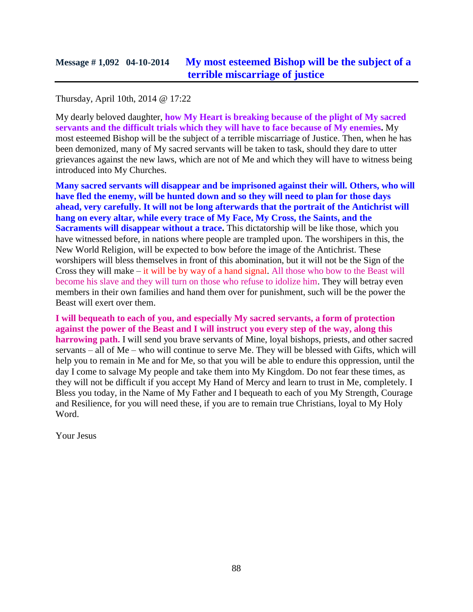### Thursday, April 10th, 2014 @ 17:22

My dearly beloved daughter, **how My Heart is breaking because of the plight of My sacred servants and the difficult trials which they will have to face because of My enemies.** My most esteemed Bishop will be the subject of a terrible miscarriage of Justice. Then, when he has been demonized, many of My sacred servants will be taken to task, should they dare to utter grievances against the new laws, which are not of Me and which they will have to witness being introduced into My Churches.

**Many sacred servants will disappear and be imprisoned against their will. Others, who will have fled the enemy, will be hunted down and so they will need to plan for those days ahead, very carefully. It will not be long afterwards that the portrait of the Antichrist will hang on every altar, while every trace of My Face, My Cross, the Saints, and the Sacraments will disappear without a trace.** This dictatorship will be like those, which you have witnessed before, in nations where people are trampled upon. The worshipers in this, the New World Religion, will be expected to bow before the image of the Antichrist. These worshipers will bless themselves in front of this abomination, but it will not be the Sign of the Cross they will make – it will be by way of a hand signal. All those who bow to the Beast will become his slave and they will turn on those who refuse to idolize him. They will betray even members in their own families and hand them over for punishment, such will be the power the Beast will exert over them.

**I will bequeath to each of you, and especially My sacred servants, a form of protection against the power of the Beast and I will instruct you every step of the way, along this harrowing path.** I will send you brave servants of Mine, loyal bishops, priests, and other sacred servants – all of Me – who will continue to serve Me. They will be blessed with Gifts, which will help you to remain in Me and for Me, so that you will be able to endure this oppression, until the day I come to salvage My people and take them into My Kingdom. Do not fear these times, as they will not be difficult if you accept My Hand of Mercy and learn to trust in Me, completely. I Bless you today, in the Name of My Father and I bequeath to each of you My Strength, Courage and Resilience, for you will need these, if you are to remain true Christians, loyal to My Holy Word.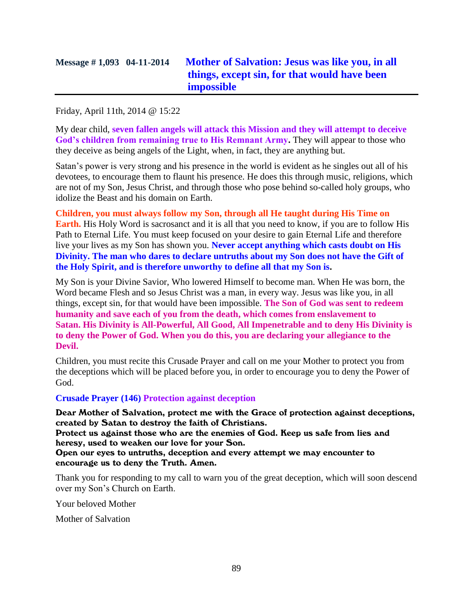# **Message # 1,093 04-11-2014 [Mother of Salvation: Jesus was like you, in all](http://www.thewarningsecondcoming.com/mother-of-salvation-jesus-was-like-you-in-all-things-except-sin-for-that-would-have-been-impossible/)  [things, except sin, for that would have been](http://www.thewarningsecondcoming.com/mother-of-salvation-jesus-was-like-you-in-all-things-except-sin-for-that-would-have-been-impossible/)  [impossible](http://www.thewarningsecondcoming.com/mother-of-salvation-jesus-was-like-you-in-all-things-except-sin-for-that-would-have-been-impossible/)**

Friday, April 11th, 2014 @ 15:22

My dear child, **seven fallen angels will attack this Mission and they will attempt to deceive God's children from remaining true to His Remnant Army.** They will appear to those who they deceive as being angels of the Light, when, in fact, they are anything but.

Satan's power is very strong and his presence in the world is evident as he singles out all of his devotees, to encourage them to flaunt his presence. He does this through music, religions, which are not of my Son, Jesus Christ, and through those who pose behind so-called holy groups, who idolize the Beast and his domain on Earth.

**Children, you must always follow my Son, through all He taught during His Time on Earth.** His Holy Word is sacrosanct and it is all that you need to know, if you are to follow His Path to Eternal Life. You must keep focused on your desire to gain Eternal Life and therefore live your lives as my Son has shown you. **Never accept anything which casts doubt on His Divinity. The man who dares to declare untruths about my Son does not have the Gift of the Holy Spirit, and is therefore unworthy to define all that my Son is.**

My Son is your Divine Savior, Who lowered Himself to become man. When He was born, the Word became Flesh and so Jesus Christ was a man, in every way. Jesus was like you, in all things, except sin, for that would have been impossible. **The Son of God was sent to redeem humanity and save each of you from the death, which comes from enslavement to Satan. His Divinity is All-Powerful, All Good, All Impenetrable and to deny His Divinity is to deny the Power of God. When you do this, you are declaring your allegiance to the Devil.**

Children, you must recite this Crusade Prayer and call on me your Mother to protect you from the deceptions which will be placed before you, in order to encourage you to deny the Power of God.

### **Crusade Prayer (146) Protection against deception**

Dear Mother of Salvation, protect me with the Grace of protection against deceptions, created by Satan to destroy the faith of Christians.

Protect us against those who are the enemies of God. Keep us safe from lies and heresy, used to weaken our love for your Son.

Open our eyes to untruths, deception and every attempt we may encounter to encourage us to deny the Truth. Amen.

Thank you for responding to my call to warn you of the great deception, which will soon descend over my Son's Church on Earth.

Your beloved Mother

Mother of Salvation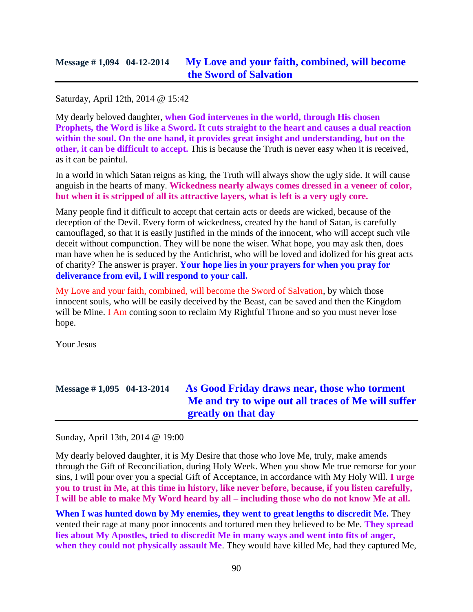Saturday, April 12th, 2014 @ 15:42

My dearly beloved daughter, **when God intervenes in the world, through His chosen Prophets, the Word is like a Sword. It cuts straight to the heart and causes a dual reaction within the soul. On the one hand, it provides great insight and understanding, but on the other, it can be difficult to accept.** This is because the Truth is never easy when it is received, as it can be painful.

In a world in which Satan reigns as king, the Truth will always show the ugly side. It will cause anguish in the hearts of many. **Wickedness nearly always comes dressed in a veneer of color, but when it is stripped of all its attractive layers, what is left is a very ugly core.**

Many people find it difficult to accept that certain acts or deeds are wicked, because of the deception of the Devil. Every form of wickedness, created by the hand of Satan, is carefully camouflaged, so that it is easily justified in the minds of the innocent, who will accept such vile deceit without compunction. They will be none the wiser. What hope, you may ask then, does man have when he is seduced by the Antichrist, who will be loved and idolized for his great acts of charity? The answer is prayer. **Your hope lies in your prayers for when you pray for deliverance from evil, I will respond to your call.**

My Love and your faith, combined, will become the Sword of Salvation, by which those innocent souls, who will be easily deceived by the Beast, can be saved and then the Kingdom will be Mine. I Am coming soon to reclaim My Rightful Throne and so you must never lose hope.

Your Jesus

Sunday, April 13th, 2014 @ 19:00

My dearly beloved daughter, it is My Desire that those who love Me, truly, make amends through the Gift of Reconciliation, during Holy Week. When you show Me true remorse for your sins, I will pour over you a special Gift of Acceptance, in accordance with My Holy Will. **I urge you to trust in Me, at this time in history, like never before, because, if you listen carefully, I will be able to make My Word heard by all – including those who do not know Me at all.**

**When I was hunted down by My enemies, they went to great lengths to discredit Me.** They vented their rage at many poor innocents and tortured men they believed to be Me. **They spread lies about My Apostles, tried to discredit Me in many ways and went into fits of anger, when they could not physically assault Me**. They would have killed Me, had they captured Me,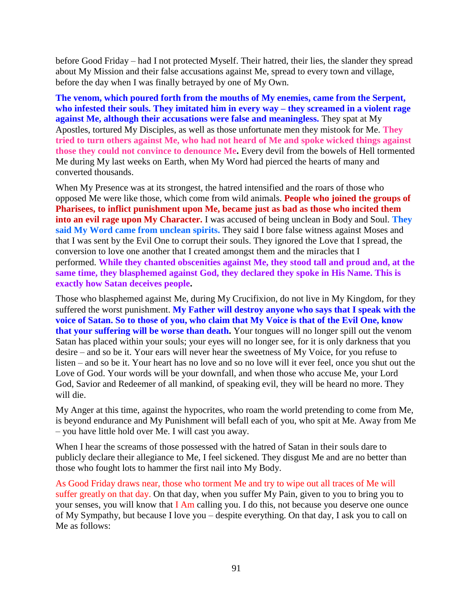before Good Friday – had I not protected Myself. Their hatred, their lies, the slander they spread about My Mission and their false accusations against Me, spread to every town and village, before the day when I was finally betrayed by one of My Own.

**The venom, which poured forth from the mouths of My enemies, came from the Serpent, who infested their souls. They imitated him in every way – they screamed in a violent rage against Me, although their accusations were false and meaningless.** They spat at My Apostles, tortured My Disciples, as well as those unfortunate men they mistook for Me. **They tried to turn others against Me, who had not heard of Me and spoke wicked things against those they could not convince to denounce Me.** Every devil from the bowels of Hell tormented Me during My last weeks on Earth, when My Word had pierced the hearts of many and converted thousands.

When My Presence was at its strongest, the hatred intensified and the roars of those who opposed Me were like those, which come from wild animals. **People who joined the groups of Pharisees, to inflict punishment upon Me, became just as bad as those who incited them into an evil rage upon My Character.** I was accused of being unclean in Body and Soul. **They**  said My Word came from unclean spirits. They said I bore false witness against Moses and that I was sent by the Evil One to corrupt their souls. They ignored the Love that I spread, the conversion to love one another that I created amongst them and the miracles that I performed. **While they chanted obscenities against Me, they stood tall and proud and, at the same time, they blasphemed against God, they declared they spoke in His Name. This is exactly how Satan deceives people.**

Those who blasphemed against Me, during My Crucifixion, do not live in My Kingdom, for they suffered the worst punishment. **My Father will destroy anyone who says that I speak with the voice of Satan. So to those of you, who claim that My Voice is that of the Evil One, know that your suffering will be worse than death.** Your tongues will no longer spill out the venom Satan has placed within your souls; your eyes will no longer see, for it is only darkness that you desire – and so be it. Your ears will never hear the sweetness of My Voice, for you refuse to listen – and so be it. Your heart has no love and so no love will it ever feel, once you shut out the Love of God. Your words will be your downfall, and when those who accuse Me, your Lord God, Savior and Redeemer of all mankind, of speaking evil, they will be heard no more. They will die.

My Anger at this time, against the hypocrites, who roam the world pretending to come from Me, is beyond endurance and My Punishment will befall each of you, who spit at Me. Away from Me – you have little hold over Me. I will cast you away.

When I hear the screams of those possessed with the hatred of Satan in their souls dare to publicly declare their allegiance to Me, I feel sickened. They disgust Me and are no better than those who fought lots to hammer the first nail into My Body.

As Good Friday draws near, those who torment Me and try to wipe out all traces of Me will suffer greatly on that day. On that day, when you suffer My Pain, given to you to bring you to your senses, you will know that  $I$  Am calling you. I do this, not because you deserve one ounce of My Sympathy, but because I love you – despite everything. On that day, I ask you to call on Me as follows: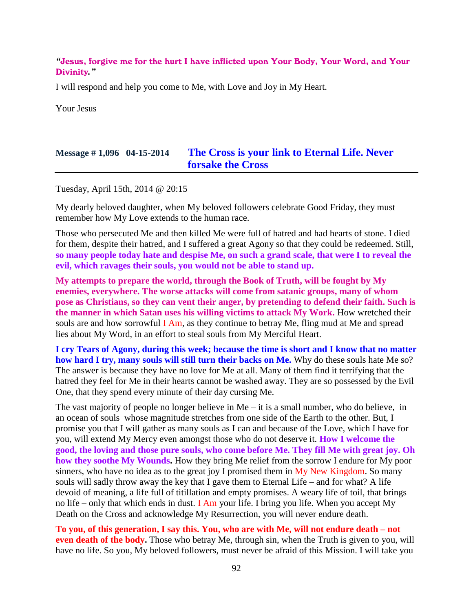#### *"*Jesus, forgive me for the hurt I have inflicted upon Your Body, Your Word, and Your Divinity*."*

I will respond and help you come to Me, with Love and Joy in My Heart.

Your Jesus

## **Message # 1,096 04-15-2014 [The Cross is your link to Eternal Life. Never](http://www.thewarningsecondcoming.com/the-cross-is-your-link-to-eternal-life-never-forsake-the-cross/)  forsake [the Cross](http://www.thewarningsecondcoming.com/the-cross-is-your-link-to-eternal-life-never-forsake-the-cross/)**

Tuesday, April 15th, 2014 @ 20:15

My dearly beloved daughter, when My beloved followers celebrate Good Friday, they must remember how My Love extends to the human race.

Those who persecuted Me and then killed Me were full of hatred and had hearts of stone. I died for them, despite their hatred, and I suffered a great Agony so that they could be redeemed. Still, **so many people today hate and despise Me, on such a grand scale, that were I to reveal the evil, which ravages their souls, you would not be able to stand up.**

**My attempts to prepare the world, through the Book of Truth, will be fought by My enemies, everywhere. The worse attacks will come from satanic groups, many of whom pose as Christians, so they can vent their anger, by pretending to defend their faith. Such is the manner in which Satan uses his willing victims to attack My Work.** How wretched their souls are and how sorrowful I Am, as they continue to betray Me, fling mud at Me and spread lies about My Word, in an effort to steal souls from My Merciful Heart.

**I cry Tears of Agony, during this week; because the time is short and I know that no matter how hard I try, many souls will still turn their backs on Me.** Why do these souls hate Me so? The answer is because they have no love for Me at all. Many of them find it terrifying that the hatred they feel for Me in their hearts cannot be washed away. They are so possessed by the Evil One, that they spend every minute of their day cursing Me.

The vast majority of people no longer believe in  $Me - it$  is a small number, who do believe, in an ocean of souls whose magnitude stretches from one side of the Earth to the other. But, I promise you that I will gather as many souls as I can and because of the Love, which I have for you, will extend My Mercy even amongst those who do not deserve it. **How I welcome the good, the loving and those pure souls, who come before Me. They fill Me with great joy. Oh how they soothe My Wounds.** How they bring Me relief from the sorrow I endure for My poor sinners, who have no idea as to the great joy I promised them in  $My$  New Kingdom. So many souls will sadly throw away the key that I gave them to Eternal Life – and for what? A life devoid of meaning, a life full of titillation and empty promises. A weary life of toil, that brings no life – only that which ends in dust. I Am your life. I bring you life. When you accept My Death on the Cross and acknowledge My Resurrection, you will never endure death.

**To you, of this generation, I say this. You, who are with Me, will not endure death – not even death of the body.** Those who betray Me, through sin, when the Truth is given to you, will have no life. So you, My beloved followers, must never be afraid of this Mission. I will take you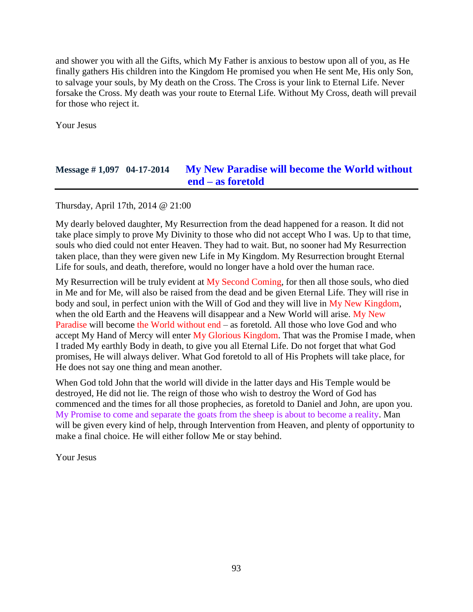and shower you with all the Gifts, which My Father is anxious to bestow upon all of you, as He finally gathers His children into the Kingdom He promised you when He sent Me, His only Son, to salvage your souls, by My death on the Cross. The Cross is your link to Eternal Life. Never forsake the Cross. My death was your route to Eternal Life. Without My Cross, death will prevail for those who reject it.

Your Jesus

# **Message # 1,097 04-17-2014 [My New Paradise will become the World without](http://www.thewarningsecondcoming.com/my-new-paradise-will-become-the-world-without-end-as-foretold/)  end – as [foretold](http://www.thewarningsecondcoming.com/my-new-paradise-will-become-the-world-without-end-as-foretold/)**

Thursday, April 17th, 2014 @ 21:00

My dearly beloved daughter, My Resurrection from the dead happened for a reason. It did not take place simply to prove My Divinity to those who did not accept Who I was. Up to that time, souls who died could not enter Heaven. They had to wait. But, no sooner had My Resurrection taken place, than they were given new Life in My Kingdom. My Resurrection brought Eternal Life for souls, and death, therefore, would no longer have a hold over the human race.

My Resurrection will be truly evident at  $My$  Second Coming, for then all those souls, who died in Me and for Me, will also be raised from the dead and be given Eternal Life. They will rise in body and soul, in perfect union with the Will of God and they will live in My New Kingdom, when the old Earth and the Heavens will disappear and a New World will arise. My New Paradise will become the World without end – as foretold. All those who love God and who accept My Hand of Mercy will enter My Glorious Kingdom. That was the Promise I made, when I traded My earthly Body in death, to give you all Eternal Life. Do not forget that what God promises, He will always deliver. What God foretold to all of His Prophets will take place, for He does not say one thing and mean another.

When God told John that the world will divide in the latter days and His Temple would be destroyed, He did not lie. The reign of those who wish to destroy the Word of God has commenced and the times for all those prophecies, as foretold to Daniel and John, are upon you. My Promise to come and separate the goats from the sheep is about to become a reality. Man will be given every kind of help, through Intervention from Heaven, and plenty of opportunity to make a final choice. He will either follow Me or stay behind.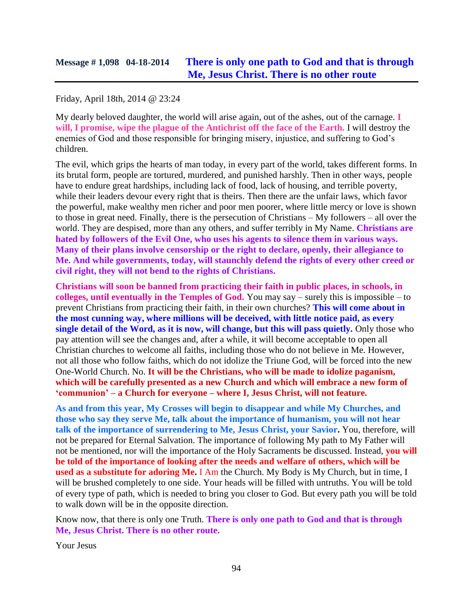### Friday, April 18th, 2014 @ 23:24

My dearly beloved daughter, the world will arise again, out of the ashes, out of the carnage. **I will, I promise, wipe the plague of the Antichrist off the face of the Earth.** I will destroy the enemies of God and those responsible for bringing misery, injustice, and suffering to God's children.

The evil, which grips the hearts of man today, in every part of the world, takes different forms. In its brutal form, people are tortured, murdered, and punished harshly. Then in other ways, people have to endure great hardships, including lack of food, lack of housing, and terrible poverty, while their leaders devour every right that is theirs. Then there are the unfair laws, which favor the powerful, make wealthy men richer and poor men poorer, where little mercy or love is shown to those in great need. Finally, there is the persecution of Christians – My followers – all over the world. They are despised, more than any others, and suffer terribly in My Name. **Christians are hated by followers of the Evil One, who uses his agents to silence them in various ways. Many of their plans involve censorship or the right to declare, openly, their allegiance to Me. And while governments, today, will staunchly defend the rights of every other creed or civil right, they will not bend to the rights of Christians.**

**Christians will soon be banned from practicing their faith in public places, in schools, in colleges, until eventually in the Temples of God.** You may say – surely this is impossible – to prevent Christians from practicing their faith, in their own churches? **This will come about in the most cunning way, where millions will be deceived, with little notice paid, as every single detail of the Word, as it is now, will change, but this will pass quietly.** Only those who pay attention will see the changes and, after a while, it will become acceptable to open all Christian churches to welcome all faiths, including those who do not believe in Me. However, not all those who follow faiths, which do not idolize the Triune God, will be forced into the new One-World Church. No. **It will be the Christians, who will be made to idolize paganism, which will be carefully presented as a new Church and which will embrace a new form of 'communion' – a Church for everyone – where I, Jesus Christ, will not feature.**

**As and from this year, My Crosses will begin to disappear and while My Churches, and those who say they serve Me, talk about the importance of humanism, you will not hear talk of the importance of surrendering to Me, Jesus Christ, your Savior.** You, therefore, will not be prepared for Eternal Salvation. The importance of following My path to My Father will not be mentioned, nor will the importance of the Holy Sacraments be discussed. Instead, **you will be told of the importance of looking after the needs and welfare of others, which will be used as a substitute for adoring Me.** I Am the Church. My Body is My Church, but in time, I will be brushed completely to one side. Your heads will be filled with untruths. You will be told of every type of path, which is needed to bring you closer to God. But every path you will be told to walk down will be in the opposite direction.

Know now, that there is only one Truth. **There is only one path to God and that is through Me, Jesus Christ. There is no other route.**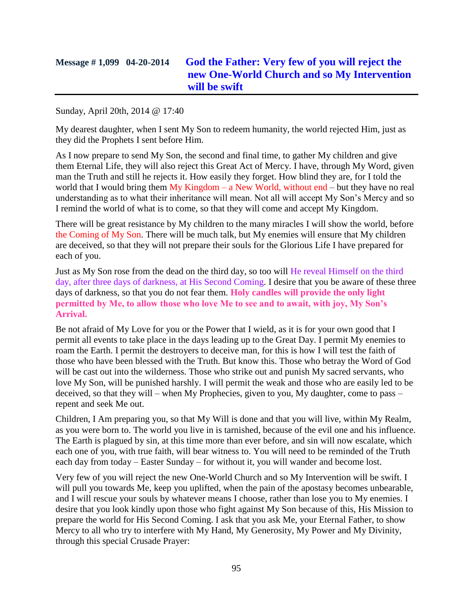# **Message # 1,099 04-20-2014 [God the Father: Very few of you will reject the](http://www.thewarningsecondcoming.com/god-the-father-very-few-of-you-will-reject-the-new-one-world-church-and-so-my-intervention-will-be-swift/)  [new One-World Church and so My Intervention](http://www.thewarningsecondcoming.com/god-the-father-very-few-of-you-will-reject-the-new-one-world-church-and-so-my-intervention-will-be-swift/)  [will be swift](http://www.thewarningsecondcoming.com/god-the-father-very-few-of-you-will-reject-the-new-one-world-church-and-so-my-intervention-will-be-swift/)**

#### Sunday, April 20th, 2014 @ 17:40

My dearest daughter, when I sent My Son to redeem humanity, the world rejected Him, just as they did the Prophets I sent before Him.

As I now prepare to send My Son, the second and final time, to gather My children and give them Eternal Life, they will also reject this Great Act of Mercy. I have, through My Word, given man the Truth and still he rejects it. How easily they forget. How blind they are, for I told the world that I would bring them  $My$  Kingdom – a New World, without end – but they have no real understanding as to what their inheritance will mean. Not all will accept My Son's Mercy and so I remind the world of what is to come, so that they will come and accept My Kingdom.

There will be great resistance by My children to the many miracles I will show the world, before the Coming of My Son. There will be much talk, but My enemies will ensure that My children are deceived, so that they will not prepare their souls for the Glorious Life I have prepared for each of you.

Just as My Son rose from the dead on the third day, so too will He reveal Himself on the third day, after three days of darkness, at His Second Coming. I desire that you be aware of these three days of darkness, so that you do not fear them. **Holy candles will provide the only light permitted by Me, to allow those who love Me to see and to await, with joy, My Son's Arrival.**

Be not afraid of My Love for you or the Power that I wield, as it is for your own good that I permit all events to take place in the days leading up to the Great Day. I permit My enemies to roam the Earth. I permit the destroyers to deceive man, for this is how I will test the faith of those who have been blessed with the Truth. But know this. Those who betray the Word of God will be cast out into the wilderness. Those who strike out and punish My sacred servants, who love My Son, will be punished harshly. I will permit the weak and those who are easily led to be deceived, so that they will – when My Prophecies, given to you, My daughter, come to pass – repent and seek Me out.

Children, I Am preparing you, so that My Will is done and that you will live, within My Realm, as you were born to. The world you live in is tarnished, because of the evil one and his influence. The Earth is plagued by sin, at this time more than ever before, and sin will now escalate, which each one of you, with true faith, will bear witness to. You will need to be reminded of the Truth each day from today – Easter Sunday – for without it, you will wander and become lost.

Very few of you will reject the new One-World Church and so My Intervention will be swift. I will pull you towards Me, keep you uplifted, when the pain of the apostasy becomes unbearable, and I will rescue your souls by whatever means I choose, rather than lose you to My enemies. I desire that you look kindly upon those who fight against My Son because of this, His Mission to prepare the world for His Second Coming. I ask that you ask Me, your Eternal Father, to show Mercy to all who try to interfere with My Hand, My Generosity, My Power and My Divinity, through this special Crusade Prayer: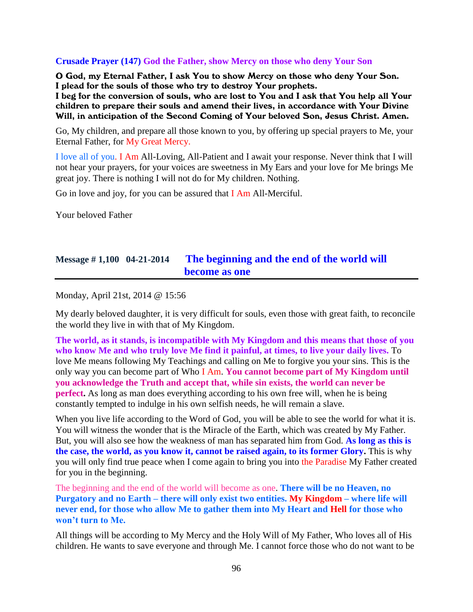#### **Crusade Prayer (147) God the Father, show Mercy on those who deny Your Son**

O God, my Eternal Father, I ask You to show Mercy on those who deny Your Son. I plead for the souls of those who try to destroy Your prophets.

I beg for the conversion of souls, who are lost to You and I ask that You help all Your children to prepare their souls and amend their lives, in accordance with Your Divine Will, in anticipation of the Second Coming of Your beloved Son, Jesus Christ. Amen.

Go, My children, and prepare all those known to you, by offering up special prayers to Me, your Eternal Father, for My Great Mercy.

I love all of you. I Am All-Loving, All-Patient and I await your response. Never think that I will not hear your prayers, for your voices are sweetness in My Ears and your love for Me brings Me great joy. There is nothing I will not do for My children. Nothing.

Go in love and joy, for you can be assured that I Am All-Merciful.

Your beloved Father

## **Message # 1,100 04-21-2014 [The beginning and the end of the world will](http://www.thewarningsecondcoming.com/the-beginning-and-the-end-of-the-world-will-become-as-one/)  [become as one](http://www.thewarningsecondcoming.com/the-beginning-and-the-end-of-the-world-will-become-as-one/)**

Monday, April 21st, 2014 @ 15:56

My dearly beloved daughter, it is very difficult for souls, even those with great faith, to reconcile the world they live in with that of My Kingdom.

**The world, as it stands, is incompatible with My Kingdom and this means that those of you who know Me and who truly love Me find it painful, at times, to live your daily lives.** To love Me means following My Teachings and calling on Me to forgive you your sins. This is the only way you can become part of Who I Am. **You cannot become part of My Kingdom until you acknowledge the Truth and accept that, while sin exists, the world can never be perfect.** As long as man does everything according to his own free will, when he is being constantly tempted to indulge in his own selfish needs, he will remain a slave.

When you live life according to the Word of God, you will be able to see the world for what it is. You will witness the wonder that is the Miracle of the Earth, which was created by My Father. But, you will also see how the weakness of man has separated him from God. **As long as this is the case, the world, as you know it, cannot be raised again, to its former Glory.** This is why you will only find true peace when I come again to bring you into the Paradise My Father created for you in the beginning.

The beginning and the end of the world will become as one. **There will be no Heaven, no Purgatory and no Earth – there will only exist two entities. My Kingdom – where life will never end, for those who allow Me to gather them into My Heart and Hell for those who won't turn to Me.**

All things will be according to My Mercy and the Holy Will of My Father, Who loves all of His children. He wants to save everyone and through Me. I cannot force those who do not want to be